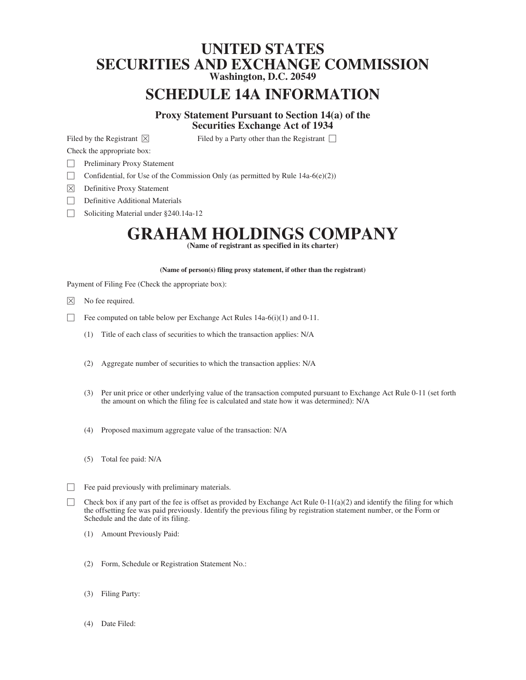# **UNITED STATES SECURITIES AND EXCHANGE COMMISSION Washington, D.C. 20549**

# **SCHEDULE 14A INFORMATION**

# **Proxy Statement Pursuant to Section 14(a) of the Securities Exchange Act of 1934**

Filed by the Registrant  $|\overline{\times}|$  Filed by a Party other than the Registrant  $\Box$ 

Check the appropriate box:

- **The Preliminary Proxy Statement**
- Confidential, for Use of the Commission Only (as permitted by Rule  $14a-6(e)(2)$ )
- $\boxtimes$  Definitive Proxy Statement
- $\Box$  Definitive Additional Materials
- □ Soliciting Material under §240.14a-12

# **GRAHAM HOLDINGS COMPANY**

**(Name of registrant as specified in its charter)**

#### **(Name of person(s) filing proxy statement, if other than the registrant)**

Payment of Filing Fee (Check the appropriate box):

- $\boxtimes$  No fee required.
- $\Box$  Fee computed on table below per Exchange Act Rules 14a-6(i)(1) and 0-11.
	- (1) Title of each class of securities to which the transaction applies: N/A
	- (2) Aggregate number of securities to which the transaction applies: N/A
	- (3) Per unit price or other underlying value of the transaction computed pursuant to Exchange Act Rule 0-11 (set forth the amount on which the filing fee is calculated and state how it was determined): N/A
	- (4) Proposed maximum aggregate value of the transaction: N/A
	- (5) Total fee paid: N/A
- $\Box$  Fee paid previously with preliminary materials.
- Check box if any part of the fee is offset as provided by Exchange Act Rule  $0-11(a)(2)$  and identify the filing for which the offsetting fee was paid previously. Identify the previous filing by registration statement number, or the Form or Schedule and the date of its filing.
	- (1) Amount Previously Paid:
	- (2) Form, Schedule or Registration Statement No.:
	- (3) Filing Party:
	- (4) Date Filed: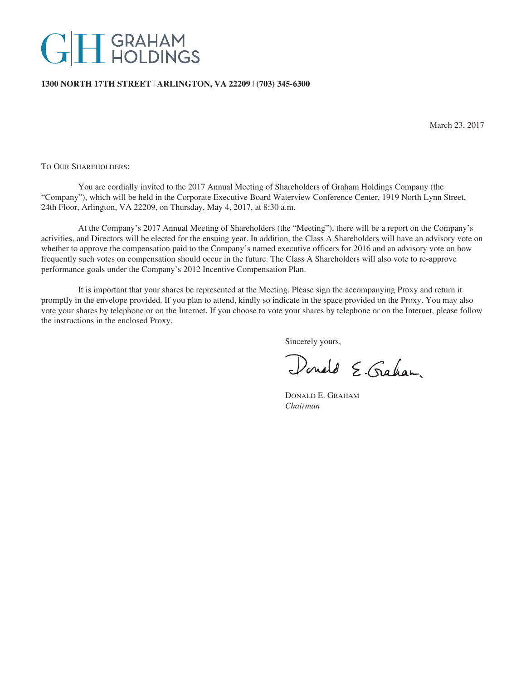# **GH** GRAHAM

# **1300 NORTH 17TH STREET** | **ARLINGTON, VA 22209** | **(703) 345-6300**

March 23, 2017

TO OUR SHAREHOLDERS:

You are cordially invited to the 2017 Annual Meeting of Shareholders of Graham Holdings Company (the "Company"), which will be held in the Corporate Executive Board Waterview Conference Center, 1919 North Lynn Street, 24th Floor, Arlington, VA 22209, on Thursday, May 4, 2017, at 8:30 a.m.

At the Company's 2017 Annual Meeting of Shareholders (the "Meeting"), there will be a report on the Company's activities, and Directors will be elected for the ensuing year. In addition, the Class A Shareholders will have an advisory vote on whether to approve the compensation paid to the Company's named executive officers for 2016 and an advisory vote on how frequently such votes on compensation should occur in the future. The Class A Shareholders will also vote to re-approve performance goals under the Company's 2012 Incentive Compensation Plan.

It is important that your shares be represented at the Meeting. Please sign the accompanying Proxy and return it promptly in the envelope provided. If you plan to attend, kindly so indicate in the space provided on the Proxy. You may also vote your shares by telephone or on the Internet. If you choose to vote your shares by telephone or on the Internet, please follow the instructions in the enclosed Proxy.

Sincerely yours,

Donald E. Gahan.

DONALD E. GRAHAM *Chairman*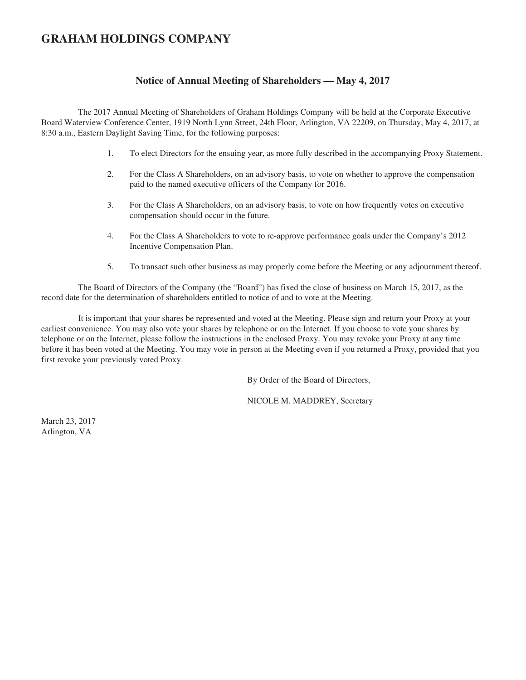# **GRAHAM HOLDINGS COMPANY**

# **Notice of Annual Meeting of Shareholders — May 4, 2017**

The 2017 Annual Meeting of Shareholders of Graham Holdings Company will be held at the Corporate Executive Board Waterview Conference Center, 1919 North Lynn Street, 24th Floor, Arlington, VA 22209, on Thursday, May 4, 2017, at 8:30 a.m., Eastern Daylight Saving Time, for the following purposes:

- 1. To elect Directors for the ensuing year, as more fully described in the accompanying Proxy Statement.
- 2. For the Class A Shareholders, on an advisory basis, to vote on whether to approve the compensation paid to the named executive officers of the Company for 2016.
- 3. For the Class A Shareholders, on an advisory basis, to vote on how frequently votes on executive compensation should occur in the future.
- 4. For the Class A Shareholders to vote to re-approve performance goals under the Company's 2012 Incentive Compensation Plan.
- 5. To transact such other business as may properly come before the Meeting or any adjournment thereof.

The Board of Directors of the Company (the "Board") has fixed the close of business on March 15, 2017, as the record date for the determination of shareholders entitled to notice of and to vote at the Meeting.

It is important that your shares be represented and voted at the Meeting. Please sign and return your Proxy at your earliest convenience. You may also vote your shares by telephone or on the Internet. If you choose to vote your shares by telephone or on the Internet, please follow the instructions in the enclosed Proxy. You may revoke your Proxy at any time before it has been voted at the Meeting. You may vote in person at the Meeting even if you returned a Proxy, provided that you first revoke your previously voted Proxy.

By Order of the Board of Directors,

NICOLE M. MADDREY, Secretary

March 23, 2017 Arlington, VA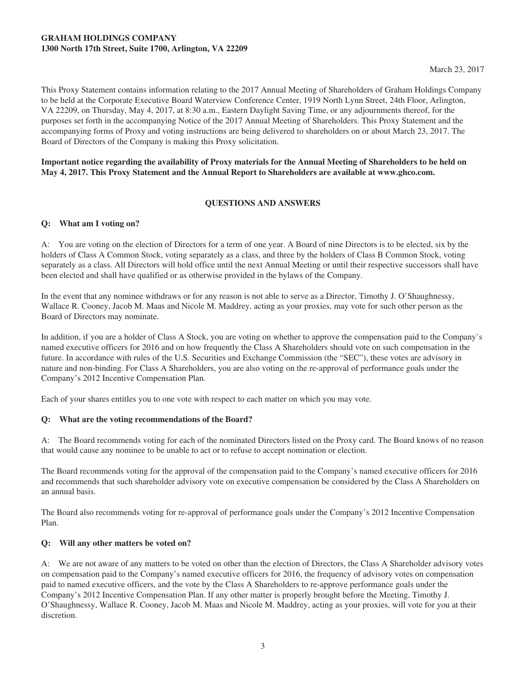# **GRAHAM HOLDINGS COMPANY 1300 North 17th Street, Suite 1700, Arlington, VA 22209**

This Proxy Statement contains information relating to the 2017 Annual Meeting of Shareholders of Graham Holdings Company to be held at the Corporate Executive Board Waterview Conference Center, 1919 North Lynn Street, 24th Floor, Arlington, VA 22209, on Thursday, May 4, 2017, at 8:30 a.m., Eastern Daylight Saving Time, or any adjournments thereof, for the purposes set forth in the accompanying Notice of the 2017 Annual Meeting of Shareholders. This Proxy Statement and the accompanying forms of Proxy and voting instructions are being delivered to shareholders on or about March 23, 2017. The Board of Directors of the Company is making this Proxy solicitation.

# **Important notice regarding the availability of Proxy materials for the Annual Meeting of Shareholders to be held on May 4, 2017. This Proxy Statement and the Annual Report to Shareholders are available at www.ghco.com.**

# **QUESTIONS AND ANSWERS**

# **Q: What am I voting on?**

A: You are voting on the election of Directors for a term of one year. A Board of nine Directors is to be elected, six by the holders of Class A Common Stock, voting separately as a class, and three by the holders of Class B Common Stock, voting separately as a class. All Directors will hold office until the next Annual Meeting or until their respective successors shall have been elected and shall have qualified or as otherwise provided in the bylaws of the Company.

In the event that any nominee withdraws or for any reason is not able to serve as a Director, Timothy J. O'Shaughnessy, Wallace R. Cooney, Jacob M. Maas and Nicole M. Maddrey, acting as your proxies, may vote for such other person as the Board of Directors may nominate.

In addition, if you are a holder of Class A Stock, you are voting on whether to approve the compensation paid to the Company's named executive officers for 2016 and on how frequently the Class A Shareholders should vote on such compensation in the future. In accordance with rules of the U.S. Securities and Exchange Commission (the "SEC"), these votes are advisory in nature and non-binding. For Class A Shareholders, you are also voting on the re-approval of performance goals under the Company's 2012 Incentive Compensation Plan.

Each of your shares entitles you to one vote with respect to each matter on which you may vote.

# **Q: What are the voting recommendations of the Board?**

A: The Board recommends voting for each of the nominated Directors listed on the Proxy card. The Board knows of no reason that would cause any nominee to be unable to act or to refuse to accept nomination or election.

The Board recommends voting for the approval of the compensation paid to the Company's named executive officers for 2016 and recommends that such shareholder advisory vote on executive compensation be considered by the Class A Shareholders on an annual basis.

The Board also recommends voting for re-approval of performance goals under the Company's 2012 Incentive Compensation Plan.

# **Q: Will any other matters be voted on?**

A: We are not aware of any matters to be voted on other than the election of Directors, the Class A Shareholder advisory votes on compensation paid to the Company's named executive officers for 2016, the frequency of advisory votes on compensation paid to named executive officers, and the vote by the Class A Shareholders to re-approve performance goals under the Company's 2012 Incentive Compensation Plan. If any other matter is properly brought before the Meeting, Timothy J. O'Shaughnessy, Wallace R. Cooney, Jacob M. Maas and Nicole M. Maddrey, acting as your proxies, will vote for you at their discretion.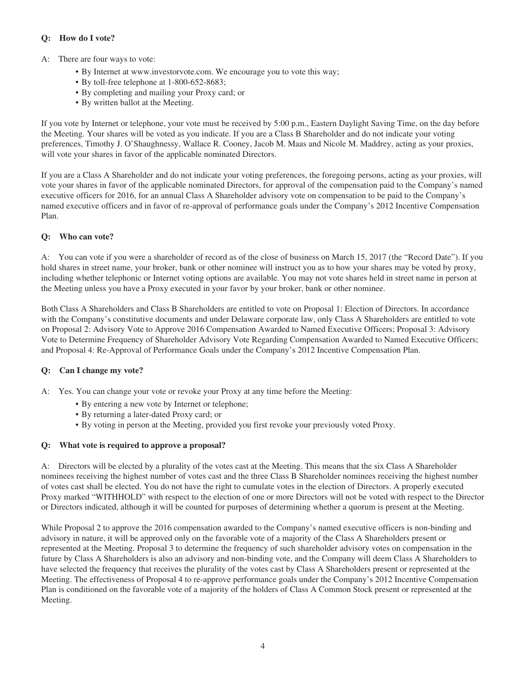# **Q: How do I vote?**

- A: There are four ways to vote:
	- By Internet at www.investorvote.com. We encourage you to vote this way;
	- By toll-free telephone at 1-800-652-8683;
	- By completing and mailing your Proxy card; or
	- By written ballot at the Meeting.

If you vote by Internet or telephone, your vote must be received by 5:00 p.m., Eastern Daylight Saving Time, on the day before the Meeting. Your shares will be voted as you indicate. If you are a Class B Shareholder and do not indicate your voting preferences, Timothy J. O'Shaughnessy, Wallace R. Cooney, Jacob M. Maas and Nicole M. Maddrey, acting as your proxies, will vote your shares in favor of the applicable nominated Directors.

If you are a Class A Shareholder and do not indicate your voting preferences, the foregoing persons, acting as your proxies, will vote your shares in favor of the applicable nominated Directors, for approval of the compensation paid to the Company's named executive officers for 2016, for an annual Class A Shareholder advisory vote on compensation to be paid to the Company's named executive officers and in favor of re-approval of performance goals under the Company's 2012 Incentive Compensation Plan.

# **Q: Who can vote?**

A: You can vote if you were a shareholder of record as of the close of business on March 15, 2017 (the "Record Date"). If you hold shares in street name, your broker, bank or other nominee will instruct you as to how your shares may be voted by proxy, including whether telephonic or Internet voting options are available. You may not vote shares held in street name in person at the Meeting unless you have a Proxy executed in your favor by your broker, bank or other nominee.

Both Class A Shareholders and Class B Shareholders are entitled to vote on Proposal 1: Election of Directors. In accordance with the Company's constitutive documents and under Delaware corporate law, only Class A Shareholders are entitled to vote on Proposal 2: Advisory Vote to Approve 2016 Compensation Awarded to Named Executive Officers; Proposal 3: Advisory Vote to Determine Frequency of Shareholder Advisory Vote Regarding Compensation Awarded to Named Executive Officers; and Proposal 4: Re-Approval of Performance Goals under the Company's 2012 Incentive Compensation Plan.

# **Q: Can I change my vote?**

A: Yes. You can change your vote or revoke your Proxy at any time before the Meeting:

- By entering a new vote by Internet or telephone;
- By returning a later-dated Proxy card; or
- By voting in person at the Meeting, provided you first revoke your previously voted Proxy.

# **Q: What vote is required to approve a proposal?**

A: Directors will be elected by a plurality of the votes cast at the Meeting. This means that the six Class A Shareholder nominees receiving the highest number of votes cast and the three Class B Shareholder nominees receiving the highest number of votes cast shall be elected. You do not have the right to cumulate votes in the election of Directors. A properly executed Proxy marked "WITHHOLD" with respect to the election of one or more Directors will not be voted with respect to the Director or Directors indicated, although it will be counted for purposes of determining whether a quorum is present at the Meeting.

While Proposal 2 to approve the 2016 compensation awarded to the Company's named executive officers is non-binding and advisory in nature, it will be approved only on the favorable vote of a majority of the Class A Shareholders present or represented at the Meeting. Proposal 3 to determine the frequency of such shareholder advisory votes on compensation in the future by Class A Shareholders is also an advisory and non-binding vote, and the Company will deem Class A Shareholders to have selected the frequency that receives the plurality of the votes cast by Class A Shareholders present or represented at the Meeting. The effectiveness of Proposal 4 to re-approve performance goals under the Company's 2012 Incentive Compensation Plan is conditioned on the favorable vote of a majority of the holders of Class A Common Stock present or represented at the Meeting.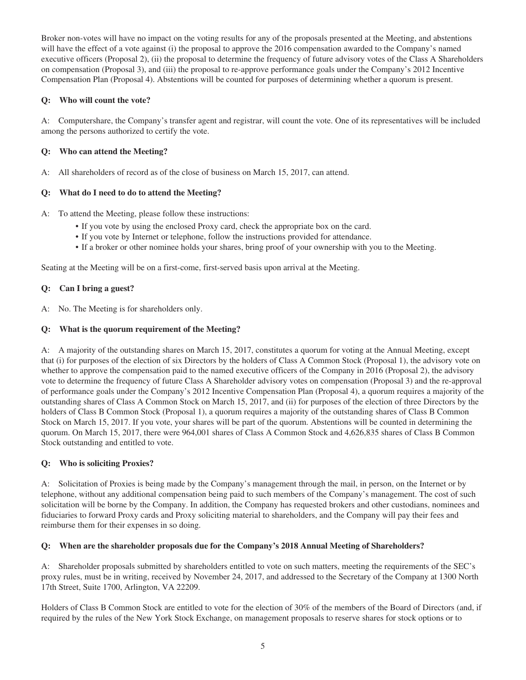Broker non-votes will have no impact on the voting results for any of the proposals presented at the Meeting, and abstentions will have the effect of a vote against (i) the proposal to approve the 2016 compensation awarded to the Company's named executive officers (Proposal 2), (ii) the proposal to determine the frequency of future advisory votes of the Class A Shareholders on compensation (Proposal 3), and (iii) the proposal to re-approve performance goals under the Company's 2012 Incentive Compensation Plan (Proposal 4). Abstentions will be counted for purposes of determining whether a quorum is present.

# **Q: Who will count the vote?**

A: Computershare, the Company's transfer agent and registrar, will count the vote. One of its representatives will be included among the persons authorized to certify the vote.

# **Q: Who can attend the Meeting?**

A: All shareholders of record as of the close of business on March 15, 2017, can attend.

# **Q: What do I need to do to attend the Meeting?**

A: To attend the Meeting, please follow these instructions:

- If you vote by using the enclosed Proxy card, check the appropriate box on the card.
- If you vote by Internet or telephone, follow the instructions provided for attendance.
- If a broker or other nominee holds your shares, bring proof of your ownership with you to the Meeting.

Seating at the Meeting will be on a first-come, first-served basis upon arrival at the Meeting.

# **Q: Can I bring a guest?**

A: No. The Meeting is for shareholders only.

# **Q: What is the quorum requirement of the Meeting?**

A: A majority of the outstanding shares on March 15, 2017, constitutes a quorum for voting at the Annual Meeting, except that (i) for purposes of the election of six Directors by the holders of Class A Common Stock (Proposal 1), the advisory vote on whether to approve the compensation paid to the named executive officers of the Company in 2016 (Proposal 2), the advisory vote to determine the frequency of future Class A Shareholder advisory votes on compensation (Proposal 3) and the re-approval of performance goals under the Company's 2012 Incentive Compensation Plan (Proposal 4), a quorum requires a majority of the outstanding shares of Class A Common Stock on March 15, 2017, and (ii) for purposes of the election of three Directors by the holders of Class B Common Stock (Proposal 1), a quorum requires a majority of the outstanding shares of Class B Common Stock on March 15, 2017. If you vote, your shares will be part of the quorum. Abstentions will be counted in determining the quorum. On March 15, 2017, there were 964,001 shares of Class A Common Stock and 4,626,835 shares of Class B Common Stock outstanding and entitled to vote.

# **Q: Who is soliciting Proxies?**

A: Solicitation of Proxies is being made by the Company's management through the mail, in person, on the Internet or by telephone, without any additional compensation being paid to such members of the Company's management. The cost of such solicitation will be borne by the Company. In addition, the Company has requested brokers and other custodians, nominees and fiduciaries to forward Proxy cards and Proxy soliciting material to shareholders, and the Company will pay their fees and reimburse them for their expenses in so doing.

# **Q: When are the shareholder proposals due for the Company's 2018 Annual Meeting of Shareholders?**

A: Shareholder proposals submitted by shareholders entitled to vote on such matters, meeting the requirements of the SEC's proxy rules, must be in writing, received by November 24, 2017, and addressed to the Secretary of the Company at 1300 North 17th Street, Suite 1700, Arlington, VA 22209.

Holders of Class B Common Stock are entitled to vote for the election of 30% of the members of the Board of Directors (and, if required by the rules of the New York Stock Exchange, on management proposals to reserve shares for stock options or to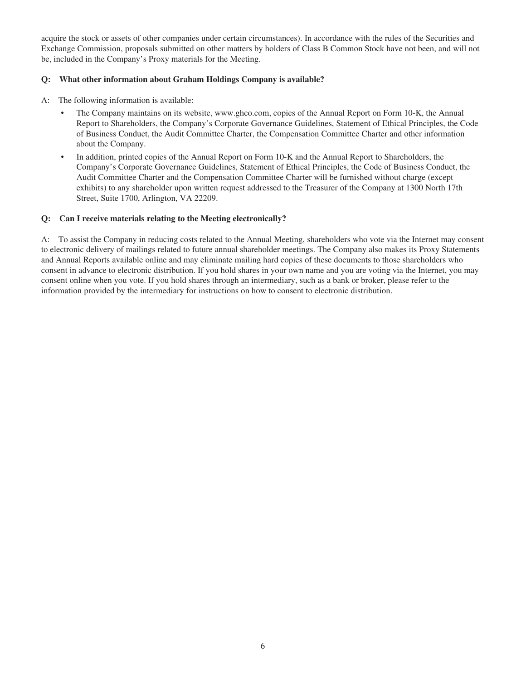acquire the stock or assets of other companies under certain circumstances). In accordance with the rules of the Securities and Exchange Commission, proposals submitted on other matters by holders of Class B Common Stock have not been, and will not be, included in the Company's Proxy materials for the Meeting.

# **Q: What other information about Graham Holdings Company is available?**

- A: The following information is available:
	- The Company maintains on its website, www.ghco.com, copies of the Annual Report on Form 10-K, the Annual Report to Shareholders, the Company's Corporate Governance Guidelines, Statement of Ethical Principles, the Code of Business Conduct, the Audit Committee Charter, the Compensation Committee Charter and other information about the Company.
	- In addition, printed copies of the Annual Report on Form 10-K and the Annual Report to Shareholders, the Company's Corporate Governance Guidelines, Statement of Ethical Principles, the Code of Business Conduct, the Audit Committee Charter and the Compensation Committee Charter will be furnished without charge (except exhibits) to any shareholder upon written request addressed to the Treasurer of the Company at 1300 North 17th Street, Suite 1700, Arlington, VA 22209.

# **Q: Can I receive materials relating to the Meeting electronically?**

A: To assist the Company in reducing costs related to the Annual Meeting, shareholders who vote via the Internet may consent to electronic delivery of mailings related to future annual shareholder meetings. The Company also makes its Proxy Statements and Annual Reports available online and may eliminate mailing hard copies of these documents to those shareholders who consent in advance to electronic distribution. If you hold shares in your own name and you are voting via the Internet, you may consent online when you vote. If you hold shares through an intermediary, such as a bank or broker, please refer to the information provided by the intermediary for instructions on how to consent to electronic distribution.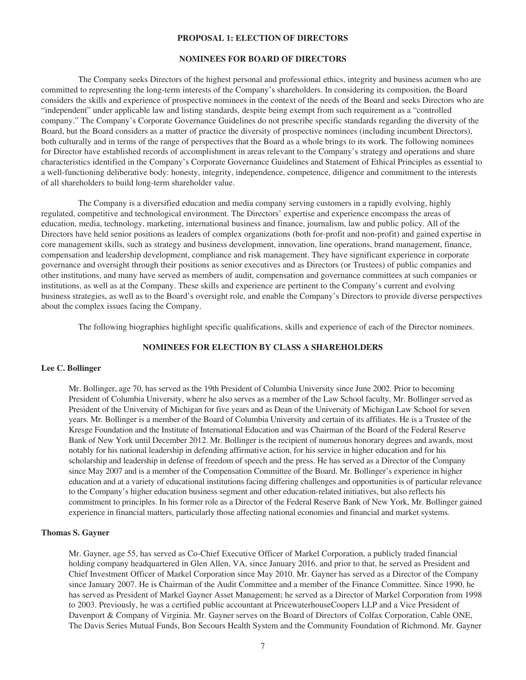# **PROPOSAL 1: ELECTION OF DIRECTORS**

#### **NOMINEES FOR BOARD OF DIRECTORS**

The Company seeks Directors of the highest personal and professional ethics, integrity and business acumen who are committed to representing the long-term interests of the Company's shareholders. In considering its composition, the Board considers the skills and experience of prospective nominees in the context of the needs of the Board and seeks Directors who are "independent" under applicable law and listing standards, despite being exempt from such requirement as a "controlled company." The Company's Corporate Governance Guidelines do not prescribe specific standards regarding the diversity of the Board, but the Board considers as a matter of practice the diversity of prospective nominees (including incumbent Directors), both culturally and in terms of the range of perspectives that the Board as a whole brings to its work. The following nominees for Director have established records of accomplishment in areas relevant to the Company's strategy and operations and share characteristics identified in the Company's Corporate Governance Guidelines and Statement of Ethical Principles as essential to a well-functioning deliberative body: honesty, integrity, independence, competence, diligence and commitment to the interests of all shareholders to build long-term shareholder value.

The Company is a diversified education and media company serving customers in a rapidly evolving, highly regulated, competitive and technological environment. The Directors' expertise and experience encompass the areas of education, media, technology, marketing, international business and finance, journalism, law and public policy. All of the Directors have held senior positions as leaders of complex organizations (both for-profit and non-profit) and gained expertise in core management skills, such as strategy and business development, innovation, line operations, brand management, finance, compensation and leadership development, compliance and risk management. They have significant experience in corporate governance and oversight through their positions as senior executives and as Directors (or Trustees) of public companies and other institutions, and many have served as members of audit, compensation and governance committees at such companies or institutions, as well as at the Company. These skills and experience are pertinent to the Company's current and evolving business strategies, as well as to the Board's oversight role, and enable the Company's Directors to provide diverse perspectives about the complex issues facing the Company.

The following biographies highlight specific qualifications, skills and experience of each of the Director nominees.

# **NOMINEES FOR ELECTION BY CLASS A SHAREHOLDERS**

#### **Lee C. Bollinger**

Mr. Bollinger, age 70, has served as the 19th President of Columbia University since June 2002. Prior to becoming President of Columbia University, where he also serves as a member of the Law School faculty, Mr. Bollinger served as President of the University of Michigan for five years and as Dean of the University of Michigan Law School for seven years. Mr. Bollinger is a member of the Board of Columbia University and certain of its affiliates. He is a Trustee of the Kresge Foundation and the Institute of International Education and was Chairman of the Board of the Federal Reserve Bank of New York until December 2012. Mr. Bollinger is the recipient of numerous honorary degrees and awards, most notably for his national leadership in defending affirmative action, for his service in higher education and for his scholarship and leadership in defense of freedom of speech and the press. He has served as a Director of the Company since May 2007 and is a member of the Compensation Committee of the Board. Mr. Bollinger's experience in higher education and at a variety of educational institutions facing differing challenges and opportunities is of particular relevance to the Company's higher education business segment and other education-related initiatives, but also reflects his commitment to principles. In his former role as a Director of the Federal Reserve Bank of New York, Mr. Bollinger gained experience in financial matters, particularly those affecting national economies and financial and market systems.

#### **Thomas S. Gayner**

Mr. Gayner, age 55, has served as Co-Chief Executive Officer of Markel Corporation, a publicly traded financial holding company headquartered in Glen Allen, VA, since January 2016, and prior to that, he served as President and Chief Investment Officer of Markel Corporation since May 2010. Mr. Gayner has served as a Director of the Company since January 2007. He is Chairman of the Audit Committee and a member of the Finance Committee. Since 1990, he has served as President of Markel Gayner Asset Management; he served as a Director of Markel Corporation from 1998 to 2003. Previously, he was a certified public accountant at PricewaterhouseCoopers LLP and a Vice President of Davenport & Company of Virginia. Mr. Gayner serves on the Board of Directors of Colfax Corporation, Cable ONE, The Davis Series Mutual Funds, Bon Secours Health System and the Community Foundation of Richmond. Mr. Gayner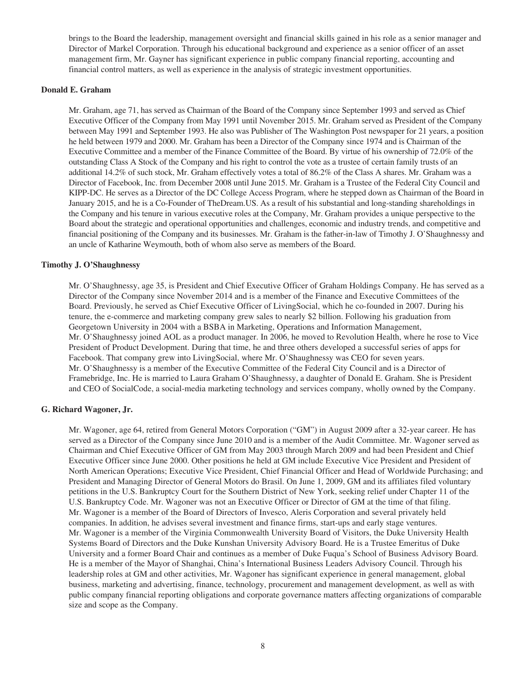brings to the Board the leadership, management oversight and financial skills gained in his role as a senior manager and Director of Markel Corporation. Through his educational background and experience as a senior officer of an asset management firm, Mr. Gayner has significant experience in public company financial reporting, accounting and financial control matters, as well as experience in the analysis of strategic investment opportunities.

#### **Donald E. Graham**

Mr. Graham, age 71, has served as Chairman of the Board of the Company since September 1993 and served as Chief Executive Officer of the Company from May 1991 until November 2015. Mr. Graham served as President of the Company between May 1991 and September 1993. He also was Publisher of The Washington Post newspaper for 21 years, a position he held between 1979 and 2000. Mr. Graham has been a Director of the Company since 1974 and is Chairman of the Executive Committee and a member of the Finance Committee of the Board. By virtue of his ownership of 72.0% of the outstanding Class A Stock of the Company and his right to control the vote as a trustee of certain family trusts of an additional 14.2% of such stock, Mr. Graham effectively votes a total of 86.2% of the Class A shares. Mr. Graham was a Director of Facebook, Inc. from December 2008 until June 2015. Mr. Graham is a Trustee of the Federal City Council and KIPP-DC. He serves as a Director of the DC College Access Program, where he stepped down as Chairman of the Board in January 2015, and he is a Co-Founder of TheDream.US. As a result of his substantial and long-standing shareholdings in the Company and his tenure in various executive roles at the Company, Mr. Graham provides a unique perspective to the Board about the strategic and operational opportunities and challenges, economic and industry trends, and competitive and financial positioning of the Company and its businesses. Mr. Graham is the father-in-law of Timothy J. O'Shaughnessy and an uncle of Katharine Weymouth, both of whom also serve as members of the Board.

# **Timothy J. O'Shaughnessy**

Mr. O'Shaughnessy, age 35, is President and Chief Executive Officer of Graham Holdings Company. He has served as a Director of the Company since November 2014 and is a member of the Finance and Executive Committees of the Board. Previously, he served as Chief Executive Officer of LivingSocial, which he co-founded in 2007. During his tenure, the e-commerce and marketing company grew sales to nearly \$2 billion. Following his graduation from Georgetown University in 2004 with a BSBA in Marketing, Operations and Information Management, Mr. O'Shaughnessy joined AOL as a product manager. In 2006, he moved to Revolution Health, where he rose to Vice President of Product Development. During that time, he and three others developed a successful series of apps for Facebook. That company grew into LivingSocial, where Mr. O'Shaughnessy was CEO for seven years. Mr. O'Shaughnessy is a member of the Executive Committee of the Federal City Council and is a Director of Framebridge, Inc. He is married to Laura Graham O'Shaughnessy, a daughter of Donald E. Graham. She is President and CEO of SocialCode, a social-media marketing technology and services company, wholly owned by the Company.

#### **G. Richard Wagoner, Jr.**

Mr. Wagoner, age 64, retired from General Motors Corporation ("GM") in August 2009 after a 32-year career. He has served as a Director of the Company since June 2010 and is a member of the Audit Committee. Mr. Wagoner served as Chairman and Chief Executive Officer of GM from May 2003 through March 2009 and had been President and Chief Executive Officer since June 2000. Other positions he held at GM include Executive Vice President and President of North American Operations; Executive Vice President, Chief Financial Officer and Head of Worldwide Purchasing; and President and Managing Director of General Motors do Brasil. On June 1, 2009, GM and its affiliates filed voluntary petitions in the U.S. Bankruptcy Court for the Southern District of New York, seeking relief under Chapter 11 of the U.S. Bankruptcy Code. Mr. Wagoner was not an Executive Officer or Director of GM at the time of that filing. Mr. Wagoner is a member of the Board of Directors of Invesco, Aleris Corporation and several privately held companies. In addition, he advises several investment and finance firms, start-ups and early stage ventures. Mr. Wagoner is a member of the Virginia Commonwealth University Board of Visitors, the Duke University Health Systems Board of Directors and the Duke Kunshan University Advisory Board. He is a Trustee Emeritus of Duke University and a former Board Chair and continues as a member of Duke Fuqua's School of Business Advisory Board. He is a member of the Mayor of Shanghai, China's International Business Leaders Advisory Council. Through his leadership roles at GM and other activities, Mr. Wagoner has significant experience in general management, global business, marketing and advertising, finance, technology, procurement and management development, as well as with public company financial reporting obligations and corporate governance matters affecting organizations of comparable size and scope as the Company.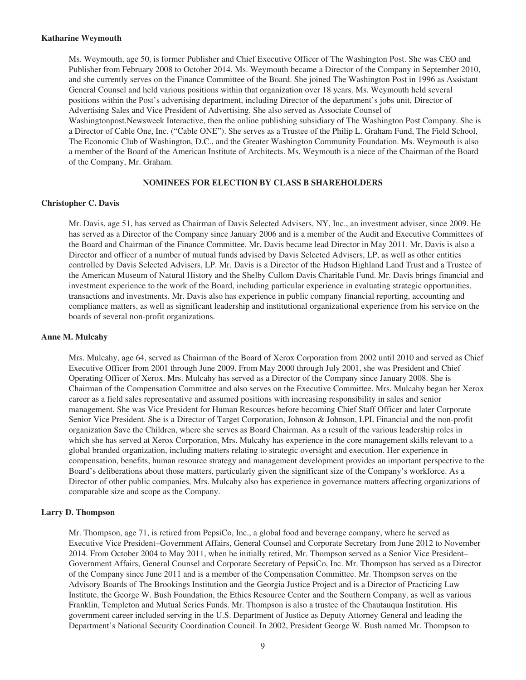#### **Katharine Weymouth**

Ms. Weymouth, age 50, is former Publisher and Chief Executive Officer of The Washington Post. She was CEO and Publisher from February 2008 to October 2014. Ms. Weymouth became a Director of the Company in September 2010, and she currently serves on the Finance Committee of the Board. She joined The Washington Post in 1996 as Assistant General Counsel and held various positions within that organization over 18 years. Ms. Weymouth held several positions within the Post's advertising department, including Director of the department's jobs unit, Director of Advertising Sales and Vice President of Advertising. She also served as Associate Counsel of Washingtonpost.Newsweek Interactive, then the online publishing subsidiary of The Washington Post Company. She is a Director of Cable One, Inc. ("Cable ONE"). She serves as a Trustee of the Philip L. Graham Fund, The Field School,

The Economic Club of Washington, D.C., and the Greater Washington Community Foundation. Ms. Weymouth is also a member of the Board of the American Institute of Architects. Ms. Weymouth is a niece of the Chairman of the Board of the Company, Mr. Graham.

#### **NOMINEES FOR ELECTION BY CLASS B SHAREHOLDERS**

#### **Christopher C. Davis**

Mr. Davis, age 51, has served as Chairman of Davis Selected Advisers, NY, Inc., an investment adviser, since 2009. He has served as a Director of the Company since January 2006 and is a member of the Audit and Executive Committees of the Board and Chairman of the Finance Committee. Mr. Davis became lead Director in May 2011. Mr. Davis is also a Director and officer of a number of mutual funds advised by Davis Selected Advisers, LP, as well as other entities controlled by Davis Selected Advisers, LP. Mr. Davis is a Director of the Hudson Highland Land Trust and a Trustee of the American Museum of Natural History and the Shelby Cullom Davis Charitable Fund. Mr. Davis brings financial and investment experience to the work of the Board, including particular experience in evaluating strategic opportunities, transactions and investments. Mr. Davis also has experience in public company financial reporting, accounting and compliance matters, as well as significant leadership and institutional organizational experience from his service on the boards of several non-profit organizations.

#### **Anne M. Mulcahy**

Mrs. Mulcahy, age 64, served as Chairman of the Board of Xerox Corporation from 2002 until 2010 and served as Chief Executive Officer from 2001 through June 2009. From May 2000 through July 2001, she was President and Chief Operating Officer of Xerox. Mrs. Mulcahy has served as a Director of the Company since January 2008. She is Chairman of the Compensation Committee and also serves on the Executive Committee. Mrs. Mulcahy began her Xerox career as a field sales representative and assumed positions with increasing responsibility in sales and senior management. She was Vice President for Human Resources before becoming Chief Staff Officer and later Corporate Senior Vice President. She is a Director of Target Corporation, Johnson & Johnson, LPL Financial and the non-profit organization Save the Children, where she serves as Board Chairman. As a result of the various leadership roles in which she has served at Xerox Corporation, Mrs. Mulcahy has experience in the core management skills relevant to a global branded organization, including matters relating to strategic oversight and execution. Her experience in compensation, benefits, human resource strategy and management development provides an important perspective to the Board's deliberations about those matters, particularly given the significant size of the Company's workforce. As a Director of other public companies, Mrs. Mulcahy also has experience in governance matters affecting organizations of comparable size and scope as the Company.

#### **Larry D. Thompson**

Mr. Thompson, age 71, is retired from PepsiCo, Inc., a global food and beverage company, where he served as Executive Vice President–Government Affairs, General Counsel and Corporate Secretary from June 2012 to November 2014. From October 2004 to May 2011, when he initially retired, Mr. Thompson served as a Senior Vice President– Government Affairs, General Counsel and Corporate Secretary of PepsiCo, Inc. Mr. Thompson has served as a Director of the Company since June 2011 and is a member of the Compensation Committee. Mr. Thompson serves on the Advisory Boards of The Brookings Institution and the Georgia Justice Project and is a Director of Practicing Law Institute, the George W. Bush Foundation, the Ethics Resource Center and the Southern Company, as well as various Franklin, Templeton and Mutual Series Funds. Mr. Thompson is also a trustee of the Chautauqua Institution. His government career included serving in the U.S. Department of Justice as Deputy Attorney General and leading the Department's National Security Coordination Council. In 2002, President George W. Bush named Mr. Thompson to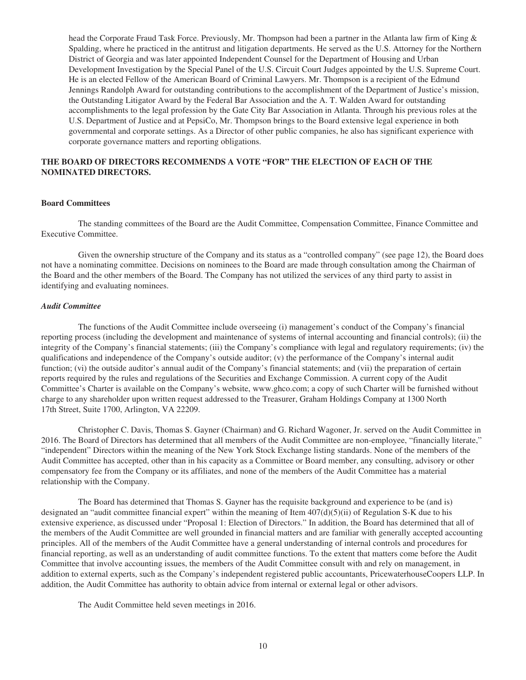head the Corporate Fraud Task Force. Previously, Mr. Thompson had been a partner in the Atlanta law firm of King & Spalding, where he practiced in the antitrust and litigation departments. He served as the U.S. Attorney for the Northern District of Georgia and was later appointed Independent Counsel for the Department of Housing and Urban Development Investigation by the Special Panel of the U.S. Circuit Court Judges appointed by the U.S. Supreme Court. He is an elected Fellow of the American Board of Criminal Lawyers. Mr. Thompson is a recipient of the Edmund Jennings Randolph Award for outstanding contributions to the accomplishment of the Department of Justice's mission, the Outstanding Litigator Award by the Federal Bar Association and the A. T. Walden Award for outstanding accomplishments to the legal profession by the Gate City Bar Association in Atlanta. Through his previous roles at the U.S. Department of Justice and at PepsiCo, Mr. Thompson brings to the Board extensive legal experience in both governmental and corporate settings. As a Director of other public companies, he also has significant experience with corporate governance matters and reporting obligations.

# **THE BOARD OF DIRECTORS RECOMMENDS A VOTE "FOR" THE ELECTION OF EACH OF THE NOMINATED DIRECTORS.**

#### **Board Committees**

The standing committees of the Board are the Audit Committee, Compensation Committee, Finance Committee and Executive Committee.

Given the ownership structure of the Company and its status as a "controlled company" (see page 12), the Board does not have a nominating committee. Decisions on nominees to the Board are made through consultation among the Chairman of the Board and the other members of the Board. The Company has not utilized the services of any third party to assist in identifying and evaluating nominees.

#### *Audit Committee*

The functions of the Audit Committee include overseeing (i) management's conduct of the Company's financial reporting process (including the development and maintenance of systems of internal accounting and financial controls); (ii) the integrity of the Company's financial statements; (iii) the Company's compliance with legal and regulatory requirements; (iv) the qualifications and independence of the Company's outside auditor; (v) the performance of the Company's internal audit function; (vi) the outside auditor's annual audit of the Company's financial statements; and (vii) the preparation of certain reports required by the rules and regulations of the Securities and Exchange Commission. A current copy of the Audit Committee's Charter is available on the Company's website, www.ghco.com; a copy of such Charter will be furnished without charge to any shareholder upon written request addressed to the Treasurer, Graham Holdings Company at 1300 North 17th Street, Suite 1700, Arlington, VA 22209.

Christopher C. Davis, Thomas S. Gayner (Chairman) and G. Richard Wagoner, Jr. served on the Audit Committee in 2016. The Board of Directors has determined that all members of the Audit Committee are non-employee, "financially literate," "independent" Directors within the meaning of the New York Stock Exchange listing standards. None of the members of the Audit Committee has accepted, other than in his capacity as a Committee or Board member, any consulting, advisory or other compensatory fee from the Company or its affiliates, and none of the members of the Audit Committee has a material relationship with the Company.

The Board has determined that Thomas S. Gayner has the requisite background and experience to be (and is) designated an "audit committee financial expert" within the meaning of Item  $407(d)(5)(ii)$  of Regulation S-K due to his extensive experience, as discussed under "Proposal 1: Election of Directors." In addition, the Board has determined that all of the members of the Audit Committee are well grounded in financial matters and are familiar with generally accepted accounting principles. All of the members of the Audit Committee have a general understanding of internal controls and procedures for financial reporting, as well as an understanding of audit committee functions. To the extent that matters come before the Audit Committee that involve accounting issues, the members of the Audit Committee consult with and rely on management, in addition to external experts, such as the Company's independent registered public accountants, PricewaterhouseCoopers LLP. In addition, the Audit Committee has authority to obtain advice from internal or external legal or other advisors.

The Audit Committee held seven meetings in 2016.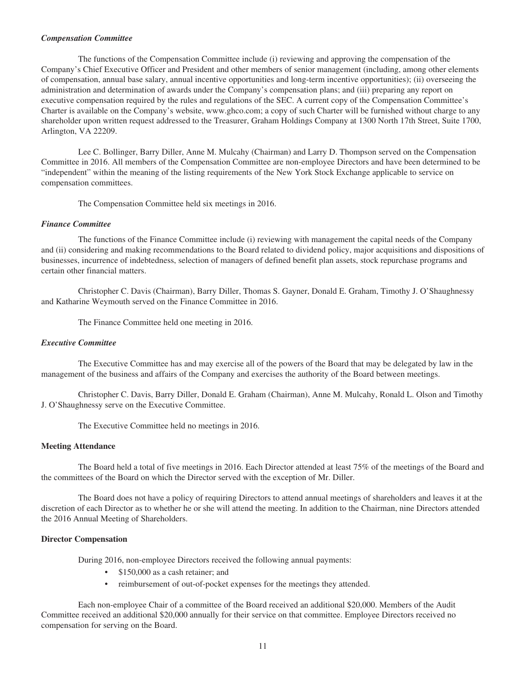#### *Compensation Committee*

The functions of the Compensation Committee include (i) reviewing and approving the compensation of the Company's Chief Executive Officer and President and other members of senior management (including, among other elements of compensation, annual base salary, annual incentive opportunities and long-term incentive opportunities); (ii) overseeing the administration and determination of awards under the Company's compensation plans; and (iii) preparing any report on executive compensation required by the rules and regulations of the SEC. A current copy of the Compensation Committee's Charter is available on the Company's website, www.ghco.com; a copy of such Charter will be furnished without charge to any shareholder upon written request addressed to the Treasurer, Graham Holdings Company at 1300 North 17th Street, Suite 1700, Arlington, VA 22209.

Lee C. Bollinger, Barry Diller, Anne M. Mulcahy (Chairman) and Larry D. Thompson served on the Compensation Committee in 2016. All members of the Compensation Committee are non-employee Directors and have been determined to be "independent" within the meaning of the listing requirements of the New York Stock Exchange applicable to service on compensation committees.

The Compensation Committee held six meetings in 2016.

#### *Finance Committee*

The functions of the Finance Committee include (i) reviewing with management the capital needs of the Company and (ii) considering and making recommendations to the Board related to dividend policy, major acquisitions and dispositions of businesses, incurrence of indebtedness, selection of managers of defined benefit plan assets, stock repurchase programs and certain other financial matters.

Christopher C. Davis (Chairman), Barry Diller, Thomas S. Gayner, Donald E. Graham, Timothy J. O'Shaughnessy and Katharine Weymouth served on the Finance Committee in 2016.

The Finance Committee held one meeting in 2016.

#### *Executive Committee*

The Executive Committee has and may exercise all of the powers of the Board that may be delegated by law in the management of the business and affairs of the Company and exercises the authority of the Board between meetings.

Christopher C. Davis, Barry Diller, Donald E. Graham (Chairman), Anne M. Mulcahy, Ronald L. Olson and Timothy J. O'Shaughnessy serve on the Executive Committee.

The Executive Committee held no meetings in 2016.

#### **Meeting Attendance**

The Board held a total of five meetings in 2016. Each Director attended at least 75% of the meetings of the Board and the committees of the Board on which the Director served with the exception of Mr. Diller.

The Board does not have a policy of requiring Directors to attend annual meetings of shareholders and leaves it at the discretion of each Director as to whether he or she will attend the meeting. In addition to the Chairman, nine Directors attended the 2016 Annual Meeting of Shareholders.

#### **Director Compensation**

During 2016, non-employee Directors received the following annual payments:

- \$150,000 as a cash retainer; and
- reimbursement of out-of-pocket expenses for the meetings they attended.

Each non-employee Chair of a committee of the Board received an additional \$20,000. Members of the Audit Committee received an additional \$20,000 annually for their service on that committee. Employee Directors received no compensation for serving on the Board.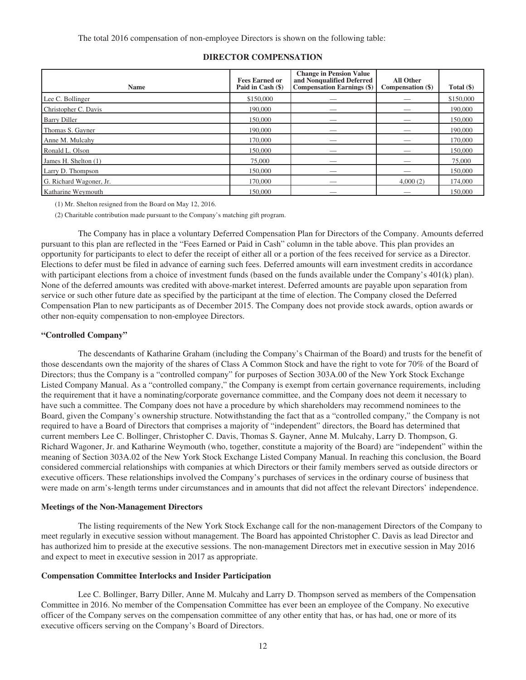The total 2016 compensation of non-employee Directors is shown on the following table:

| <b>Name</b>             | <b>Fees Earned or</b><br>Paid in Cash (\$) | <b>Change in Pension Value</b><br>and Nonqualified Deferred<br><b>Compensation Earnings (\$)</b> | All Other<br>Compensation (\$) | Total $(\$)$ |
|-------------------------|--------------------------------------------|--------------------------------------------------------------------------------------------------|--------------------------------|--------------|
| Lee C. Bollinger        | \$150,000                                  |                                                                                                  |                                | \$150,000    |
| Christopher C. Davis    | 190,000                                    |                                                                                                  |                                | 190,000      |
| <b>Barry Diller</b>     | 150,000                                    |                                                                                                  |                                | 150,000      |
| Thomas S. Gayner        | 190,000                                    |                                                                                                  |                                | 190,000      |
| Anne M. Mulcahy         | 170,000                                    |                                                                                                  |                                | 170,000      |
| Ronald L. Olson         | 150,000                                    |                                                                                                  |                                | 150,000      |
| James H. Shelton (1)    | 75,000                                     |                                                                                                  |                                | 75,000       |
| Larry D. Thompson       | 150,000                                    |                                                                                                  |                                | 150,000      |
| G. Richard Wagoner, Jr. | 170,000                                    |                                                                                                  | 4,000(2)                       | 174,000      |
| Katharine Weymouth      | 150,000                                    |                                                                                                  |                                | 150,000      |

# **DIRECTOR COMPENSATION**

(1) Mr. Shelton resigned from the Board on May 12, 2016.

(2) Charitable contribution made pursuant to the Company's matching gift program.

The Company has in place a voluntary Deferred Compensation Plan for Directors of the Company. Amounts deferred pursuant to this plan are reflected in the "Fees Earned or Paid in Cash" column in the table above. This plan provides an opportunity for participants to elect to defer the receipt of either all or a portion of the fees received for service as a Director. Elections to defer must be filed in advance of earning such fees. Deferred amounts will earn investment credits in accordance with participant elections from a choice of investment funds (based on the funds available under the Company's 401(k) plan). None of the deferred amounts was credited with above-market interest. Deferred amounts are payable upon separation from service or such other future date as specified by the participant at the time of election. The Company closed the Deferred Compensation Plan to new participants as of December 2015. The Company does not provide stock awards, option awards or other non-equity compensation to non-employee Directors.

#### **"Controlled Company"**

The descendants of Katharine Graham (including the Company's Chairman of the Board) and trusts for the benefit of those descendants own the majority of the shares of Class A Common Stock and have the right to vote for 70% of the Board of Directors; thus the Company is a "controlled company" for purposes of Section 303A.00 of the New York Stock Exchange Listed Company Manual. As a "controlled company," the Company is exempt from certain governance requirements, including the requirement that it have a nominating/corporate governance committee, and the Company does not deem it necessary to have such a committee. The Company does not have a procedure by which shareholders may recommend nominees to the Board, given the Company's ownership structure. Notwithstanding the fact that as a "controlled company," the Company is not required to have a Board of Directors that comprises a majority of "independent" directors, the Board has determined that current members Lee C. Bollinger, Christopher C. Davis, Thomas S. Gayner, Anne M. Mulcahy, Larry D. Thompson, G. Richard Wagoner, Jr. and Katharine Weymouth (who, together, constitute a majority of the Board) are "independent" within the meaning of Section 303A.02 of the New York Stock Exchange Listed Company Manual. In reaching this conclusion, the Board considered commercial relationships with companies at which Directors or their family members served as outside directors or executive officers. These relationships involved the Company's purchases of services in the ordinary course of business that were made on arm's-length terms under circumstances and in amounts that did not affect the relevant Directors' independence.

#### **Meetings of the Non-Management Directors**

The listing requirements of the New York Stock Exchange call for the non-management Directors of the Company to meet regularly in executive session without management. The Board has appointed Christopher C. Davis as lead Director and has authorized him to preside at the executive sessions. The non-management Directors met in executive session in May 2016 and expect to meet in executive session in 2017 as appropriate.

#### **Compensation Committee Interlocks and Insider Participation**

Lee C. Bollinger, Barry Diller, Anne M. Mulcahy and Larry D. Thompson served as members of the Compensation Committee in 2016. No member of the Compensation Committee has ever been an employee of the Company. No executive officer of the Company serves on the compensation committee of any other entity that has, or has had, one or more of its executive officers serving on the Company's Board of Directors.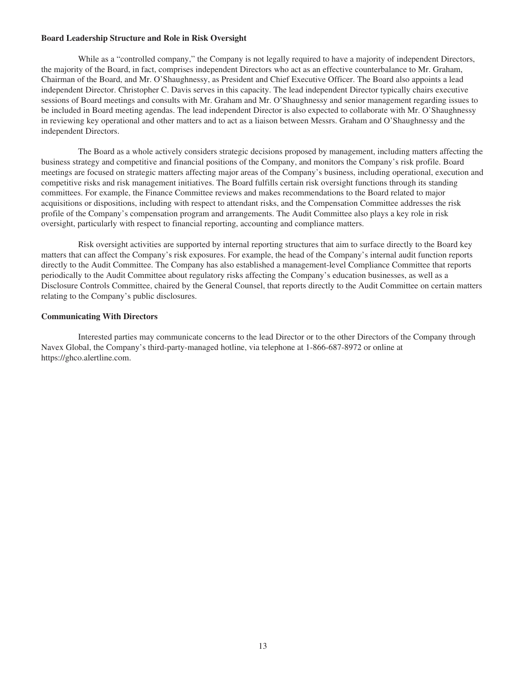# **Board Leadership Structure and Role in Risk Oversight**

While as a "controlled company," the Company is not legally required to have a majority of independent Directors, the majority of the Board, in fact, comprises independent Directors who act as an effective counterbalance to Mr. Graham, Chairman of the Board, and Mr. O'Shaughnessy, as President and Chief Executive Officer. The Board also appoints a lead independent Director. Christopher C. Davis serves in this capacity. The lead independent Director typically chairs executive sessions of Board meetings and consults with Mr. Graham and Mr. O'Shaughnessy and senior management regarding issues to be included in Board meeting agendas. The lead independent Director is also expected to collaborate with Mr. O'Shaughnessy in reviewing key operational and other matters and to act as a liaison between Messrs. Graham and O'Shaughnessy and the independent Directors.

The Board as a whole actively considers strategic decisions proposed by management, including matters affecting the business strategy and competitive and financial positions of the Company, and monitors the Company's risk profile. Board meetings are focused on strategic matters affecting major areas of the Company's business, including operational, execution and competitive risks and risk management initiatives. The Board fulfills certain risk oversight functions through its standing committees. For example, the Finance Committee reviews and makes recommendations to the Board related to major acquisitions or dispositions, including with respect to attendant risks, and the Compensation Committee addresses the risk profile of the Company's compensation program and arrangements. The Audit Committee also plays a key role in risk oversight, particularly with respect to financial reporting, accounting and compliance matters.

Risk oversight activities are supported by internal reporting structures that aim to surface directly to the Board key matters that can affect the Company's risk exposures. For example, the head of the Company's internal audit function reports directly to the Audit Committee. The Company has also established a management-level Compliance Committee that reports periodically to the Audit Committee about regulatory risks affecting the Company's education businesses, as well as a Disclosure Controls Committee, chaired by the General Counsel, that reports directly to the Audit Committee on certain matters relating to the Company's public disclosures.

# **Communicating With Directors**

Interested parties may communicate concerns to the lead Director or to the other Directors of the Company through Navex Global, the Company's third-party-managed hotline, via telephone at 1-866-687-8972 or online at https://ghco.alertline.com.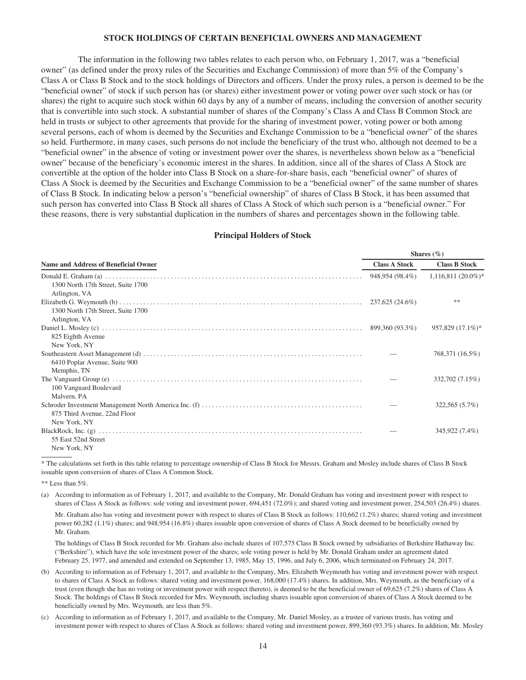#### **STOCK HOLDINGS OF CERTAIN BENEFICIAL OWNERS AND MANAGEMENT**

The information in the following two tables relates to each person who, on February 1, 2017, was a "beneficial owner" (as defined under the proxy rules of the Securities and Exchange Commission) of more than 5% of the Company's Class A or Class B Stock and to the stock holdings of Directors and officers. Under the proxy rules, a person is deemed to be the "beneficial owner" of stock if such person has (or shares) either investment power or voting power over such stock or has (or shares) the right to acquire such stock within 60 days by any of a number of means, including the conversion of another security that is convertible into such stock. A substantial number of shares of the Company's Class A and Class B Common Stock are held in trusts or subject to other agreements that provide for the sharing of investment power, voting power or both among several persons, each of whom is deemed by the Securities and Exchange Commission to be a "beneficial owner" of the shares so held. Furthermore, in many cases, such persons do not include the beneficiary of the trust who, although not deemed to be a "beneficial owner" in the absence of voting or investment power over the shares, is nevertheless shown below as a "beneficial owner" because of the beneficiary's economic interest in the shares. In addition, since all of the shares of Class A Stock are convertible at the option of the holder into Class B Stock on a share-for-share basis, each "beneficial owner" of shares of Class A Stock is deemed by the Securities and Exchange Commission to be a "beneficial owner" of the same number of shares of Class B Stock. In indicating below a person's "beneficial ownership" of shares of Class B Stock, it has been assumed that such person has converted into Class B Stock all shares of Class A Stock of which such person is a "beneficial owner." For these reasons, there is very substantial duplication in the numbers of shares and percentages shown in the following table.

#### **Principal Holders of Stock**

|                                                     | Shares $(\% )$       |                      |  |  |
|-----------------------------------------------------|----------------------|----------------------|--|--|
| Name and Address of Beneficial Owner                | <b>Class A Stock</b> | <b>Class B Stock</b> |  |  |
| 1300 North 17th Street, Suite 1700                  |                      | $1,116,811(20.0\%)*$ |  |  |
| Arlington, VA<br>1300 North 17th Street, Suite 1700 |                      | **                   |  |  |
| Arlington, VA<br>825 Eighth Avenue                  |                      | 957,829 (17.1%)*     |  |  |
| New York, NY<br>6410 Poplar Avenue, Suite 900       |                      | 768,371 (16.5%)      |  |  |
| Memphis, TN<br>100 Vanguard Boulevard               |                      | 332,702 (7.15%)      |  |  |
| Malvern, PA<br>875 Third Avenue, 22nd Floor         |                      | 322,565 (5.7%)       |  |  |
| New York, NY<br>55 East 52nd Street                 |                      | 345,922 (7.4%)       |  |  |
| New York, NY                                        |                      |                      |  |  |

\* The calculations set forth in this table relating to percentage ownership of Class B Stock for Messrs. Graham and Mosley include shares of Class B Stock issuable upon conversion of shares of Class A Common Stock.

 $**$  Less than 5%.

(a) According to information as of February 1, 2017, and available to the Company, Mr. Donald Graham has voting and investment power with respect to shares of Class A Stock as follows: sole voting and investment power, 694,451 (72.0%); and shared voting and investment power, 254,503 (26.4%) shares.

Mr. Graham also has voting and investment power with respect to shares of Class B Stock as follows: 110,662 (1.2%) shares; shared voting and investment power 60,282 (1.1%) shares; and 948,954 (16.8%) shares issuable upon conversion of shares of Class A Stock deemed to be beneficially owned by Mr. Graham.

The holdings of Class B Stock recorded for Mr. Graham also include shares of 107,575 Class B Stock owned by subsidiaries of Berkshire Hathaway Inc. ("Berkshire"), which have the sole investment power of the shares; sole voting power is held by Mr. Donald Graham under an agreement dated February 25, 1977, and amended and extended on September 13, 1985, May 15, 1996, and July 6, 2006, which terminated on February 24, 2017.

- (b) According to information as of February 1, 2017, and available to the Company, Mrs. Elizabeth Weymouth has voting and investment power with respect to shares of Class A Stock as follows: shared voting and investment power, 168,000 (17.4%) shares. In addition, Mrs. Weymouth, as the beneficiary of a trust (even though she has no voting or investment power with respect thereto), is deemed to be the beneficial owner of 69,625 (7.2%) shares of Class A Stock. The holdings of Class B Stock recorded for Mrs. Weymouth, including shares issuable upon conversion of shares of Class A Stock deemed to be beneficially owned by Mrs. Weymouth, are less than 5%.
- (c) According to information as of February 1, 2017, and available to the Company, Mr. Daniel Mosley, as a trustee of various trusts, has voting and investment power with respect to shares of Class A Stock as follows: shared voting and investment power, 899,360 (93.3%) shares. In addition, Mr. Mosley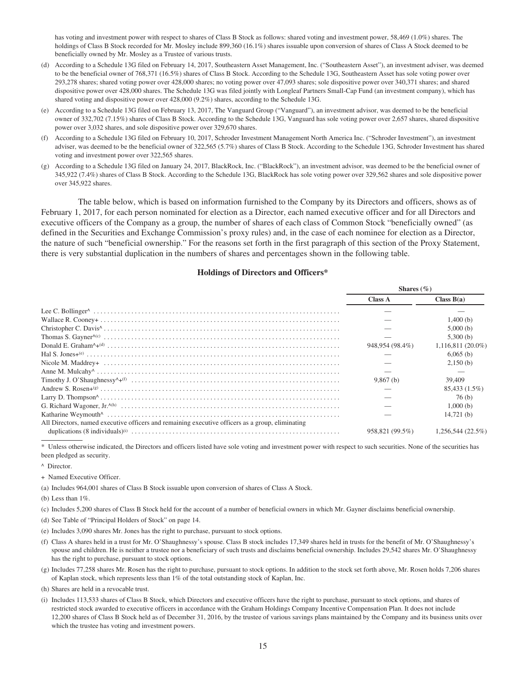has voting and investment power with respect to shares of Class B Stock as follows: shared voting and investment power, 58,469 (1.0%) shares. The holdings of Class B Stock recorded for Mr. Mosley include 899,360 (16.1%) shares issuable upon conversion of shares of Class A Stock deemed to be beneficially owned by Mr. Mosley as a Trustee of various trusts.

- (d) According to a Schedule 13G filed on February 14, 2017, Southeastern Asset Management, Inc. ("Southeastern Asset"), an investment adviser, was deemed to be the beneficial owner of 768,371 (16.5%) shares of Class B Stock. According to the Schedule 13G, Southeastern Asset has sole voting power over 293,278 shares; shared voting power over 428,000 shares; no voting power over 47,093 shares; sole dispositive power over 340,371 shares; and shared dispositive power over 428,000 shares. The Schedule 13G was filed jointly with Longleaf Partners Small-Cap Fund (an investment company), which has shared voting and dispositive power over 428,000 (9.2%) shares, according to the Schedule 13G.
- (e) According to a Schedule 13G filed on February 13, 2017, The Vanguard Group ("Vanguard"), an investment advisor, was deemed to be the beneficial owner of 332,702 (7.15%) shares of Class B Stock. According to the Schedule 13G, Vanguard has sole voting power over 2,657 shares, shared dispositive power over 3,032 shares, and sole dispositive power over 329,670 shares.
- (f) According to a Schedule 13G filed on February 10, 2017, Schroder Investment Management North America Inc. ("Schroder Investment"), an investment adviser, was deemed to be the beneficial owner of 322,565 (5.7%) shares of Class B Stock. According to the Schedule 13G, Schroder Investment has shared voting and investment power over 322,565 shares.
- (g) According to a Schedule 13G filed on January 24, 2017, BlackRock, Inc. ("BlackRock"), an investment advisor, was deemed to be the beneficial owner of 345,922 (7.4%) shares of Class B Stock. According to the Schedule 13G, BlackRock has sole voting power over 329,562 shares and sole dispositive power over 345,922 shares.

The table below, which is based on information furnished to the Company by its Directors and officers, shows as of February 1, 2017, for each person nominated for election as a Director, each named executive officer and for all Directors and executive officers of the Company as a group, the number of shares of each class of Common Stock "beneficially owned" (as defined in the Securities and Exchange Commission's proxy rules) and, in the case of each nominee for election as a Director, the nature of such "beneficial ownership." For the reasons set forth in the first paragraph of this section of the Proxy Statement, there is very substantial duplication in the numbers of shares and percentages shown in the following table.

#### **Holdings of Directors and Officers\***

|                                                                                                  | Shares $(\% )$  |                     |
|--------------------------------------------------------------------------------------------------|-----------------|---------------------|
|                                                                                                  | Class A         | Class $B(a)$        |
|                                                                                                  |                 |                     |
|                                                                                                  |                 | 1,400(b)            |
|                                                                                                  |                 | 5,000(b)            |
|                                                                                                  |                 | 5,300(b)            |
|                                                                                                  | 948,954 (98.4%) | $1,116,811(20.0\%)$ |
|                                                                                                  |                 | $6,065$ (b)         |
|                                                                                                  |                 | 2,150(b)            |
|                                                                                                  |                 |                     |
|                                                                                                  | $9,867$ (b)     | 39,409              |
|                                                                                                  |                 | 85,433 (1.5%)       |
|                                                                                                  |                 | 76(b)               |
|                                                                                                  |                 | 1,000(b)            |
|                                                                                                  |                 | 14,721(b)           |
| All Directors, named executive officers and remaining executive officers as a group, eliminating |                 |                     |
|                                                                                                  | 958.821 (99.5%) | 1.256.544 (22.5%)   |

\* Unless otherwise indicated, the Directors and officers listed have sole voting and investment power with respect to such securities. None of the securities has been pledged as security.

- ^ Director.
- + Named Executive Officer.
- (a) Includes 964,001 shares of Class B Stock issuable upon conversion of shares of Class A Stock.
- (b) Less than  $1\%$ .
- (c) Includes 5,200 shares of Class B Stock held for the account of a number of beneficial owners in which Mr. Gayner disclaims beneficial ownership.
- (d) See Table of "Principal Holders of Stock" on page 14.
- (e) Includes 3,090 shares Mr. Jones has the right to purchase, pursuant to stock options.
- (f) Class A shares held in a trust for Mr. O'Shaughnessy's spouse. Class B stock includes 17,349 shares held in trusts for the benefit of Mr. O'Shaughnessy's spouse and children. He is neither a trustee nor a beneficiary of such trusts and disclaims beneficial ownership. Includes 29,542 shares Mr. O'Shaughnessy has the right to purchase, pursuant to stock options.
- (g) Includes 77,258 shares Mr. Rosen has the right to purchase, pursuant to stock options. In addition to the stock set forth above, Mr. Rosen holds 7,206 shares of Kaplan stock, which represents less than 1% of the total outstanding stock of Kaplan, Inc.
- (h) Shares are held in a revocable trust.
- (i) Includes 113,533 shares of Class B Stock, which Directors and executive officers have the right to purchase, pursuant to stock options, and shares of restricted stock awarded to executive officers in accordance with the Graham Holdings Company Incentive Compensation Plan. It does not include 12,200 shares of Class B Stock held as of December 31, 2016, by the trustee of various savings plans maintained by the Company and its business units over which the trustee has voting and investment powers.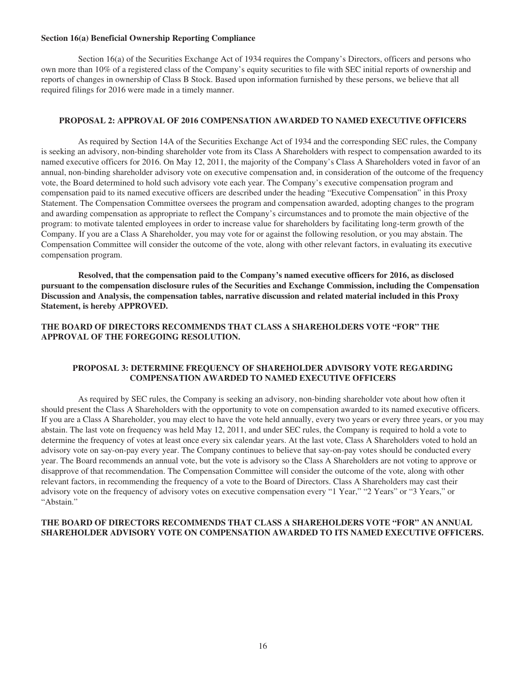#### **Section 16(a) Beneficial Ownership Reporting Compliance**

Section 16(a) of the Securities Exchange Act of 1934 requires the Company's Directors, officers and persons who own more than 10% of a registered class of the Company's equity securities to file with SEC initial reports of ownership and reports of changes in ownership of Class B Stock. Based upon information furnished by these persons, we believe that all required filings for 2016 were made in a timely manner.

# **PROPOSAL 2: APPROVAL OF 2016 COMPENSATION AWARDED TO NAMED EXECUTIVE OFFICERS**

As required by Section 14A of the Securities Exchange Act of 1934 and the corresponding SEC rules, the Company is seeking an advisory, non-binding shareholder vote from its Class A Shareholders with respect to compensation awarded to its named executive officers for 2016. On May 12, 2011, the majority of the Company's Class A Shareholders voted in favor of an annual, non-binding shareholder advisory vote on executive compensation and, in consideration of the outcome of the frequency vote, the Board determined to hold such advisory vote each year. The Company's executive compensation program and compensation paid to its named executive officers are described under the heading "Executive Compensation" in this Proxy Statement. The Compensation Committee oversees the program and compensation awarded, adopting changes to the program and awarding compensation as appropriate to reflect the Company's circumstances and to promote the main objective of the program: to motivate talented employees in order to increase value for shareholders by facilitating long-term growth of the Company. If you are a Class A Shareholder, you may vote for or against the following resolution, or you may abstain. The Compensation Committee will consider the outcome of the vote, along with other relevant factors, in evaluating its executive compensation program.

**Resolved, that the compensation paid to the Company's named executive officers for 2016, as disclosed pursuant to the compensation disclosure rules of the Securities and Exchange Commission, including the Compensation Discussion and Analysis, the compensation tables, narrative discussion and related material included in this Proxy Statement, is hereby APPROVED.**

**THE BOARD OF DIRECTORS RECOMMENDS THAT CLASS A SHAREHOLDERS VOTE "FOR" THE APPROVAL OF THE FOREGOING RESOLUTION.**

# **PROPOSAL 3: DETERMINE FREQUENCY OF SHAREHOLDER ADVISORY VOTE REGARDING COMPENSATION AWARDED TO NAMED EXECUTIVE OFFICERS**

As required by SEC rules, the Company is seeking an advisory, non-binding shareholder vote about how often it should present the Class A Shareholders with the opportunity to vote on compensation awarded to its named executive officers. If you are a Class A Shareholder, you may elect to have the vote held annually, every two years or every three years, or you may abstain. The last vote on frequency was held May 12, 2011, and under SEC rules, the Company is required to hold a vote to determine the frequency of votes at least once every six calendar years. At the last vote, Class A Shareholders voted to hold an advisory vote on say-on-pay every year. The Company continues to believe that say-on-pay votes should be conducted every year. The Board recommends an annual vote, but the vote is advisory so the Class A Shareholders are not voting to approve or disapprove of that recommendation. The Compensation Committee will consider the outcome of the vote, along with other relevant factors, in recommending the frequency of a vote to the Board of Directors. Class A Shareholders may cast their advisory vote on the frequency of advisory votes on executive compensation every "1 Year," "2 Years" or "3 Years," or "Abstain."

# **THE BOARD OF DIRECTORS RECOMMENDS THAT CLASS A SHAREHOLDERS VOTE "FOR" AN ANNUAL SHAREHOLDER ADVISORY VOTE ON COMPENSATION AWARDED TO ITS NAMED EXECUTIVE OFFICERS.**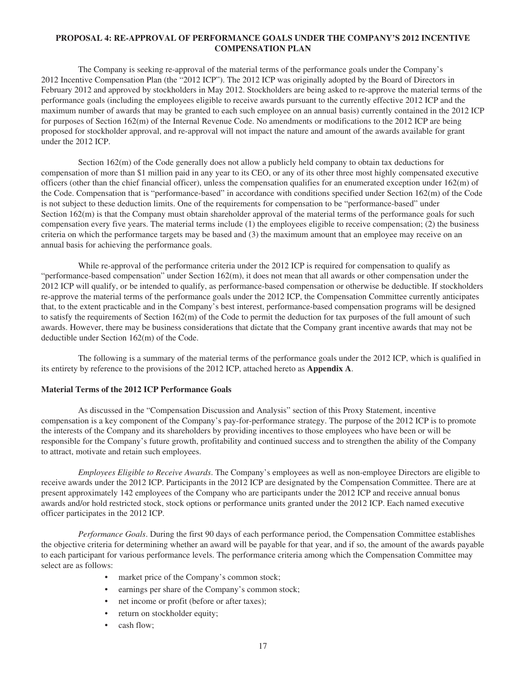# **PROPOSAL 4: RE-APPROVAL OF PERFORMANCE GOALS UNDER THE COMPANY'S 2012 INCENTIVE COMPENSATION PLAN**

The Company is seeking re-approval of the material terms of the performance goals under the Company's 2012 Incentive Compensation Plan (the "2012 ICP"). The 2012 ICP was originally adopted by the Board of Directors in February 2012 and approved by stockholders in May 2012. Stockholders are being asked to re-approve the material terms of the performance goals (including the employees eligible to receive awards pursuant to the currently effective 2012 ICP and the maximum number of awards that may be granted to each such employee on an annual basis) currently contained in the 2012 ICP for purposes of Section 162(m) of the Internal Revenue Code. No amendments or modifications to the 2012 ICP are being proposed for stockholder approval, and re-approval will not impact the nature and amount of the awards available for grant under the 2012 ICP.

Section 162(m) of the Code generally does not allow a publicly held company to obtain tax deductions for compensation of more than \$1 million paid in any year to its CEO, or any of its other three most highly compensated executive officers (other than the chief financial officer), unless the compensation qualifies for an enumerated exception under 162(m) of the Code. Compensation that is "performance-based" in accordance with conditions specified under Section 162(m) of the Code is not subject to these deduction limits. One of the requirements for compensation to be "performance-based" under Section 162(m) is that the Company must obtain shareholder approval of the material terms of the performance goals for such compensation every five years. The material terms include (1) the employees eligible to receive compensation; (2) the business criteria on which the performance targets may be based and (3) the maximum amount that an employee may receive on an annual basis for achieving the performance goals.

While re-approval of the performance criteria under the 2012 ICP is required for compensation to qualify as "performance-based compensation" under Section 162(m), it does not mean that all awards or other compensation under the 2012 ICP will qualify, or be intended to qualify, as performance-based compensation or otherwise be deductible. If stockholders re-approve the material terms of the performance goals under the 2012 ICP, the Compensation Committee currently anticipates that, to the extent practicable and in the Company's best interest, performance-based compensation programs will be designed to satisfy the requirements of Section 162(m) of the Code to permit the deduction for tax purposes of the full amount of such awards. However, there may be business considerations that dictate that the Company grant incentive awards that may not be deductible under Section 162(m) of the Code.

The following is a summary of the material terms of the performance goals under the 2012 ICP, which is qualified in its entirety by reference to the provisions of the 2012 ICP, attached hereto as **Appendix A**.

#### **Material Terms of the 2012 ICP Performance Goals**

As discussed in the "Compensation Discussion and Analysis" section of this Proxy Statement, incentive compensation is a key component of the Company's pay-for-performance strategy. The purpose of the 2012 ICP is to promote the interests of the Company and its shareholders by providing incentives to those employees who have been or will be responsible for the Company's future growth, profitability and continued success and to strengthen the ability of the Company to attract, motivate and retain such employees.

*Employees Eligible to Receive Awards*. The Company's employees as well as non-employee Directors are eligible to receive awards under the 2012 ICP. Participants in the 2012 ICP are designated by the Compensation Committee. There are at present approximately 142 employees of the Company who are participants under the 2012 ICP and receive annual bonus awards and/or hold restricted stock, stock options or performance units granted under the 2012 ICP. Each named executive officer participates in the 2012 ICP.

*Performance Goals*. During the first 90 days of each performance period, the Compensation Committee establishes the objective criteria for determining whether an award will be payable for that year, and if so, the amount of the awards payable to each participant for various performance levels. The performance criteria among which the Compensation Committee may select are as follows:

- market price of the Company's common stock;
- earnings per share of the Company's common stock;
- net income or profit (before or after taxes);
- return on stockholder equity;
- cash flow: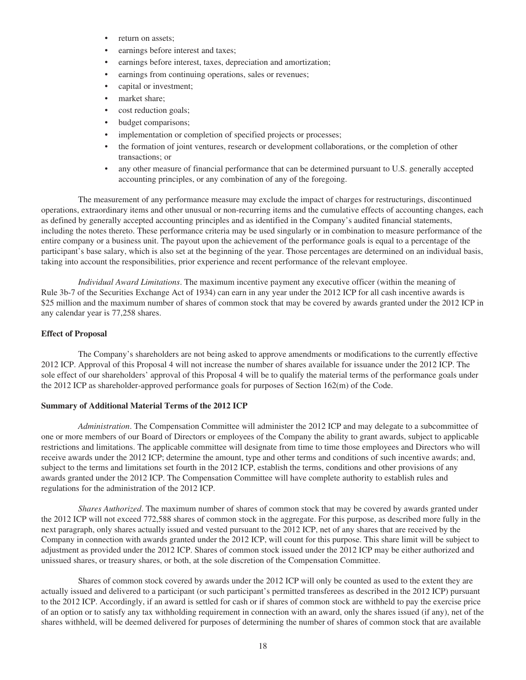- return on assets;
- earnings before interest and taxes;
- earnings before interest, taxes, depreciation and amortization;
- earnings from continuing operations, sales or revenues;
- capital or investment;
- market share;
- cost reduction goals;
- budget comparisons;
- implementation or completion of specified projects or processes;
- the formation of joint ventures, research or development collaborations, or the completion of other transactions; or
- any other measure of financial performance that can be determined pursuant to U.S. generally accepted accounting principles, or any combination of any of the foregoing.

The measurement of any performance measure may exclude the impact of charges for restructurings, discontinued operations, extraordinary items and other unusual or non-recurring items and the cumulative effects of accounting changes, each as defined by generally accepted accounting principles and as identified in the Company's audited financial statements, including the notes thereto. These performance criteria may be used singularly or in combination to measure performance of the entire company or a business unit. The payout upon the achievement of the performance goals is equal to a percentage of the participant's base salary, which is also set at the beginning of the year. Those percentages are determined on an individual basis, taking into account the responsibilities, prior experience and recent performance of the relevant employee.

*Individual Award Limitations*. The maximum incentive payment any executive officer (within the meaning of Rule 3b-7 of the Securities Exchange Act of 1934) can earn in any year under the 2012 ICP for all cash incentive awards is \$25 million and the maximum number of shares of common stock that may be covered by awards granted under the 2012 ICP in any calendar year is 77,258 shares.

# **Effect of Proposal**

The Company's shareholders are not being asked to approve amendments or modifications to the currently effective 2012 ICP. Approval of this Proposal 4 will not increase the number of shares available for issuance under the 2012 ICP. The sole effect of our shareholders' approval of this Proposal 4 will be to qualify the material terms of the performance goals under the 2012 ICP as shareholder-approved performance goals for purposes of Section 162(m) of the Code.

#### **Summary of Additional Material Terms of the 2012 ICP**

*Administration*. The Compensation Committee will administer the 2012 ICP and may delegate to a subcommittee of one or more members of our Board of Directors or employees of the Company the ability to grant awards, subject to applicable restrictions and limitations. The applicable committee will designate from time to time those employees and Directors who will receive awards under the 2012 ICP; determine the amount, type and other terms and conditions of such incentive awards; and, subject to the terms and limitations set fourth in the 2012 ICP, establish the terms, conditions and other provisions of any awards granted under the 2012 ICP. The Compensation Committee will have complete authority to establish rules and regulations for the administration of the 2012 ICP.

*Shares Authorized*. The maximum number of shares of common stock that may be covered by awards granted under the 2012 ICP will not exceed 772,588 shares of common stock in the aggregate. For this purpose, as described more fully in the next paragraph, only shares actually issued and vested pursuant to the 2012 ICP, net of any shares that are received by the Company in connection with awards granted under the 2012 ICP, will count for this purpose. This share limit will be subject to adjustment as provided under the 2012 ICP. Shares of common stock issued under the 2012 ICP may be either authorized and unissued shares, or treasury shares, or both, at the sole discretion of the Compensation Committee.

Shares of common stock covered by awards under the 2012 ICP will only be counted as used to the extent they are actually issued and delivered to a participant (or such participant's permitted transferees as described in the 2012 ICP) pursuant to the 2012 ICP. Accordingly, if an award is settled for cash or if shares of common stock are withheld to pay the exercise price of an option or to satisfy any tax withholding requirement in connection with an award, only the shares issued (if any), net of the shares withheld, will be deemed delivered for purposes of determining the number of shares of common stock that are available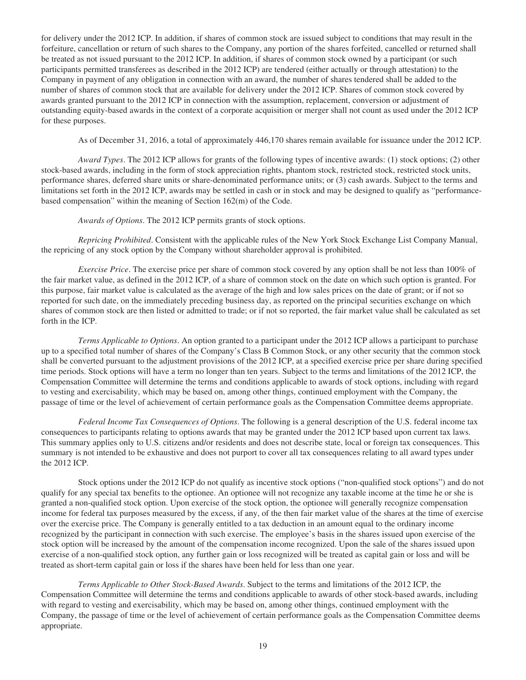for delivery under the 2012 ICP. In addition, if shares of common stock are issued subject to conditions that may result in the forfeiture, cancellation or return of such shares to the Company, any portion of the shares forfeited, cancelled or returned shall be treated as not issued pursuant to the 2012 ICP. In addition, if shares of common stock owned by a participant (or such participants permitted transferees as described in the 2012 ICP) are tendered (either actually or through attestation) to the Company in payment of any obligation in connection with an award, the number of shares tendered shall be added to the number of shares of common stock that are available for delivery under the 2012 ICP. Shares of common stock covered by awards granted pursuant to the 2012 ICP in connection with the assumption, replacement, conversion or adjustment of outstanding equity-based awards in the context of a corporate acquisition or merger shall not count as used under the 2012 ICP for these purposes.

As of December 31, 2016, a total of approximately 446,170 shares remain available for issuance under the 2012 ICP.

*Award Types*. The 2012 ICP allows for grants of the following types of incentive awards: (1) stock options; (2) other stock-based awards, including in the form of stock appreciation rights, phantom stock, restricted stock, restricted stock units, performance shares, deferred share units or share-denominated performance units; or (3) cash awards. Subject to the terms and limitations set forth in the 2012 ICP, awards may be settled in cash or in stock and may be designed to qualify as "performancebased compensation" within the meaning of Section 162(m) of the Code.

*Awards of Options*. The 2012 ICP permits grants of stock options.

*Repricing Prohibited*. Consistent with the applicable rules of the New York Stock Exchange List Company Manual, the repricing of any stock option by the Company without shareholder approval is prohibited.

*Exercise Price*. The exercise price per share of common stock covered by any option shall be not less than 100% of the fair market value, as defined in the 2012 ICP, of a share of common stock on the date on which such option is granted. For this purpose, fair market value is calculated as the average of the high and low sales prices on the date of grant; or if not so reported for such date, on the immediately preceding business day, as reported on the principal securities exchange on which shares of common stock are then listed or admitted to trade; or if not so reported, the fair market value shall be calculated as set forth in the ICP.

*Terms Applicable to Options*. An option granted to a participant under the 2012 ICP allows a participant to purchase up to a specified total number of shares of the Company's Class B Common Stock, or any other security that the common stock shall be converted pursuant to the adjustment provisions of the 2012 ICP, at a specified exercise price per share during specified time periods. Stock options will have a term no longer than ten years. Subject to the terms and limitations of the 2012 ICP, the Compensation Committee will determine the terms and conditions applicable to awards of stock options, including with regard to vesting and exercisability, which may be based on, among other things, continued employment with the Company, the passage of time or the level of achievement of certain performance goals as the Compensation Committee deems appropriate.

*Federal Income Tax Consequences of Options*. The following is a general description of the U.S. federal income tax consequences to participants relating to options awards that may be granted under the 2012 ICP based upon current tax laws. This summary applies only to U.S. citizens and/or residents and does not describe state, local or foreign tax consequences. This summary is not intended to be exhaustive and does not purport to cover all tax consequences relating to all award types under the 2012 ICP.

Stock options under the 2012 ICP do not qualify as incentive stock options ("non-qualified stock options") and do not qualify for any special tax benefits to the optionee. An optionee will not recognize any taxable income at the time he or she is granted a non-qualified stock option. Upon exercise of the stock option, the optionee will generally recognize compensation income for federal tax purposes measured by the excess, if any, of the then fair market value of the shares at the time of exercise over the exercise price. The Company is generally entitled to a tax deduction in an amount equal to the ordinary income recognized by the participant in connection with such exercise. The employee's basis in the shares issued upon exercise of the stock option will be increased by the amount of the compensation income recognized. Upon the sale of the shares issued upon exercise of a non-qualified stock option, any further gain or loss recognized will be treated as capital gain or loss and will be treated as short-term capital gain or loss if the shares have been held for less than one year.

*Terms Applicable to Other Stock-Based Awards*. Subject to the terms and limitations of the 2012 ICP, the Compensation Committee will determine the terms and conditions applicable to awards of other stock-based awards, including with regard to vesting and exercisability, which may be based on, among other things, continued employment with the Company, the passage of time or the level of achievement of certain performance goals as the Compensation Committee deems appropriate.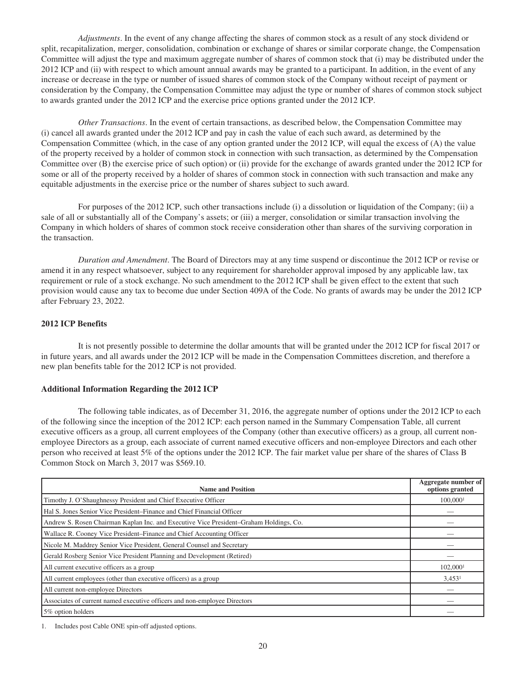*Adjustments*. In the event of any change affecting the shares of common stock as a result of any stock dividend or split, recapitalization, merger, consolidation, combination or exchange of shares or similar corporate change, the Compensation Committee will adjust the type and maximum aggregate number of shares of common stock that (i) may be distributed under the 2012 ICP and (ii) with respect to which amount annual awards may be granted to a participant. In addition, in the event of any increase or decrease in the type or number of issued shares of common stock of the Company without receipt of payment or consideration by the Company, the Compensation Committee may adjust the type or number of shares of common stock subject to awards granted under the 2012 ICP and the exercise price options granted under the 2012 ICP.

*Other Transactions*. In the event of certain transactions, as described below, the Compensation Committee may (i) cancel all awards granted under the 2012 ICP and pay in cash the value of each such award, as determined by the Compensation Committee (which, in the case of any option granted under the 2012 ICP, will equal the excess of (A) the value of the property received by a holder of common stock in connection with such transaction, as determined by the Compensation Committee over (B) the exercise price of such option) or (ii) provide for the exchange of awards granted under the 2012 ICP for some or all of the property received by a holder of shares of common stock in connection with such transaction and make any equitable adjustments in the exercise price or the number of shares subject to such award.

For purposes of the 2012 ICP, such other transactions include (i) a dissolution or liquidation of the Company; (ii) a sale of all or substantially all of the Company's assets; or (iii) a merger, consolidation or similar transaction involving the Company in which holders of shares of common stock receive consideration other than shares of the surviving corporation in the transaction.

*Duration and Amendment*. The Board of Directors may at any time suspend or discontinue the 2012 ICP or revise or amend it in any respect whatsoever, subject to any requirement for shareholder approval imposed by any applicable law, tax requirement or rule of a stock exchange. No such amendment to the 2012 ICP shall be given effect to the extent that such provision would cause any tax to become due under Section 409A of the Code. No grants of awards may be under the 2012 ICP after February 23, 2022.

# **2012 ICP Benefits**

It is not presently possible to determine the dollar amounts that will be granted under the 2012 ICP for fiscal 2017 or in future years, and all awards under the 2012 ICP will be made in the Compensation Committees discretion, and therefore a new plan benefits table for the 2012 ICP is not provided.

#### **Additional Information Regarding the 2012 ICP**

The following table indicates, as of December 31, 2016, the aggregate number of options under the 2012 ICP to each of the following since the inception of the 2012 ICP: each person named in the Summary Compensation Table, all current executive officers as a group, all current employees of the Company (other than executive officers) as a group, all current nonemployee Directors as a group, each associate of current named executive officers and non-employee Directors and each other person who received at least 5% of the options under the 2012 ICP. The fair market value per share of the shares of Class B Common Stock on March 3, 2017 was \$569.10.

| <b>Name and Position</b>                                                               | Aggregate number of<br>options granted |
|----------------------------------------------------------------------------------------|----------------------------------------|
| Timothy J. O'Shaughnessy President and Chief Executive Officer                         | 100,000 <sup>1</sup>                   |
| Hal S. Jones Senior Vice President–Finance and Chief Financial Officer                 |                                        |
| Andrew S. Rosen Chairman Kaplan Inc. and Executive Vice President-Graham Holdings, Co. |                                        |
| Wallace R. Cooney Vice President–Finance and Chief Accounting Officer                  |                                        |
| Nicole M. Maddrey Senior Vice President, General Counsel and Secretary                 |                                        |
| Gerald Rosberg Senior Vice President Planning and Development (Retired)                |                                        |
| All current executive officers as a group                                              | 102,0001                               |
| All current employees (other than executive officers) as a group                       | 3,453 <sup>1</sup>                     |
| All current non-employee Directors                                                     |                                        |
| Associates of current named executive officers and non-employee Directors              |                                        |
| 5% option holders                                                                      |                                        |

1. Includes post Cable ONE spin-off adjusted options.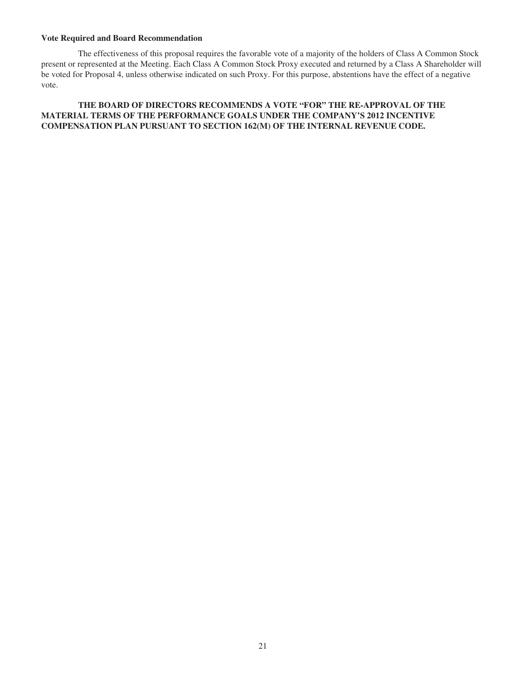#### **Vote Required and Board Recommendation**

The effectiveness of this proposal requires the favorable vote of a majority of the holders of Class A Common Stock present or represented at the Meeting. Each Class A Common Stock Proxy executed and returned by a Class A Shareholder will be voted for Proposal 4, unless otherwise indicated on such Proxy. For this purpose, abstentions have the effect of a negative vote.

# **THE BOARD OF DIRECTORS RECOMMENDS A VOTE "FOR" THE RE-APPROVAL OF THE MATERIAL TERMS OF THE PERFORMANCE GOALS UNDER THE COMPANY'S 2012 INCENTIVE COMPENSATION PLAN PURSUANT TO SECTION 162(M) OF THE INTERNAL REVENUE CODE.**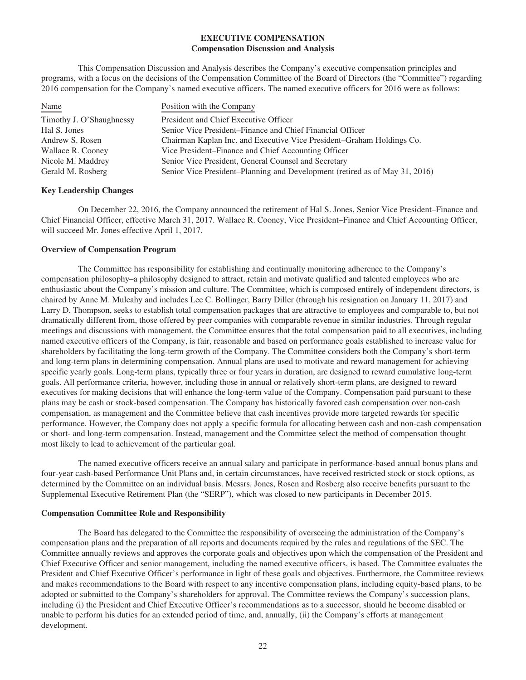# **EXECUTIVE COMPENSATION Compensation Discussion and Analysis**

This Compensation Discussion and Analysis describes the Company's executive compensation principles and programs, with a focus on the decisions of the Compensation Committee of the Board of Directors (the "Committee") regarding 2016 compensation for the Company's named executive officers. The named executive officers for 2016 were as follows:

| Name                     | Position with the Company                                                   |
|--------------------------|-----------------------------------------------------------------------------|
| Timothy J. O'Shaughnessy | President and Chief Executive Officer                                       |
| Hal S. Jones             | Senior Vice President–Finance and Chief Financial Officer                   |
| Andrew S. Rosen          | Chairman Kaplan Inc. and Executive Vice President–Graham Holdings Co.       |
| Wallace R. Cooney        | Vice President–Finance and Chief Accounting Officer                         |
| Nicole M. Maddrey        | Senior Vice President, General Counsel and Secretary                        |
| Gerald M. Rosberg        | Senior Vice President–Planning and Development (retired as of May 31, 2016) |

#### **Key Leadership Changes**

On December 22, 2016, the Company announced the retirement of Hal S. Jones, Senior Vice President–Finance and Chief Financial Officer, effective March 31, 2017. Wallace R. Cooney, Vice President–Finance and Chief Accounting Officer, will succeed Mr. Jones effective April 1, 2017.

#### **Overview of Compensation Program**

The Committee has responsibility for establishing and continually monitoring adherence to the Company's compensation philosophy–a philosophy designed to attract, retain and motivate qualified and talented employees who are enthusiastic about the Company's mission and culture. The Committee, which is composed entirely of independent directors, is chaired by Anne M. Mulcahy and includes Lee C. Bollinger, Barry Diller (through his resignation on January 11, 2017) and Larry D. Thompson, seeks to establish total compensation packages that are attractive to employees and comparable to, but not dramatically different from, those offered by peer companies with comparable revenue in similar industries. Through regular meetings and discussions with management, the Committee ensures that the total compensation paid to all executives, including named executive officers of the Company, is fair, reasonable and based on performance goals established to increase value for shareholders by facilitating the long-term growth of the Company. The Committee considers both the Company's short-term and long-term plans in determining compensation. Annual plans are used to motivate and reward management for achieving specific yearly goals. Long-term plans, typically three or four years in duration, are designed to reward cumulative long-term goals. All performance criteria, however, including those in annual or relatively short-term plans, are designed to reward executives for making decisions that will enhance the long-term value of the Company. Compensation paid pursuant to these plans may be cash or stock-based compensation. The Company has historically favored cash compensation over non-cash compensation, as management and the Committee believe that cash incentives provide more targeted rewards for specific performance. However, the Company does not apply a specific formula for allocating between cash and non-cash compensation or short- and long-term compensation. Instead, management and the Committee select the method of compensation thought most likely to lead to achievement of the particular goal.

The named executive officers receive an annual salary and participate in performance-based annual bonus plans and four-year cash-based Performance Unit Plans and, in certain circumstances, have received restricted stock or stock options, as determined by the Committee on an individual basis. Messrs. Jones, Rosen and Rosberg also receive benefits pursuant to the Supplemental Executive Retirement Plan (the "SERP"), which was closed to new participants in December 2015.

#### **Compensation Committee Role and Responsibility**

The Board has delegated to the Committee the responsibility of overseeing the administration of the Company's compensation plans and the preparation of all reports and documents required by the rules and regulations of the SEC. The Committee annually reviews and approves the corporate goals and objectives upon which the compensation of the President and Chief Executive Officer and senior management, including the named executive officers, is based. The Committee evaluates the President and Chief Executive Officer's performance in light of these goals and objectives. Furthermore, the Committee reviews and makes recommendations to the Board with respect to any incentive compensation plans, including equity-based plans, to be adopted or submitted to the Company's shareholders for approval. The Committee reviews the Company's succession plans, including (i) the President and Chief Executive Officer's recommendations as to a successor, should he become disabled or unable to perform his duties for an extended period of time, and, annually, (ii) the Company's efforts at management development.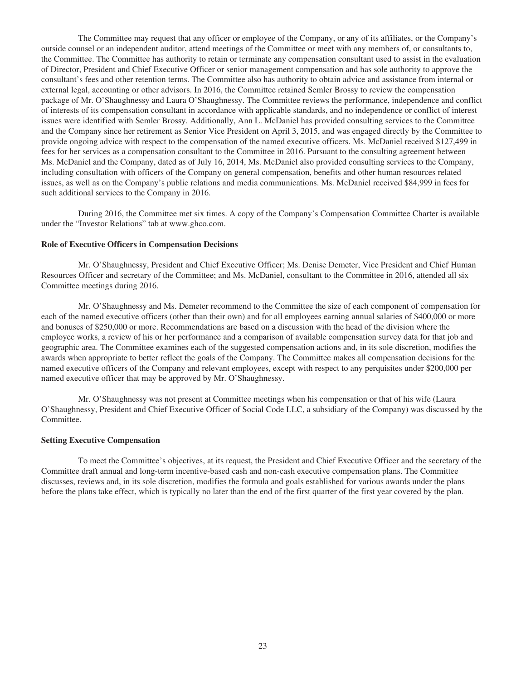The Committee may request that any officer or employee of the Company, or any of its affiliates, or the Company's outside counsel or an independent auditor, attend meetings of the Committee or meet with any members of, or consultants to, the Committee. The Committee has authority to retain or terminate any compensation consultant used to assist in the evaluation of Director, President and Chief Executive Officer or senior management compensation and has sole authority to approve the consultant's fees and other retention terms. The Committee also has authority to obtain advice and assistance from internal or external legal, accounting or other advisors. In 2016, the Committee retained Semler Brossy to review the compensation package of Mr. O'Shaughnessy and Laura O'Shaughnessy. The Committee reviews the performance, independence and conflict of interests of its compensation consultant in accordance with applicable standards, and no independence or conflict of interest issues were identified with Semler Brossy. Additionally, Ann L. McDaniel has provided consulting services to the Committee and the Company since her retirement as Senior Vice President on April 3, 2015, and was engaged directly by the Committee to provide ongoing advice with respect to the compensation of the named executive officers. Ms. McDaniel received \$127,499 in fees for her services as a compensation consultant to the Committee in 2016. Pursuant to the consulting agreement between Ms. McDaniel and the Company, dated as of July 16, 2014, Ms. McDaniel also provided consulting services to the Company, including consultation with officers of the Company on general compensation, benefits and other human resources related issues, as well as on the Company's public relations and media communications. Ms. McDaniel received \$84,999 in fees for such additional services to the Company in 2016.

During 2016, the Committee met six times. A copy of the Company's Compensation Committee Charter is available under the "Investor Relations" tab at www.ghco.com.

#### **Role of Executive Officers in Compensation Decisions**

Mr. O'Shaughnessy, President and Chief Executive Officer; Ms. Denise Demeter, Vice President and Chief Human Resources Officer and secretary of the Committee; and Ms. McDaniel, consultant to the Committee in 2016, attended all six Committee meetings during 2016.

Mr. O'Shaughnessy and Ms. Demeter recommend to the Committee the size of each component of compensation for each of the named executive officers (other than their own) and for all employees earning annual salaries of \$400,000 or more and bonuses of \$250,000 or more. Recommendations are based on a discussion with the head of the division where the employee works, a review of his or her performance and a comparison of available compensation survey data for that job and geographic area. The Committee examines each of the suggested compensation actions and, in its sole discretion, modifies the awards when appropriate to better reflect the goals of the Company. The Committee makes all compensation decisions for the named executive officers of the Company and relevant employees, except with respect to any perquisites under \$200,000 per named executive officer that may be approved by Mr. O'Shaughnessy.

Mr. O'Shaughnessy was not present at Committee meetings when his compensation or that of his wife (Laura O'Shaughnessy, President and Chief Executive Officer of Social Code LLC, a subsidiary of the Company) was discussed by the Committee.

#### **Setting Executive Compensation**

To meet the Committee's objectives, at its request, the President and Chief Executive Officer and the secretary of the Committee draft annual and long-term incentive-based cash and non-cash executive compensation plans. The Committee discusses, reviews and, in its sole discretion, modifies the formula and goals established for various awards under the plans before the plans take effect, which is typically no later than the end of the first quarter of the first year covered by the plan.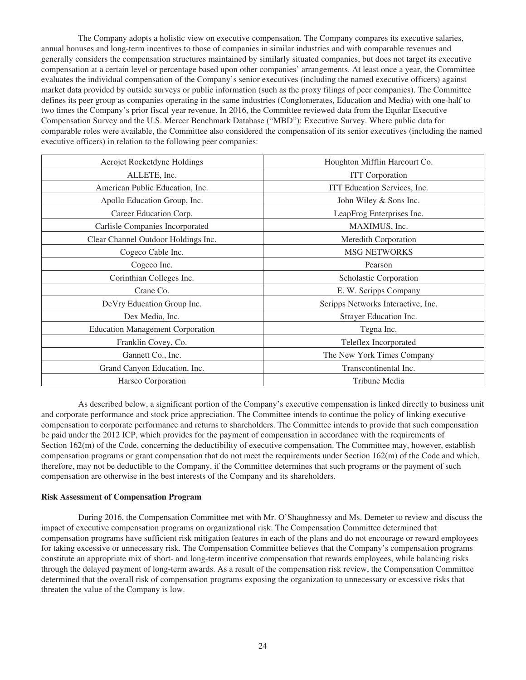The Company adopts a holistic view on executive compensation. The Company compares its executive salaries, annual bonuses and long-term incentives to those of companies in similar industries and with comparable revenues and generally considers the compensation structures maintained by similarly situated companies, but does not target its executive compensation at a certain level or percentage based upon other companies' arrangements. At least once a year, the Committee evaluates the individual compensation of the Company's senior executives (including the named executive officers) against market data provided by outside surveys or public information (such as the proxy filings of peer companies). The Committee defines its peer group as companies operating in the same industries (Conglomerates, Education and Media) with one-half to two times the Company's prior fiscal year revenue. In 2016, the Committee reviewed data from the Equilar Executive Compensation Survey and the U.S. Mercer Benchmark Database ("MBD"): Executive Survey. Where public data for comparable roles were available, the Committee also considered the compensation of its senior executives (including the named executive officers) in relation to the following peer companies:

| Aerojet Rocketdyne Holdings             | Houghton Mifflin Harcourt Co.      |  |  |  |  |
|-----------------------------------------|------------------------------------|--|--|--|--|
| ALLETE, Inc.                            | <b>ITT</b> Corporation             |  |  |  |  |
| American Public Education, Inc.         | ITT Education Services, Inc.       |  |  |  |  |
| Apollo Education Group, Inc.            | John Wiley & Sons Inc.             |  |  |  |  |
| Career Education Corp.                  | LeapFrog Enterprises Inc.          |  |  |  |  |
| Carlisle Companies Incorporated         | MAXIMUS, Inc.                      |  |  |  |  |
| Clear Channel Outdoor Holdings Inc.     | Meredith Corporation               |  |  |  |  |
| Cogeco Cable Inc.                       | <b>MSG NETWORKS</b>                |  |  |  |  |
| Cogeco Inc.                             | Pearson                            |  |  |  |  |
| Corinthian Colleges Inc.                | Scholastic Corporation             |  |  |  |  |
| Crane Co.                               | E. W. Scripps Company              |  |  |  |  |
| DeVry Education Group Inc.              | Scripps Networks Interactive, Inc. |  |  |  |  |
| Dex Media, Inc.                         | Strayer Education Inc.             |  |  |  |  |
| <b>Education Management Corporation</b> | Tegna Inc.                         |  |  |  |  |
| Franklin Covey, Co.                     | Teleflex Incorporated              |  |  |  |  |
| Gannett Co., Inc.                       | The New York Times Company         |  |  |  |  |
| Grand Canyon Education, Inc.            | Transcontinental Inc.              |  |  |  |  |
| Harsco Corporation                      | Tribune Media                      |  |  |  |  |

As described below, a significant portion of the Company's executive compensation is linked directly to business unit and corporate performance and stock price appreciation. The Committee intends to continue the policy of linking executive compensation to corporate performance and returns to shareholders. The Committee intends to provide that such compensation be paid under the 2012 ICP, which provides for the payment of compensation in accordance with the requirements of Section 162(m) of the Code, concerning the deductibility of executive compensation. The Committee may, however, establish compensation programs or grant compensation that do not meet the requirements under Section 162(m) of the Code and which, therefore, may not be deductible to the Company, if the Committee determines that such programs or the payment of such compensation are otherwise in the best interests of the Company and its shareholders.

#### **Risk Assessment of Compensation Program**

During 2016, the Compensation Committee met with Mr. O'Shaughnessy and Ms. Demeter to review and discuss the impact of executive compensation programs on organizational risk. The Compensation Committee determined that compensation programs have sufficient risk mitigation features in each of the plans and do not encourage or reward employees for taking excessive or unnecessary risk. The Compensation Committee believes that the Company's compensation programs constitute an appropriate mix of short- and long-term incentive compensation that rewards employees, while balancing risks through the delayed payment of long-term awards. As a result of the compensation risk review, the Compensation Committee determined that the overall risk of compensation programs exposing the organization to unnecessary or excessive risks that threaten the value of the Company is low.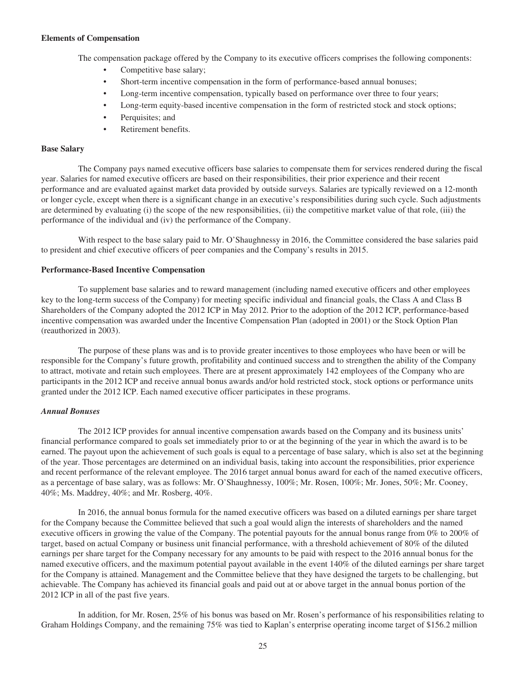#### **Elements of Compensation**

The compensation package offered by the Company to its executive officers comprises the following components:

- Competitive base salary;
- Short-term incentive compensation in the form of performance-based annual bonuses;
- Long-term incentive compensation, typically based on performance over three to four years;
- Long-term equity-based incentive compensation in the form of restricted stock and stock options;
- Perquisites; and
- Retirement benefits.

#### **Base Salary**

The Company pays named executive officers base salaries to compensate them for services rendered during the fiscal year. Salaries for named executive officers are based on their responsibilities, their prior experience and their recent performance and are evaluated against market data provided by outside surveys. Salaries are typically reviewed on a 12-month or longer cycle, except when there is a significant change in an executive's responsibilities during such cycle. Such adjustments are determined by evaluating (i) the scope of the new responsibilities, (ii) the competitive market value of that role, (iii) the performance of the individual and (iv) the performance of the Company.

With respect to the base salary paid to Mr. O'Shaughnessy in 2016, the Committee considered the base salaries paid to president and chief executive officers of peer companies and the Company's results in 2015.

# **Performance-Based Incentive Compensation**

To supplement base salaries and to reward management (including named executive officers and other employees key to the long-term success of the Company) for meeting specific individual and financial goals, the Class A and Class B Shareholders of the Company adopted the 2012 ICP in May 2012. Prior to the adoption of the 2012 ICP, performance-based incentive compensation was awarded under the Incentive Compensation Plan (adopted in 2001) or the Stock Option Plan (reauthorized in 2003).

The purpose of these plans was and is to provide greater incentives to those employees who have been or will be responsible for the Company's future growth, profitability and continued success and to strengthen the ability of the Company to attract, motivate and retain such employees. There are at present approximately 142 employees of the Company who are participants in the 2012 ICP and receive annual bonus awards and/or hold restricted stock, stock options or performance units granted under the 2012 ICP. Each named executive officer participates in these programs.

#### *Annual Bonuses*

The 2012 ICP provides for annual incentive compensation awards based on the Company and its business units' financial performance compared to goals set immediately prior to or at the beginning of the year in which the award is to be earned. The payout upon the achievement of such goals is equal to a percentage of base salary, which is also set at the beginning of the year. Those percentages are determined on an individual basis, taking into account the responsibilities, prior experience and recent performance of the relevant employee. The 2016 target annual bonus award for each of the named executive officers, as a percentage of base salary, was as follows: Mr. O'Shaughnessy, 100%; Mr. Rosen, 100%; Mr. Jones, 50%; Mr. Cooney, 40%; Ms. Maddrey, 40%; and Mr. Rosberg, 40%.

In 2016, the annual bonus formula for the named executive officers was based on a diluted earnings per share target for the Company because the Committee believed that such a goal would align the interests of shareholders and the named executive officers in growing the value of the Company. The potential payouts for the annual bonus range from 0% to 200% of target, based on actual Company or business unit financial performance, with a threshold achievement of 80% of the diluted earnings per share target for the Company necessary for any amounts to be paid with respect to the 2016 annual bonus for the named executive officers, and the maximum potential payout available in the event 140% of the diluted earnings per share target for the Company is attained. Management and the Committee believe that they have designed the targets to be challenging, but achievable. The Company has achieved its financial goals and paid out at or above target in the annual bonus portion of the 2012 ICP in all of the past five years.

In addition, for Mr. Rosen, 25% of his bonus was based on Mr. Rosen's performance of his responsibilities relating to Graham Holdings Company, and the remaining 75% was tied to Kaplan's enterprise operating income target of \$156.2 million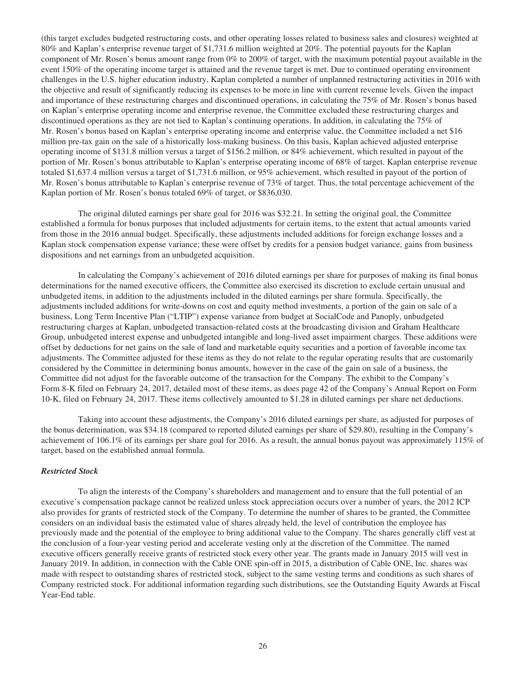(this target excludes budgeted restructuring costs, and other operating losses related to business sales and closures) weighted at 80% and Kaplan's enterprise revenue target of \$1,731.6 million weighted at 20%. The potential payouts for the Kaplan component of Mr. Rosen's bonus amount range from 0% to 200% of target, with the maximum potential payout available in the event 150% of the operating income target is attained and the revenue target is met. Due to continued operating environment challenges in the U.S. higher education industry, Kaplan completed a number of unplanned restructuring activities in 2016 with the objective and result of significantly reducing its expenses to be more in line with current revenue levels. Given the impact and importance of these restructuring charges and discontinued operations, in calculating the 75% of Mr. Rosen's bonus based on Kaplan's enterprise operating income and enterprise revenue, the Committee excluded these restructuring charges and discontinued operations as they are not tied to Kaplan's continuing operations. In addition, in calculating the 75% of Mr. Rosen's bonus based on Kaplan's enterprise operating income and enterprise value, the Committee included a net \$16 million pre-tax gain on the sale of a historically loss-making business. On this basis, Kaplan achieved adjusted enterprise operating income of \$131.8 million versus a target of \$156.2 million, or 84% achievement, which resulted in payout of the portion of Mr. Rosen's bonus attributable to Kaplan's enterprise operating income of 68% of target. Kaplan enterprise revenue totaled \$1,637.4 million versus a target of \$1,731.6 million, or 95% achievement, which resulted in payout of the portion of Mr. Rosen's bonus attributable to Kaplan's enterprise revenue of 73% of target. Thus, the total percentage achievement of the Kaplan portion of Mr. Rosen's bonus totaled 69% of target, or \$836,030.

The original diluted earnings per share goal for 2016 was \$32.21. In setting the original goal, the Committee established a formula for bonus purposes that included adjustments for certain items, to the extent that actual amounts varied from those in the 2016 annual budget. Specifically, these adjustments included additions for foreign exchange losses and a Kaplan stock compensation expense variance; these were offset by credits for a pension budget variance, gains from business dispositions and net earnings from an unbudgeted acquisition.

In calculating the Company's achievement of 2016 diluted earnings per share for purposes of making its final bonus determinations for the named executive officers, the Committee also exercised its discretion to exclude certain unusual and unbudgeted items, in addition to the adjustments included in the diluted earnings per share formula. Specifically, the adjustments included additions for write-downs on cost and equity method investments, a portion of the gain on sale of a business, Long Term Incentive Plan ("LTIP") expense variance from budget at SocialCode and Panoply, unbudgeted restructuring charges at Kaplan, unbudgeted transaction-related costs at the broadcasting division and Graham Healthcare Group, unbudgeted interest expense and unbudgeted intangible and long-lived asset impairment charges. These additions were offset by deductions for net gains on the sale of land and marketable equity securities and a portion of favorable income tax adjustments. The Committee adjusted for these items as they do not relate to the regular operating results that are customarily considered by the Committee in determining bonus amounts, however in the case of the gain on sale of a business, the Committee did not adjust for the favorable outcome of the transaction for the Company. The exhibit to the Company's Form 8-K filed on February 24, 2017, detailed most of these items, as does page 42 of the Company's Annual Report on Form 10-K, filed on February 24, 2017. These items collectively amounted to \$1.28 in diluted earnings per share net deductions.

Taking into account these adjustments, the Company's 2016 diluted earnings per share, as adjusted for purposes of the bonus determination, was \$34.18 (compared to reported diluted earnings per share of \$29.80), resulting in the Company's achievement of 106.1% of its earnings per share goal for 2016. As a result, the annual bonus payout was approximately 115% of target, based on the established annual formula.

#### *Restricted Stock*

To align the interests of the Company's shareholders and management and to ensure that the full potential of an executive's compensation package cannot be realized unless stock appreciation occurs over a number of years, the 2012 ICP also provides for grants of restricted stock of the Company. To determine the number of shares to be granted, the Committee considers on an individual basis the estimated value of shares already held, the level of contribution the employee has previously made and the potential of the employee to bring additional value to the Company. The shares generally cliff vest at the conclusion of a four-year vesting period and accelerate vesting only at the discretion of the Committee. The named executive officers generally receive grants of restricted stock every other year. The grants made in January 2015 will vest in January 2019. In addition, in connection with the Cable ONE spin-off in 2015, a distribution of Cable ONE, Inc. shares was made with respect to outstanding shares of restricted stock, subject to the same vesting terms and conditions as such shares of Company restricted stock. For additional information regarding such distributions, see the Outstanding Equity Awards at Fiscal Year-End table.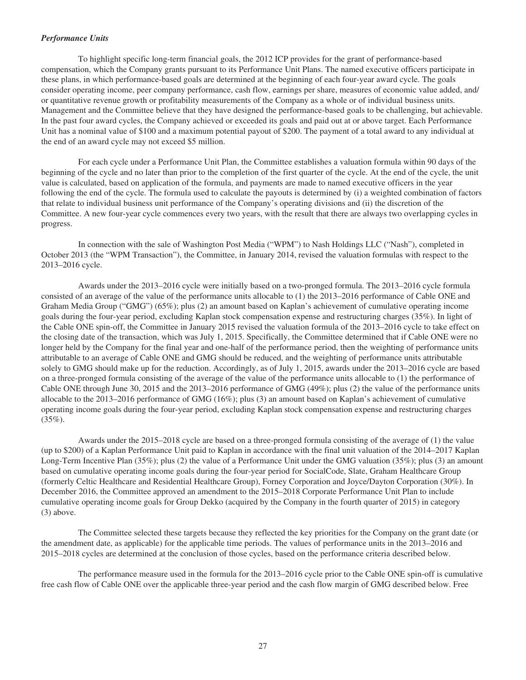# *Performance Units*

To highlight specific long-term financial goals, the 2012 ICP provides for the grant of performance-based compensation, which the Company grants pursuant to its Performance Unit Plans. The named executive officers participate in these plans, in which performance-based goals are determined at the beginning of each four-year award cycle. The goals consider operating income, peer company performance, cash flow, earnings per share, measures of economic value added, and/ or quantitative revenue growth or profitability measurements of the Company as a whole or of individual business units. Management and the Committee believe that they have designed the performance-based goals to be challenging, but achievable. In the past four award cycles, the Company achieved or exceeded its goals and paid out at or above target. Each Performance Unit has a nominal value of \$100 and a maximum potential payout of \$200. The payment of a total award to any individual at the end of an award cycle may not exceed \$5 million.

For each cycle under a Performance Unit Plan, the Committee establishes a valuation formula within 90 days of the beginning of the cycle and no later than prior to the completion of the first quarter of the cycle. At the end of the cycle, the unit value is calculated, based on application of the formula, and payments are made to named executive officers in the year following the end of the cycle. The formula used to calculate the payouts is determined by (i) a weighted combination of factors that relate to individual business unit performance of the Company's operating divisions and (ii) the discretion of the Committee. A new four-year cycle commences every two years, with the result that there are always two overlapping cycles in progress.

In connection with the sale of Washington Post Media ("WPM") to Nash Holdings LLC ("Nash"), completed in October 2013 (the "WPM Transaction"), the Committee, in January 2014, revised the valuation formulas with respect to the 2013–2016 cycle.

Awards under the 2013–2016 cycle were initially based on a two-pronged formula. The 2013–2016 cycle formula consisted of an average of the value of the performance units allocable to (1) the 2013–2016 performance of Cable ONE and Graham Media Group ("GMG") (65%); plus (2) an amount based on Kaplan's achievement of cumulative operating income goals during the four-year period, excluding Kaplan stock compensation expense and restructuring charges (35%). In light of the Cable ONE spin-off, the Committee in January 2015 revised the valuation formula of the 2013–2016 cycle to take effect on the closing date of the transaction, which was July 1, 2015. Specifically, the Committee determined that if Cable ONE were no longer held by the Company for the final year and one-half of the performance period, then the weighting of performance units attributable to an average of Cable ONE and GMG should be reduced, and the weighting of performance units attributable solely to GMG should make up for the reduction. Accordingly, as of July 1, 2015, awards under the 2013–2016 cycle are based on a three-pronged formula consisting of the average of the value of the performance units allocable to (1) the performance of Cable ONE through June 30, 2015 and the 2013–2016 performance of GMG (49%); plus (2) the value of the performance units allocable to the 2013–2016 performance of GMG (16%); plus (3) an amount based on Kaplan's achievement of cumulative operating income goals during the four-year period, excluding Kaplan stock compensation expense and restructuring charges (35%).

Awards under the 2015–2018 cycle are based on a three-pronged formula consisting of the average of (1) the value (up to \$200) of a Kaplan Performance Unit paid to Kaplan in accordance with the final unit valuation of the 2014–2017 Kaplan Long-Term Incentive Plan (35%); plus (2) the value of a Performance Unit under the GMG valuation (35%); plus (3) an amount based on cumulative operating income goals during the four-year period for SocialCode, Slate, Graham Healthcare Group (formerly Celtic Healthcare and Residential Healthcare Group), Forney Corporation and Joyce/Dayton Corporation (30%). In December 2016, the Committee approved an amendment to the 2015–2018 Corporate Performance Unit Plan to include cumulative operating income goals for Group Dekko (acquired by the Company in the fourth quarter of 2015) in category (3) above.

The Committee selected these targets because they reflected the key priorities for the Company on the grant date (or the amendment date, as applicable) for the applicable time periods. The values of performance units in the 2013–2016 and 2015–2018 cycles are determined at the conclusion of those cycles, based on the performance criteria described below.

The performance measure used in the formula for the 2013–2016 cycle prior to the Cable ONE spin-off is cumulative free cash flow of Cable ONE over the applicable three-year period and the cash flow margin of GMG described below. Free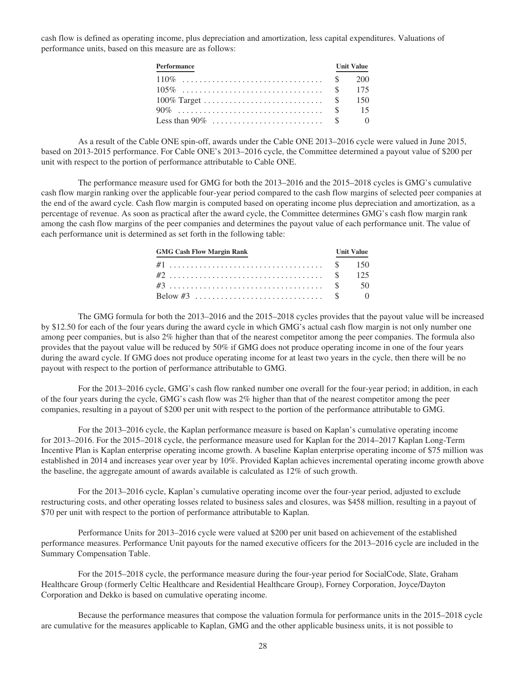cash flow is defined as operating income, plus depreciation and amortization, less capital expenditures. Valuations of performance units, based on this measure are as follows:

| <b>Performance</b> | <b>Unit Value</b> |
|--------------------|-------------------|
|                    |                   |
| $105\%$ \$ 175     |                   |
|                    |                   |
|                    | - 15              |
|                    |                   |

As a result of the Cable ONE spin-off, awards under the Cable ONE 2013–2016 cycle were valued in June 2015, based on 2013-2015 performance. For Cable ONE's 2013–2016 cycle, the Committee determined a payout value of \$200 per unit with respect to the portion of performance attributable to Cable ONE.

The performance measure used for GMG for both the 2013–2016 and the 2015–2018 cycles is GMG's cumulative cash flow margin ranking over the applicable four-year period compared to the cash flow margins of selected peer companies at the end of the award cycle. Cash flow margin is computed based on operating income plus depreciation and amortization, as a percentage of revenue. As soon as practical after the award cycle, the Committee determines GMG's cash flow margin rank among the cash flow margins of the peer companies and determines the payout value of each performance unit. The value of each performance unit is determined as set forth in the following table:

| <b>GMG Cash Flow Margin Rank</b>                                                                   | <b>Unit Value</b> |
|----------------------------------------------------------------------------------------------------|-------------------|
|                                                                                                    |                   |
|                                                                                                    |                   |
|                                                                                                    |                   |
| Below #3 $\ldots$ $\ldots$ $\ldots$ $\ldots$ $\ldots$ $\ldots$ $\ldots$ $\ldots$ $\ldots$ $\ldots$ |                   |

The GMG formula for both the 2013–2016 and the 2015–2018 cycles provides that the payout value will be increased by \$12.50 for each of the four years during the award cycle in which GMG's actual cash flow margin is not only number one among peer companies, but is also 2% higher than that of the nearest competitor among the peer companies. The formula also provides that the payout value will be reduced by 50% if GMG does not produce operating income in one of the four years during the award cycle. If GMG does not produce operating income for at least two years in the cycle, then there will be no payout with respect to the portion of performance attributable to GMG.

For the 2013–2016 cycle, GMG's cash flow ranked number one overall for the four-year period; in addition, in each of the four years during the cycle, GMG's cash flow was 2% higher than that of the nearest competitor among the peer companies, resulting in a payout of \$200 per unit with respect to the portion of the performance attributable to GMG.

For the 2013–2016 cycle, the Kaplan performance measure is based on Kaplan's cumulative operating income for 2013–2016. For the 2015–2018 cycle, the performance measure used for Kaplan for the 2014–2017 Kaplan Long-Term Incentive Plan is Kaplan enterprise operating income growth. A baseline Kaplan enterprise operating income of \$75 million was established in 2014 and increases year over year by 10%. Provided Kaplan achieves incremental operating income growth above the baseline, the aggregate amount of awards available is calculated as 12% of such growth.

For the 2013–2016 cycle, Kaplan's cumulative operating income over the four-year period, adjusted to exclude restructuring costs, and other operating losses related to business sales and closures, was \$458 million, resulting in a payout of \$70 per unit with respect to the portion of performance attributable to Kaplan.

Performance Units for 2013–2016 cycle were valued at \$200 per unit based on achievement of the established performance measures. Performance Unit payouts for the named executive officers for the 2013–2016 cycle are included in the Summary Compensation Table.

For the 2015–2018 cycle, the performance measure during the four-year period for SocialCode, Slate, Graham Healthcare Group (formerly Celtic Healthcare and Residential Healthcare Group), Forney Corporation, Joyce/Dayton Corporation and Dekko is based on cumulative operating income.

Because the performance measures that compose the valuation formula for performance units in the 2015–2018 cycle are cumulative for the measures applicable to Kaplan, GMG and the other applicable business units, it is not possible to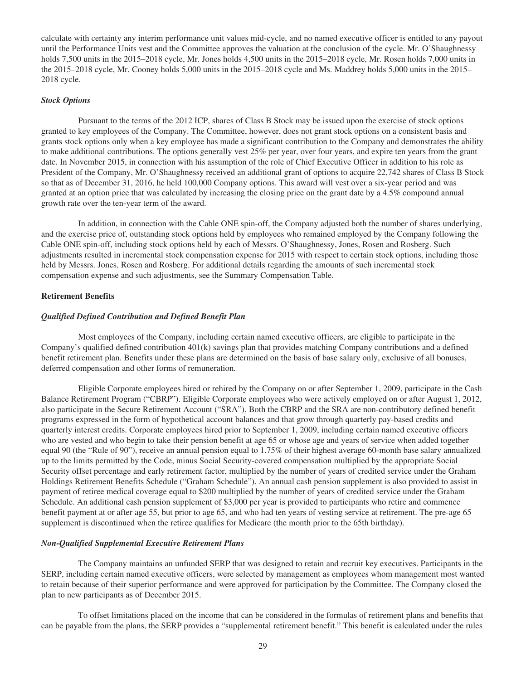calculate with certainty any interim performance unit values mid-cycle, and no named executive officer is entitled to any payout until the Performance Units vest and the Committee approves the valuation at the conclusion of the cycle. Mr. O'Shaughnessy holds 7,500 units in the 2015–2018 cycle, Mr. Jones holds 4,500 units in the 2015–2018 cycle, Mr. Rosen holds 7,000 units in the 2015–2018 cycle, Mr. Cooney holds 5,000 units in the 2015–2018 cycle and Ms. Maddrey holds 5,000 units in the 2015– 2018 cycle.

# *Stock Options*

Pursuant to the terms of the 2012 ICP, shares of Class B Stock may be issued upon the exercise of stock options granted to key employees of the Company. The Committee, however, does not grant stock options on a consistent basis and grants stock options only when a key employee has made a significant contribution to the Company and demonstrates the ability to make additional contributions. The options generally vest 25% per year, over four years, and expire ten years from the grant date. In November 2015, in connection with his assumption of the role of Chief Executive Officer in addition to his role as President of the Company, Mr. O'Shaughnessy received an additional grant of options to acquire 22,742 shares of Class B Stock so that as of December 31, 2016, he held 100,000 Company options. This award will vest over a six-year period and was granted at an option price that was calculated by increasing the closing price on the grant date by a 4.5% compound annual growth rate over the ten-year term of the award.

In addition, in connection with the Cable ONE spin-off, the Company adjusted both the number of shares underlying, and the exercise price of, outstanding stock options held by employees who remained employed by the Company following the Cable ONE spin-off, including stock options held by each of Messrs. O'Shaughnessy, Jones, Rosen and Rosberg. Such adjustments resulted in incremental stock compensation expense for 2015 with respect to certain stock options, including those held by Messrs. Jones, Rosen and Rosberg. For additional details regarding the amounts of such incremental stock compensation expense and such adjustments, see the Summary Compensation Table.

#### **Retirement Benefits**

#### *Qualified Defined Contribution and Defined Benefit Plan*

Most employees of the Company, including certain named executive officers, are eligible to participate in the Company's qualified defined contribution 401(k) savings plan that provides matching Company contributions and a defined benefit retirement plan. Benefits under these plans are determined on the basis of base salary only, exclusive of all bonuses, deferred compensation and other forms of remuneration.

Eligible Corporate employees hired or rehired by the Company on or after September 1, 2009, participate in the Cash Balance Retirement Program ("CBRP"). Eligible Corporate employees who were actively employed on or after August 1, 2012, also participate in the Secure Retirement Account ("SRA"). Both the CBRP and the SRA are non-contributory defined benefit programs expressed in the form of hypothetical account balances and that grow through quarterly pay-based credits and quarterly interest credits. Corporate employees hired prior to September 1, 2009, including certain named executive officers who are vested and who begin to take their pension benefit at age 65 or whose age and years of service when added together equal 90 (the "Rule of 90"), receive an annual pension equal to 1.75% of their highest average 60-month base salary annualized up to the limits permitted by the Code, minus Social Security-covered compensation multiplied by the appropriate Social Security offset percentage and early retirement factor, multiplied by the number of years of credited service under the Graham Holdings Retirement Benefits Schedule ("Graham Schedule"). An annual cash pension supplement is also provided to assist in payment of retiree medical coverage equal to \$200 multiplied by the number of years of credited service under the Graham Schedule. An additional cash pension supplement of \$3,000 per year is provided to participants who retire and commence benefit payment at or after age 55, but prior to age 65, and who had ten years of vesting service at retirement. The pre-age 65 supplement is discontinued when the retiree qualifies for Medicare (the month prior to the 65th birthday).

#### *Non-Qualified Supplemental Executive Retirement Plans*

The Company maintains an unfunded SERP that was designed to retain and recruit key executives. Participants in the SERP, including certain named executive officers, were selected by management as employees whom management most wanted to retain because of their superior performance and were approved for participation by the Committee. The Company closed the plan to new participants as of December 2015.

To offset limitations placed on the income that can be considered in the formulas of retirement plans and benefits that can be payable from the plans, the SERP provides a "supplemental retirement benefit." This benefit is calculated under the rules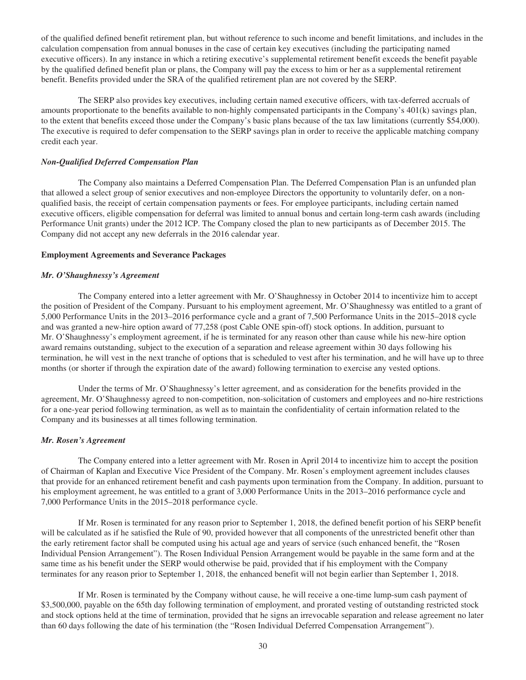of the qualified defined benefit retirement plan, but without reference to such income and benefit limitations, and includes in the calculation compensation from annual bonuses in the case of certain key executives (including the participating named executive officers). In any instance in which a retiring executive's supplemental retirement benefit exceeds the benefit payable by the qualified defined benefit plan or plans, the Company will pay the excess to him or her as a supplemental retirement benefit. Benefits provided under the SRA of the qualified retirement plan are not covered by the SERP.

The SERP also provides key executives, including certain named executive officers, with tax-deferred accruals of amounts proportionate to the benefits available to non-highly compensated participants in the Company's 401(k) savings plan, to the extent that benefits exceed those under the Company's basic plans because of the tax law limitations (currently \$54,000). The executive is required to defer compensation to the SERP savings plan in order to receive the applicable matching company credit each year.

#### *Non-Qualified Deferred Compensation Plan*

The Company also maintains a Deferred Compensation Plan. The Deferred Compensation Plan is an unfunded plan that allowed a select group of senior executives and non-employee Directors the opportunity to voluntarily defer, on a nonqualified basis, the receipt of certain compensation payments or fees. For employee participants, including certain named executive officers, eligible compensation for deferral was limited to annual bonus and certain long-term cash awards (including Performance Unit grants) under the 2012 ICP. The Company closed the plan to new participants as of December 2015. The Company did not accept any new deferrals in the 2016 calendar year.

#### **Employment Agreements and Severance Packages**

#### *Mr. O'Shaughnessy's Agreement*

The Company entered into a letter agreement with Mr. O'Shaughnessy in October 2014 to incentivize him to accept the position of President of the Company. Pursuant to his employment agreement, Mr. O'Shaughnessy was entitled to a grant of 5,000 Performance Units in the 2013–2016 performance cycle and a grant of 7,500 Performance Units in the 2015–2018 cycle and was granted a new-hire option award of 77,258 (post Cable ONE spin-off) stock options. In addition, pursuant to Mr. O'Shaughnessy's employment agreement, if he is terminated for any reason other than cause while his new-hire option award remains outstanding, subject to the execution of a separation and release agreement within 30 days following his termination, he will vest in the next tranche of options that is scheduled to vest after his termination, and he will have up to three months (or shorter if through the expiration date of the award) following termination to exercise any vested options.

Under the terms of Mr. O'Shaughnessy's letter agreement, and as consideration for the benefits provided in the agreement, Mr. O'Shaughnessy agreed to non-competition, non-solicitation of customers and employees and no-hire restrictions for a one-year period following termination, as well as to maintain the confidentiality of certain information related to the Company and its businesses at all times following termination.

#### *Mr. Rosen's Agreement*

The Company entered into a letter agreement with Mr. Rosen in April 2014 to incentivize him to accept the position of Chairman of Kaplan and Executive Vice President of the Company. Mr. Rosen's employment agreement includes clauses that provide for an enhanced retirement benefit and cash payments upon termination from the Company. In addition, pursuant to his employment agreement, he was entitled to a grant of 3,000 Performance Units in the 2013–2016 performance cycle and 7,000 Performance Units in the 2015–2018 performance cycle.

If Mr. Rosen is terminated for any reason prior to September 1, 2018, the defined benefit portion of his SERP benefit will be calculated as if he satisfied the Rule of 90, provided however that all components of the unrestricted benefit other than the early retirement factor shall be computed using his actual age and years of service (such enhanced benefit, the "Rosen Individual Pension Arrangement"). The Rosen Individual Pension Arrangement would be payable in the same form and at the same time as his benefit under the SERP would otherwise be paid, provided that if his employment with the Company terminates for any reason prior to September 1, 2018, the enhanced benefit will not begin earlier than September 1, 2018.

If Mr. Rosen is terminated by the Company without cause, he will receive a one-time lump-sum cash payment of \$3,500,000, payable on the 65th day following termination of employment, and prorated vesting of outstanding restricted stock and stock options held at the time of termination, provided that he signs an irrevocable separation and release agreement no later than 60 days following the date of his termination (the "Rosen Individual Deferred Compensation Arrangement").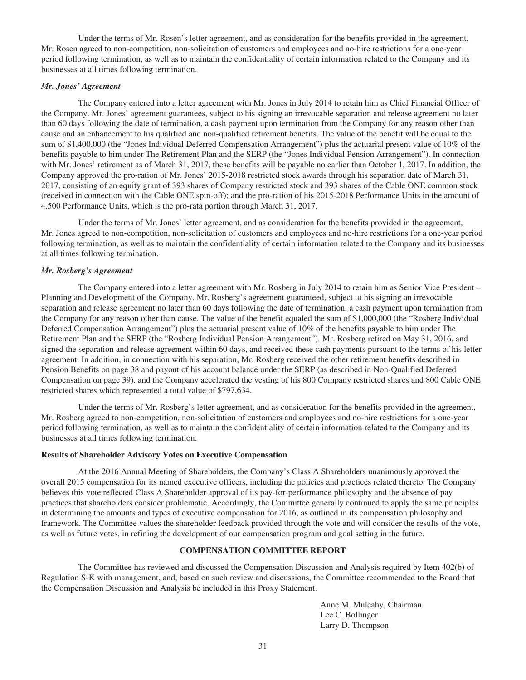Under the terms of Mr. Rosen's letter agreement, and as consideration for the benefits provided in the agreement, Mr. Rosen agreed to non-competition, non-solicitation of customers and employees and no-hire restrictions for a one-year period following termination, as well as to maintain the confidentiality of certain information related to the Company and its businesses at all times following termination.

# *Mr. Jones' Agreement*

The Company entered into a letter agreement with Mr. Jones in July 2014 to retain him as Chief Financial Officer of the Company. Mr. Jones' agreement guarantees, subject to his signing an irrevocable separation and release agreement no later than 60 days following the date of termination, a cash payment upon termination from the Company for any reason other than cause and an enhancement to his qualified and non-qualified retirement benefits. The value of the benefit will be equal to the sum of \$1,400,000 (the "Jones Individual Deferred Compensation Arrangement") plus the actuarial present value of 10% of the benefits payable to him under The Retirement Plan and the SERP (the "Jones Individual Pension Arrangement"). In connection with Mr. Jones' retirement as of March 31, 2017, these benefits will be payable no earlier than October 1, 2017. In addition, the Company approved the pro-ration of Mr. Jones' 2015-2018 restricted stock awards through his separation date of March 31, 2017, consisting of an equity grant of 393 shares of Company restricted stock and 393 shares of the Cable ONE common stock (received in connection with the Cable ONE spin-off); and the pro-ration of his 2015-2018 Performance Units in the amount of 4,500 Performance Units, which is the pro-rata portion through March 31, 2017.

Under the terms of Mr. Jones' letter agreement, and as consideration for the benefits provided in the agreement, Mr. Jones agreed to non-competition, non-solicitation of customers and employees and no-hire restrictions for a one-year period following termination, as well as to maintain the confidentiality of certain information related to the Company and its businesses at all times following termination.

# *Mr. Rosberg's Agreement*

The Company entered into a letter agreement with Mr. Rosberg in July 2014 to retain him as Senior Vice President – Planning and Development of the Company. Mr. Rosberg's agreement guaranteed, subject to his signing an irrevocable separation and release agreement no later than 60 days following the date of termination, a cash payment upon termination from the Company for any reason other than cause. The value of the benefit equaled the sum of \$1,000,000 (the "Rosberg Individual Deferred Compensation Arrangement") plus the actuarial present value of 10% of the benefits payable to him under The Retirement Plan and the SERP (the "Rosberg Individual Pension Arrangement"). Mr. Rosberg retired on May 31, 2016, and signed the separation and release agreement within 60 days, and received these cash payments pursuant to the terms of his letter agreement. In addition, in connection with his separation, Mr. Rosberg received the other retirement benefits described in Pension Benefits on page 38 and payout of his account balance under the SERP (as described in Non-Qualified Deferred Compensation on page 39), and the Company accelerated the vesting of his 800 Company restricted shares and 800 Cable ONE restricted shares which represented a total value of \$797,634.

Under the terms of Mr. Rosberg's letter agreement, and as consideration for the benefits provided in the agreement, Mr. Rosberg agreed to non-competition, non-solicitation of customers and employees and no-hire restrictions for a one-year period following termination, as well as to maintain the confidentiality of certain information related to the Company and its businesses at all times following termination.

#### **Results of Shareholder Advisory Votes on Executive Compensation**

At the 2016 Annual Meeting of Shareholders, the Company's Class A Shareholders unanimously approved the overall 2015 compensation for its named executive officers, including the policies and practices related thereto. The Company believes this vote reflected Class A Shareholder approval of its pay-for-performance philosophy and the absence of pay practices that shareholders consider problematic. Accordingly, the Committee generally continued to apply the same principles in determining the amounts and types of executive compensation for 2016, as outlined in its compensation philosophy and framework. The Committee values the shareholder feedback provided through the vote and will consider the results of the vote, as well as future votes, in refining the development of our compensation program and goal setting in the future.

#### **COMPENSATION COMMITTEE REPORT**

The Committee has reviewed and discussed the Compensation Discussion and Analysis required by Item 402(b) of Regulation S-K with management, and, based on such review and discussions, the Committee recommended to the Board that the Compensation Discussion and Analysis be included in this Proxy Statement.

> Anne M. Mulcahy, Chairman Lee C. Bollinger Larry D. Thompson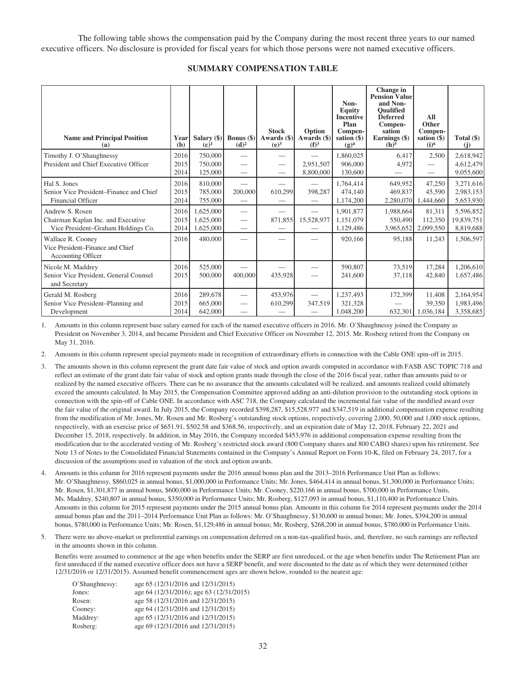The following table shows the compensation paid by the Company during the most recent three years to our named executive officers. No disclosure is provided for fiscal years for which those persons were not named executive officers.

# **SUMMARY COMPENSATION TABLE**

| <b>Name and Principal Position</b><br>(a)                                                   | Year<br>(b)          | Salary $(\$)$<br>$(c)$ <sup>1</sup> | <b>Bonus</b> $(\$)$<br>(d) <sup>2</sup>                   | <b>Stock</b><br>Awards $(\$)$<br>(e) <sup>3</sup> | Option<br>Awards (\$)<br>(f) <sup>3</sup> | Non-<br><b>Equity</b><br><b>Incentive</b><br>Plan<br>Compen-<br>sation (\$)<br>$(g)^4$ | Change in<br><b>Pension Value</b><br>and Non-<br><b>Oualified</b><br><b>Deferred</b><br>Compen-<br>sation<br>Earnings (\$)<br>$(h)$ <sup>5</sup> | All<br>Other<br>Compen-<br>sation (\$)<br>$(i)$ <sup>6</sup> | Total $(\$)$<br>(i)                  |
|---------------------------------------------------------------------------------------------|----------------------|-------------------------------------|-----------------------------------------------------------|---------------------------------------------------|-------------------------------------------|----------------------------------------------------------------------------------------|--------------------------------------------------------------------------------------------------------------------------------------------------|--------------------------------------------------------------|--------------------------------------|
| Timothy J. O'Shaughnessy<br>President and Chief Executive Officer                           | 2016<br>2015<br>2014 | 750,000<br>750,000<br>125,000       | $\overline{\phantom{0}}$<br>$\overbrace{\phantom{12333}}$ | $\hspace{0.1mm}-\hspace{0.1mm}$                   | 2,951,507<br>8,800,000                    | 1.860.025<br>906,000<br>130,600                                                        | 6,417<br>4,972                                                                                                                                   | 2,500<br>$\overbrace{\phantom{12333}}$                       | 2,618,942<br>4,612,479<br>9,055,600  |
| Hal S. Jones<br>Senior Vice President–Finance and Chief<br><b>Financial Officer</b>         | 2016<br>2015<br>2014 | 810,000<br>785,000<br>755,000       | $\overline{\phantom{0}}$<br>200,000                       | 610,299                                           | 398,287                                   | 1,764,414<br>474,140<br>1,174,200                                                      | 649.952<br>469,837<br>2,280,070                                                                                                                  | 47,250<br>45,590<br>1,444,660                                | 3,271,616<br>2,983,153<br>5,653,930  |
| Andrew S. Rosen<br>Chairman Kaplan Inc. and Executive<br>Vice President-Graham Holdings Co. | 2016<br>2015<br>2014 | 1,625,000<br>1,625,000<br>1,625,000 | $\overline{\phantom{0}}$                                  | 871,855                                           | 15,528,977                                | 1,901,877<br>1,151,079<br>1,129,486                                                    | 1.988.664<br>550,490<br>3,965,652                                                                                                                | 81,311<br>112,350<br>2,099,550                               | 5,596,852<br>19,839,751<br>8,819,688 |
| Wallace R. Cooney<br>Vice President-Finance and Chief<br>Accounting Officer                 | 2016                 | 480,000                             | –                                                         |                                                   |                                           | 920,166                                                                                | 95,188                                                                                                                                           | 11,243                                                       | 1,506,597                            |
| Nicole M. Maddrey<br>Senior Vice President, General Counsel<br>and Secretary                | 2016<br>2015         | 525,000<br>500,000                  | $\overline{\phantom{0}}$<br>400,000                       | 435,928                                           | _                                         | 590,807<br>241,600                                                                     | 73,519<br>37,118                                                                                                                                 | 17,284<br>42,840                                             | 1,206,610<br>1,657,486               |
| Gerald M. Rosberg<br>Senior Vice President-Planning and<br>Development                      | 2016<br>2015<br>2014 | 289,678<br>665,000<br>642,000       |                                                           | 453,976<br>610,299                                | 347,519                                   | 1,237,493<br>321,328<br>1,048,200                                                      | 172,399<br>632,301                                                                                                                               | 11.408<br>39,350<br>1,036,184                                | 2,164,954<br>1,983,496<br>3,358,685  |

1. Amounts in this column represent base salary earned for each of the named executive officers in 2016. Mr. O'Shaughnessy joined the Company as President on November 3, 2014, and became President and Chief Executive Officer on November 12, 2015. Mr. Rosberg retired from the Company on May 31, 2016.

2. Amounts in this column represent special payments made in recognition of extraordinary efforts in connection with the Cable ONE spin-off in 2015.

- 3. The amounts shown in this column represent the grant date fair value of stock and option awards computed in accordance with FASB ASC TOPIC 718 and reflect an estimate of the grant date fair value of stock and option grants made through the close of the 2016 fiscal year, rather than amounts paid to or realized by the named executive officers. There can be no assurance that the amounts calculated will be realized, and amounts realized could ultimately exceed the amounts calculated. In May 2015, the Compensation Committee approved adding an anti-dilution provision to the outstanding stock options in connection with the spin-off of Cable ONE. In accordance with ASC 718, the Company calculated the incremental fair value of the modified award over the fair value of the original award. In July 2015, the Company recorded \$398,287, \$15,528,977 and \$347,519 in additional compensation expense resulting from the modification of Mr. Jones, Mr. Rosen and Mr. Rosberg's outstanding stock options, respectively, covering 2,000, 50,000 and 1,000 stock options, respectively, with an exercise price of \$651.91, \$502.58 and \$368.56, respectively, and an expiration date of May 12, 2018, February 22, 2021 and December 15, 2018, respectively. In addition, in May 2016, the Company recorded \$453,976 in additional compensation expense resulting from the modification due to the accelerated vesting of Mr. Rosberg's restricted stock award (800 Company shares and 800 CABO shares) upon his retirement. See Note 13 of Notes to the Consolidated Financial Statements contained in the Company's Annual Report on Form 10-K, filed on February 24, 2017, for a discussion of the assumptions used in valuation of the stock and option awards.
- 4. Amounts in this column for 2016 represent payments under the 2016 annual bonus plan and the 2013–2016 Performance Unit Plan as follows: Mr. O'Shaughnessy, \$860,025 in annual bonus, \$1,000,000 in Performance Units; Mr. Jones, \$464,414 in annual bonus, \$1,300,000 in Performance Units; Mr. Rosen, \$1,301,877 in annual bonus, \$600,000 in Performance Units; Mr. Cooney, \$220,166 in annual bonus, \$700,000 in Performance Units, Ms. Maddrey, \$240,807 in annual bonus, \$350,000 in Performance Units; Mr. Rosberg, \$127,093 in annual bonus, \$1,110,400 in Performance Units. Amounts in this column for 2015 represent payments under the 2015 annual bonus plan. Amounts in this column for 2014 represent payments under the 2014 annual bonus plan and the 2011–2014 Performance Unit Plan as follows: Mr. O'Shaughnessy, \$130,600 in annual bonus; Mr. Jones, \$394,200 in annual bonus, \$780,000 in Performance Units; Mr. Rosen, \$1,129,486 in annual bonus; Mr. Rosberg, \$268,200 in annual bonus, \$780,000 in Performance Units.
- 5. There were no above-market or preferential earnings on compensation deferred on a non-tax-qualified basis, and, therefore, no such earnings are reflected in the amounts shown in this column.

Benefits were assumed to commence at the age when benefits under the SERP are first unreduced, or the age when benefits under The Retirement Plan are first unreduced if the named executive officer does not have a SERP benefit, and were discounted to the date as of which they were determined (either 12/31/2016 or 12/31/2015). Assumed benefit commencement ages are shown below, rounded to the nearest age:

| O'Shaughnessy: | age 65 (12/31/2016 and 12/31/2015)       |
|----------------|------------------------------------------|
| Jones:         | age 64 (12/31/2016); age 63 (12/31/2015) |
| Rosen:         | age 58 (12/31/2016 and 12/31/2015)       |
| Cooney:        | age 64 (12/31/2016 and 12/31/2015)       |
| Maddrey:       | age 65 (12/31/2016 and 12/31/2015)       |
| Rosberg:       | age 69 (12/31/2016 and 12/31/2015)       |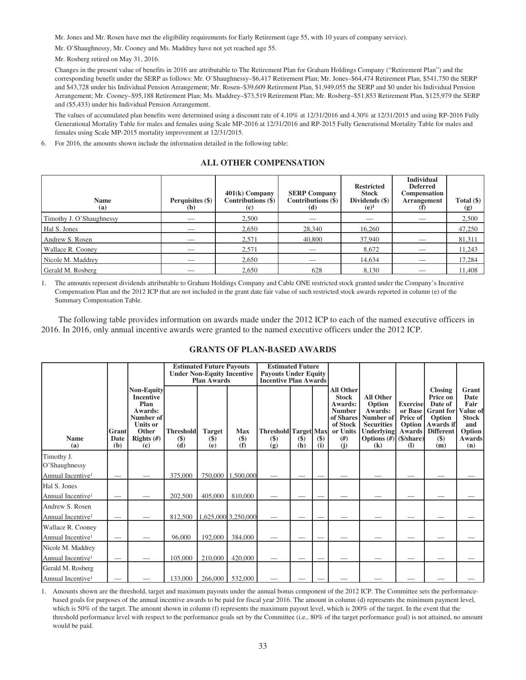Mr. Jones and Mr. Rosen have met the eligibility requirements for Early Retirement (age 55, with 10 years of company service).

Mr. O'Shaughnessy, Mr. Cooney and Ms. Maddrey have not yet reached age 55.

Mr. Rosberg retired on May 31, 2016.

Changes in the present value of benefits in 2016 are attributable to The Retirement Plan for Graham Holdings Company ("Retirement Plan") and the corresponding benefit under the SERP as follows: Mr. O'Shaughnessy–\$6,417 Retirement Plan; Mr. Jones–\$64,474 Retirement Plan, \$541,750 the SERP and \$43,728 under his Individual Pension Arrangement; Mr. Rosen–\$39,609 Retirement Plan, \$1,949,055 the SERP and \$0 under his Individual Pension Arrangement; Mr. Cooney–\$95,188 Retirement Plan; Ms. Maddrey–\$73,519 Retirement Plan; Mr. Rosberg–\$51,853 Retirement Plan, \$125,979 the SERP and (\$5,433) under his Individual Pension Arrangement.

The values of accumulated plan benefits were determined using a discount rate of 4.10% at 12/31/2016 and 4.30% at 12/31/2015 and using RP-2016 Fully Generational Mortality Table for males and females using Scale MP-2016 at 12/31/2016 and RP-2015 Fully Generational Mortality Table for males and females using Scale MP-2015 mortality improvement at 12/31/2015.

6. For 2016, the amounts shown include the information detailed in the following table:

# **ALL OTHER COMPENSATION**

| <b>Name</b><br>(a)       | Perquisites (\$)<br>(b) | $401(k)$ Company<br>Contributions $(\hat{\mathbf{S}})$<br>(c) | <b>SERP Company</b><br>Contributions (\$)<br>(d) | <b>Restricted</b><br><b>Stock</b><br>Dividends (\$)<br>$(e)^1$ | <b>Individual</b><br><b>Deferred</b><br><b>Compensation</b><br><b>Arrangement</b><br>$\bf (I)$ | Total $(\$)$<br>(g) |
|--------------------------|-------------------------|---------------------------------------------------------------|--------------------------------------------------|----------------------------------------------------------------|------------------------------------------------------------------------------------------------|---------------------|
| Timothy J. O'Shaughnessy |                         | 2,500                                                         |                                                  |                                                                |                                                                                                | 2,500               |
| Hal S. Jones             |                         | 2.650                                                         | 28,340                                           | 16,260                                                         |                                                                                                | 47,250              |
| Andrew S. Rosen          |                         | 2,571                                                         | 40,800                                           | 37,940                                                         |                                                                                                | 81,311              |
| Wallace R. Cooney        |                         | 2,571                                                         |                                                  | 8,672                                                          |                                                                                                | 11,243              |
| Nicole M. Maddrey        |                         | 2,650                                                         |                                                  | 14,634                                                         |                                                                                                | 17.284              |
| Gerald M. Rosberg        |                         | 2,650                                                         | 628                                              | 8,130                                                          |                                                                                                | 11,408              |

1. The amounts represent dividends attributable to Graham Holdings Company and Cable ONE restricted stock granted under the Company's Incentive Compensation Plan and the 2012 ICP that are not included in the grant date fair value of such restricted stock awards reported in column (e) of the Summary Compensation Table.

The following table provides information on awards made under the 2012 ICP to each of the named executive officers in 2016. In 2016, only annual incentive awards were granted to the named executive officers under the 2012 ICP.

|                               |                      |                                                                                                                                                   |                                  | <b>Estimated Future Payouts</b><br><b>Under Non-Equity Incentive</b><br><b>Plan Awards</b> |                                                | <b>Estimated Future</b><br><b>Payouts Under Equity</b><br><b>Incentive Plan Awards</b> |                                   |              |                                                                                             |                                                                                                                               |                                                                                   |                                                                                                                              |                                                                                            |
|-------------------------------|----------------------|---------------------------------------------------------------------------------------------------------------------------------------------------|----------------------------------|--------------------------------------------------------------------------------------------|------------------------------------------------|----------------------------------------------------------------------------------------|-----------------------------------|--------------|---------------------------------------------------------------------------------------------|-------------------------------------------------------------------------------------------------------------------------------|-----------------------------------------------------------------------------------|------------------------------------------------------------------------------------------------------------------------------|--------------------------------------------------------------------------------------------|
| <b>Name</b><br>(a)            | Grant<br>Date<br>(b) | <b>Non-Equity</b><br><b>Incentive</b><br>Plan<br>Awards:<br>Number of<br><b>Units or</b><br>Other<br>Rights $(\#)$<br>$\left( \mathbf{c} \right)$ | <b>Threshold</b><br>$($)$<br>(d) | <b>Target</b><br>$\left( \mathbf{\$}\right)$<br>(e)                                        | <b>Max</b><br>$\left( \text{\$}\right)$<br>(f) | Threshold Target Max or Units<br>$($ \$)<br>(g)                                        | $\left( \mathbb{S}\right)$<br>(h) | $($)$<br>(i) | All Other<br><b>Stock</b><br>Awards:<br><b>Number</b><br>of Shares<br>of Stock<br>#)<br>(i) | <b>All Other</b><br>Option<br>Awards:<br>Number of<br><b>Securities</b><br><b>Underlying</b><br>Options (#) (\$/share)<br>(k) | <b>Exercise</b><br>or Base<br>Price of<br>Option<br><b>Awards</b><br>$\mathbf{I}$ | <b>Closing</b><br>Price on<br>Date of<br><b>Grant</b> for<br>Option<br><b>Awards</b> if<br><b>Different</b><br>$(\$)$<br>(m) | Grant<br><b>Date</b><br>Fair<br>Value of<br><b>Stock</b><br>and<br>Option<br>Awards<br>(n) |
| Timothy J.                    |                      |                                                                                                                                                   |                                  |                                                                                            |                                                |                                                                                        |                                   |              |                                                                                             |                                                                                                                               |                                                                                   |                                                                                                                              |                                                                                            |
| O'Shaughnessy                 |                      |                                                                                                                                                   |                                  |                                                                                            |                                                |                                                                                        |                                   |              |                                                                                             |                                                                                                                               |                                                                                   |                                                                                                                              |                                                                                            |
| Annual Incentive <sup>1</sup> |                      |                                                                                                                                                   | 375,000                          |                                                                                            | 750,000 1.500,000                              |                                                                                        |                                   |              |                                                                                             |                                                                                                                               |                                                                                   |                                                                                                                              |                                                                                            |
| Hal S. Jones                  |                      |                                                                                                                                                   |                                  |                                                                                            |                                                |                                                                                        |                                   |              |                                                                                             |                                                                                                                               |                                                                                   |                                                                                                                              |                                                                                            |
| Annual Incentive <sup>1</sup> |                      |                                                                                                                                                   | 202,500                          | 405,000                                                                                    | 810,000                                        |                                                                                        |                                   |              |                                                                                             |                                                                                                                               |                                                                                   |                                                                                                                              |                                                                                            |
| Andrew S. Rosen               |                      |                                                                                                                                                   |                                  |                                                                                            |                                                |                                                                                        |                                   |              |                                                                                             |                                                                                                                               |                                                                                   |                                                                                                                              |                                                                                            |
| Annual Incentive <sup>1</sup> |                      |                                                                                                                                                   | 812,500                          |                                                                                            | 1,625,000 3,250,000                            |                                                                                        |                                   |              |                                                                                             |                                                                                                                               |                                                                                   |                                                                                                                              |                                                                                            |
| Wallace R. Cooney             |                      |                                                                                                                                                   |                                  |                                                                                            |                                                |                                                                                        |                                   |              |                                                                                             |                                                                                                                               |                                                                                   |                                                                                                                              |                                                                                            |
| Annual Incentive <sup>1</sup> |                      |                                                                                                                                                   | 96,000                           | 192,000                                                                                    | 384,000                                        |                                                                                        |                                   |              |                                                                                             |                                                                                                                               |                                                                                   |                                                                                                                              |                                                                                            |
| Nicole M. Maddrey             |                      |                                                                                                                                                   |                                  |                                                                                            |                                                |                                                                                        |                                   |              |                                                                                             |                                                                                                                               |                                                                                   |                                                                                                                              |                                                                                            |
| Annual Incentive <sup>1</sup> |                      |                                                                                                                                                   | 105,000                          | 210,000                                                                                    | 420,000                                        |                                                                                        |                                   |              |                                                                                             |                                                                                                                               |                                                                                   |                                                                                                                              |                                                                                            |
| Gerald M. Rosberg             |                      |                                                                                                                                                   |                                  |                                                                                            |                                                |                                                                                        |                                   |              |                                                                                             |                                                                                                                               |                                                                                   |                                                                                                                              |                                                                                            |
| Annual Incentive <sup>1</sup> |                      |                                                                                                                                                   | 133,000                          |                                                                                            | 266,000   532,000                              |                                                                                        |                                   |              |                                                                                             |                                                                                                                               |                                                                                   |                                                                                                                              |                                                                                            |

#### **GRANTS OF PLAN-BASED AWARDS**

1. Amounts shown are the threshold, target and maximum payouts under the annual bonus component of the 2012 ICP. The Committee sets the performancebased goals for purposes of the annual incentive awards to be paid for fiscal year 2016. The amount in column (d) represents the minimum payment level, which is 50% of the target. The amount shown in column (f) represents the maximum payout level, which is 200% of the target. In the event that the threshold performance level with respect to the performance goals set by the Committee (i.e., 80% of the target performance goal) is not attained, no amount would be paid.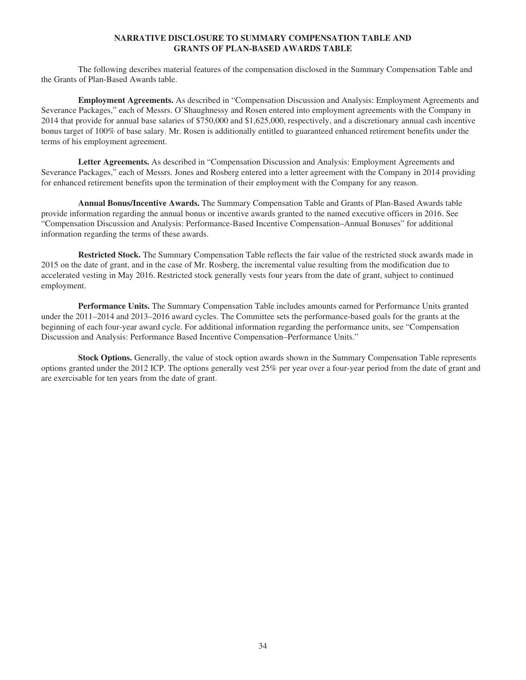# **NARRATIVE DISCLOSURE TO SUMMARY COMPENSATION TABLE AND GRANTS OF PLAN-BASED AWARDS TABLE**

The following describes material features of the compensation disclosed in the Summary Compensation Table and the Grants of Plan-Based Awards table.

**Employment Agreements.** As described in "Compensation Discussion and Analysis: Employment Agreements and Severance Packages," each of Messrs. O'Shaughnessy and Rosen entered into employment agreements with the Company in 2014 that provide for annual base salaries of \$750,000 and \$1,625,000, respectively, and a discretionary annual cash incentive bonus target of 100% of base salary. Mr. Rosen is additionally entitled to guaranteed enhanced retirement benefits under the terms of his employment agreement.

**Letter Agreements.** As described in "Compensation Discussion and Analysis: Employment Agreements and Severance Packages," each of Messrs. Jones and Rosberg entered into a letter agreement with the Company in 2014 providing for enhanced retirement benefits upon the termination of their employment with the Company for any reason.

**Annual Bonus/Incentive Awards.** The Summary Compensation Table and Grants of Plan-Based Awards table provide information regarding the annual bonus or incentive awards granted to the named executive officers in 2016. See "Compensation Discussion and Analysis: Performance-Based Incentive Compensation–Annual Bonuses" for additional information regarding the terms of these awards.

**Restricted Stock.** The Summary Compensation Table reflects the fair value of the restricted stock awards made in 2015 on the date of grant, and in the case of Mr. Rosberg, the incremental value resulting from the modification due to accelerated vesting in May 2016. Restricted stock generally vests four years from the date of grant, subject to continued employment.

**Performance Units.** The Summary Compensation Table includes amounts earned for Performance Units granted under the 2011–2014 and 2013–2016 award cycles. The Committee sets the performance-based goals for the grants at the beginning of each four-year award cycle. For additional information regarding the performance units, see "Compensation Discussion and Analysis: Performance Based Incentive Compensation–Performance Units."

**Stock Options.** Generally, the value of stock option awards shown in the Summary Compensation Table represents options granted under the 2012 ICP. The options generally vest 25% per year over a four-year period from the date of grant and are exercisable for ten years from the date of grant.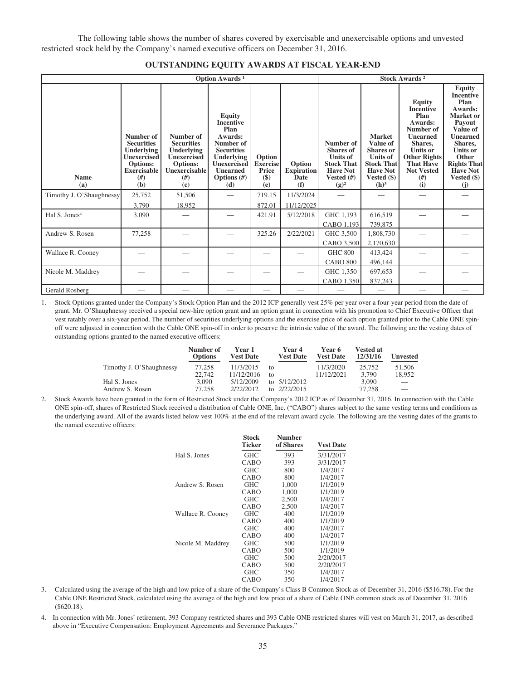The following table shows the number of shares covered by exercisable and unexercisable options and unvested restricted stock held by the Company's named executive officers on December 31, 2016.

| <b>Option Awards</b> <sup>1</sup> |                                                                                                                         |                                                                                                                                             |                                                                                                                                                                | <b>Stock Awards 2</b>                              |                                            |                                                                                                                     |                                                                                                                                               |                                                                                                                                                                                          |                                                                                                                                                                                                                           |
|-----------------------------------|-------------------------------------------------------------------------------------------------------------------------|---------------------------------------------------------------------------------------------------------------------------------------------|----------------------------------------------------------------------------------------------------------------------------------------------------------------|----------------------------------------------------|--------------------------------------------|---------------------------------------------------------------------------------------------------------------------|-----------------------------------------------------------------------------------------------------------------------------------------------|------------------------------------------------------------------------------------------------------------------------------------------------------------------------------------------|---------------------------------------------------------------------------------------------------------------------------------------------------------------------------------------------------------------------------|
| <b>Name</b><br>(a)                | Number of<br><b>Securities</b><br>Underlying<br><b>Unexercised</b><br><b>Options:</b><br><b>Exercisable</b><br>#<br>(b) | Number of<br><b>Securities</b><br>Underlying<br><b>Unexercised</b><br>Options:<br><b>Unexercisable</b><br>#)<br>$\left( \mathbf{c} \right)$ | Equity<br><b>Incentive</b><br>Plan<br>Awards:<br>Number of<br><b>Securities</b><br>Underlying<br><b>Unexercised</b><br><b>Unearned</b><br>Options $(H)$<br>(d) | Option<br><b>Exercise</b><br>Price<br>$($)$<br>(e) | Option<br><b>Expiration</b><br>Date<br>(f) | Number of<br><b>Shares</b> of<br><b>Units of</b><br><b>Stock That</b><br><b>Have Not</b><br>Vested $(H)$<br>$(g)^2$ | <b>Market</b><br>Value of<br><b>Shares</b> or<br><b>Units of</b><br><b>Stock That</b><br><b>Have Not</b><br>Vested $(\$)$<br>(h) <sup>3</sup> | <b>Equity</b><br><b>Incentive</b><br>Plan<br>Awards:<br>Number of<br><b>Unearned</b><br>Shares.<br><b>Units or</b><br>Other Rights<br><b>That Have</b><br><b>Not Vested</b><br>#)<br>(i) | <b>Equity</b><br><b>Incentive</b><br>Plan<br>Awards:<br>Market or<br>Payout<br>Value of<br><b>Unearned</b><br>Shares,<br><b>Units or</b><br><b>Other</b><br><b>Rights That</b><br><b>Have Not</b><br>Vested $(\$)$<br>(i) |
| Timothy J. O'Shaughnessy          | 25,752<br>3,790                                                                                                         | 51,506<br>18,952                                                                                                                            |                                                                                                                                                                | 719.15<br>872.01                                   | 11/3/2024<br>11/12/2025                    |                                                                                                                     |                                                                                                                                               |                                                                                                                                                                                          |                                                                                                                                                                                                                           |
| Hal S. Jones <sup>4</sup>         | 3,090                                                                                                                   |                                                                                                                                             |                                                                                                                                                                | 421.91                                             | 5/12/2018                                  | GHC 1,193<br>CABO 1,193                                                                                             | 616,519<br>739,875                                                                                                                            |                                                                                                                                                                                          |                                                                                                                                                                                                                           |
| Andrew S. Rosen                   | 77,258                                                                                                                  |                                                                                                                                             |                                                                                                                                                                | 325.26                                             | 2/22/2021                                  | GHC 3,500<br>CABO 3,500                                                                                             | 1,808,730<br>2,170,630                                                                                                                        |                                                                                                                                                                                          |                                                                                                                                                                                                                           |
| Wallace R. Cooney                 |                                                                                                                         |                                                                                                                                             |                                                                                                                                                                |                                                    |                                            | <b>GHC 800</b><br><b>CABO 800</b>                                                                                   | 413,424<br>496,144                                                                                                                            |                                                                                                                                                                                          |                                                                                                                                                                                                                           |
| Nicole M. Maddrey                 |                                                                                                                         |                                                                                                                                             |                                                                                                                                                                |                                                    |                                            | GHC 1,350<br>CABO 1,350                                                                                             | 697,653<br>837,243                                                                                                                            |                                                                                                                                                                                          |                                                                                                                                                                                                                           |
| Gerald Rosberg                    |                                                                                                                         |                                                                                                                                             |                                                                                                                                                                |                                                    |                                            |                                                                                                                     |                                                                                                                                               |                                                                                                                                                                                          |                                                                                                                                                                                                                           |

#### **OUTSTANDING EQUITY AWARDS AT FISCAL YEAR-END**

1. Stock Options granted under the Company's Stock Option Plan and the 2012 ICP generally vest 25% per year over a four-year period from the date of grant. Mr. O'Shaughnessy received a special new-hire option grant and an option grant in connection with his promotion to Chief Executive Officer that vest ratably over a six-year period. The number of securities underlying options and the exercise price of each option granted prior to the Cable ONE spinoff were adjusted in connection with the Cable ONE spin-off in order to preserve the intrinsic value of the award. The following are the vesting dates of outstanding options granted to the named executive officers:

|                          | Number of<br><b>Options</b> | Year 1<br><b>Vest Date</b> |    | Year 4<br><b>Vest Date</b> | Year 6<br><b>Vest Date</b> | Vested at<br>12/31/16 | Unvested |
|--------------------------|-----------------------------|----------------------------|----|----------------------------|----------------------------|-----------------------|----------|
| Timothy J. O'Shaughnessy | 77.258                      | 11/3/2015                  | tΩ |                            | 11/3/2020                  | 25,752                | 51,506   |
|                          | 22,742                      | 11/12/2016                 | tΩ |                            | 11/12/2021                 | 3.790                 | 18.952   |
| Hal S. Jones             | 3.090                       | 5/12/2009                  |    | to 5/12/2012               |                            | 3.090                 |          |
| Andrew S. Rosen          | 77.258                      | 2/22/2012                  |    | to $2/22/2015$             |                            | 77.258                |          |

2. Stock Awards have been granted in the form of Restricted Stock under the Company's 2012 ICP as of December 31, 2016. In connection with the Cable ONE spin-off, shares of Restricted Stock received a distribution of Cable ONE, Inc. ("CABO") shares subject to the same vesting terms and conditions as the underlying award. All of the awards listed below vest 100% at the end of the relevant award cycle. The following are the vesting dates of the grants to the named executive officers:

|                   | Stock<br><b>Ticker</b> | <b>Number</b><br>of Shares | <b>Vest Date</b> |
|-------------------|------------------------|----------------------------|------------------|
| Hal S. Jones      | <b>GHC</b>             | 393                        | 3/31/2017        |
|                   | CABO                   | 393                        | 3/31/2017        |
|                   | <b>GHC</b>             | 800                        | 1/4/2017         |
|                   | CABO                   | 800                        | 1/4/2017         |
| Andrew S. Rosen   | <b>GHC</b>             | 1,000                      | 1/1/2019         |
|                   | CABO                   | 1,000                      | 1/1/2019         |
|                   | <b>GHC</b>             | 2,500                      | 1/4/2017         |
|                   | CABO                   | 2,500                      | 1/4/2017         |
| Wallace R. Cooney | <b>GHC</b>             | 400                        | 1/1/2019         |
|                   | CABO                   | 400                        | 1/1/2019         |
|                   | <b>GHC</b>             | 400                        | 1/4/2017         |
|                   | CABO                   | 400                        | 1/4/2017         |
| Nicole M. Maddrey | <b>GHC</b>             | 500                        | 1/1/2019         |
|                   | CABO                   | 500                        | 1/1/2019         |
|                   | <b>GHC</b>             | 500                        | 2/20/2017        |
|                   | CABO                   | 500                        | 2/20/2017        |
|                   | <b>GHC</b>             | 350                        | 1/4/2017         |
|                   | CABO                   | 350                        | 1/4/2017         |

- 3. Calculated using the average of the high and low price of a share of the Company's Class B Common Stock as of December 31, 2016 (\$516.78). For the Cable ONE Restricted Stock, calculated using the average of the high and low price of a share of Cable ONE common stock as of December 31, 2016 (\$620.18).
- 4. In connection with Mr. Jones' retirement, 393 Company restricted shares and 393 Cable ONE restricted shares will vest on March 31, 2017, as described above in "Executive Compensation: Employment Agreements and Severance Packages."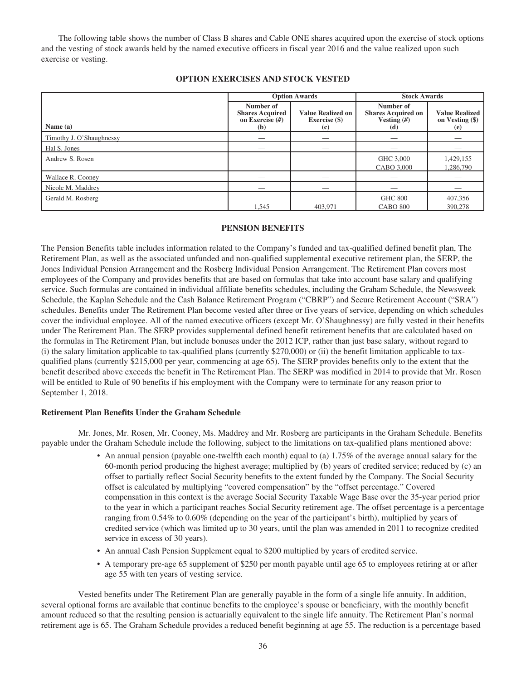The following table shows the number of Class B shares and Cable ONE shares acquired upon the exercise of stock options and the vesting of stock awards held by the named executive officers in fiscal year 2016 and the value realized upon such exercise or vesting.

# **OPTION EXERCISES AND STOCK VESTED**

|                          |                                                                 | <b>Option Awards</b>                                    | <b>Stock Awards</b>                                            |                                                   |  |
|--------------------------|-----------------------------------------------------------------|---------------------------------------------------------|----------------------------------------------------------------|---------------------------------------------------|--|
| Name $(a)$               | Number of<br><b>Shares Acquired</b><br>on Exercise $(H)$<br>(b) | <b>Value Realized on</b><br><b>Exercise</b> (\$)<br>(c) | Number of<br><b>Shares Acquired on</b><br>Vesting $(f)$<br>(d) | <b>Value Realized</b><br>on Vesting $(\$)$<br>(e) |  |
| Timothy J. O'Shaughnessy |                                                                 |                                                         |                                                                |                                                   |  |
| Hal S. Jones             |                                                                 |                                                         |                                                                |                                                   |  |
| Andrew S. Rosen          |                                                                 |                                                         | GHC 3,000                                                      | 1,429,155                                         |  |
|                          |                                                                 |                                                         | CABO 3.000                                                     | 1.286.790                                         |  |
| Wallace R. Cooney        |                                                                 |                                                         |                                                                |                                                   |  |
| Nicole M. Maddrey        |                                                                 |                                                         |                                                                |                                                   |  |
| Gerald M. Rosberg        | 1.545                                                           | 403.971                                                 | <b>GHC 800</b><br><b>CABO 800</b>                              | 407,356<br>390,278                                |  |

# **PENSION BENEFITS**

The Pension Benefits table includes information related to the Company's funded and tax-qualified defined benefit plan, The Retirement Plan, as well as the associated unfunded and non-qualified supplemental executive retirement plan, the SERP, the Jones Individual Pension Arrangement and the Rosberg Individual Pension Arrangement. The Retirement Plan covers most employees of the Company and provides benefits that are based on formulas that take into account base salary and qualifying service. Such formulas are contained in individual affiliate benefits schedules, including the Graham Schedule, the Newsweek Schedule, the Kaplan Schedule and the Cash Balance Retirement Program ("CBRP") and Secure Retirement Account ("SRA") schedules. Benefits under The Retirement Plan become vested after three or five years of service, depending on which schedules cover the individual employee. All of the named executive officers (except Mr. O'Shaughnessy) are fully vested in their benefits under The Retirement Plan. The SERP provides supplemental defined benefit retirement benefits that are calculated based on the formulas in The Retirement Plan, but include bonuses under the 2012 ICP, rather than just base salary, without regard to (i) the salary limitation applicable to tax-qualified plans (currently \$270,000) or (ii) the benefit limitation applicable to taxqualified plans (currently \$215,000 per year, commencing at age 65). The SERP provides benefits only to the extent that the benefit described above exceeds the benefit in The Retirement Plan. The SERP was modified in 2014 to provide that Mr. Rosen will be entitled to Rule of 90 benefits if his employment with the Company were to terminate for any reason prior to September 1, 2018.

#### **Retirement Plan Benefits Under the Graham Schedule**

Mr. Jones, Mr. Rosen, Mr. Cooney, Ms. Maddrey and Mr. Rosberg are participants in the Graham Schedule. Benefits payable under the Graham Schedule include the following, subject to the limitations on tax-qualified plans mentioned above:

- An annual pension (payable one-twelfth each month) equal to (a) 1.75% of the average annual salary for the 60-month period producing the highest average; multiplied by (b) years of credited service; reduced by (c) an offset to partially reflect Social Security benefits to the extent funded by the Company. The Social Security offset is calculated by multiplying "covered compensation" by the "offset percentage." Covered compensation in this context is the average Social Security Taxable Wage Base over the 35-year period prior to the year in which a participant reaches Social Security retirement age. The offset percentage is a percentage ranging from 0.54% to 0.60% (depending on the year of the participant's birth), multiplied by years of credited service (which was limited up to 30 years, until the plan was amended in 2011 to recognize credited service in excess of 30 years).
- An annual Cash Pension Supplement equal to \$200 multiplied by years of credited service.
- A temporary pre-age 65 supplement of \$250 per month payable until age 65 to employees retiring at or after age 55 with ten years of vesting service.

Vested benefits under The Retirement Plan are generally payable in the form of a single life annuity. In addition, several optional forms are available that continue benefits to the employee's spouse or beneficiary, with the monthly benefit amount reduced so that the resulting pension is actuarially equivalent to the single life annuity. The Retirement Plan's normal retirement age is 65. The Graham Schedule provides a reduced benefit beginning at age 55. The reduction is a percentage based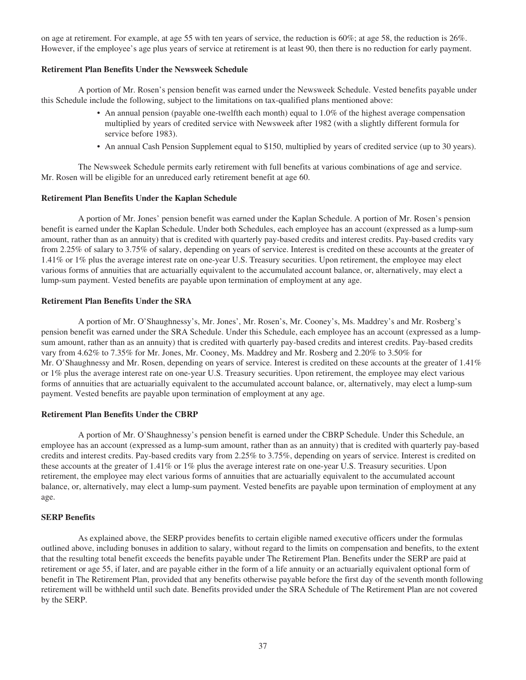on age at retirement. For example, at age 55 with ten years of service, the reduction is 60%; at age 58, the reduction is 26%. However, if the employee's age plus years of service at retirement is at least 90, then there is no reduction for early payment.

# **Retirement Plan Benefits Under the Newsweek Schedule**

A portion of Mr. Rosen's pension benefit was earned under the Newsweek Schedule. Vested benefits payable under this Schedule include the following, subject to the limitations on tax-qualified plans mentioned above:

- An annual pension (payable one-twelfth each month) equal to 1.0% of the highest average compensation multiplied by years of credited service with Newsweek after 1982 (with a slightly different formula for service before 1983).
- An annual Cash Pension Supplement equal to \$150, multiplied by years of credited service (up to 30 years).

The Newsweek Schedule permits early retirement with full benefits at various combinations of age and service. Mr. Rosen will be eligible for an unreduced early retirement benefit at age 60.

# **Retirement Plan Benefits Under the Kaplan Schedule**

A portion of Mr. Jones' pension benefit was earned under the Kaplan Schedule. A portion of Mr. Rosen's pension benefit is earned under the Kaplan Schedule. Under both Schedules, each employee has an account (expressed as a lump-sum amount, rather than as an annuity) that is credited with quarterly pay-based credits and interest credits. Pay-based credits vary from 2.25% of salary to 3.75% of salary, depending on years of service. Interest is credited on these accounts at the greater of 1.41% or 1% plus the average interest rate on one-year U.S. Treasury securities. Upon retirement, the employee may elect various forms of annuities that are actuarially equivalent to the accumulated account balance, or, alternatively, may elect a lump-sum payment. Vested benefits are payable upon termination of employment at any age.

#### **Retirement Plan Benefits Under the SRA**

A portion of Mr. O'Shaughnessy's, Mr. Jones', Mr. Rosen's, Mr. Cooney's, Ms. Maddrey's and Mr. Rosberg's pension benefit was earned under the SRA Schedule. Under this Schedule, each employee has an account (expressed as a lumpsum amount, rather than as an annuity) that is credited with quarterly pay-based credits and interest credits. Pay-based credits vary from 4.62% to 7.35% for Mr. Jones, Mr. Cooney, Ms. Maddrey and Mr. Rosberg and 2.20% to 3.50% for Mr. O'Shaughnessy and Mr. Rosen, depending on years of service. Interest is credited on these accounts at the greater of 1.41% or 1% plus the average interest rate on one-year U.S. Treasury securities. Upon retirement, the employee may elect various forms of annuities that are actuarially equivalent to the accumulated account balance, or, alternatively, may elect a lump-sum payment. Vested benefits are payable upon termination of employment at any age.

#### **Retirement Plan Benefits Under the CBRP**

A portion of Mr. O'Shaughnessy's pension benefit is earned under the CBRP Schedule. Under this Schedule, an employee has an account (expressed as a lump-sum amount, rather than as an annuity) that is credited with quarterly pay-based credits and interest credits. Pay-based credits vary from 2.25% to 3.75%, depending on years of service. Interest is credited on these accounts at the greater of 1.41% or 1% plus the average interest rate on one-year U.S. Treasury securities. Upon retirement, the employee may elect various forms of annuities that are actuarially equivalent to the accumulated account balance, or, alternatively, may elect a lump-sum payment. Vested benefits are payable upon termination of employment at any age.

#### **SERP Benefits**

As explained above, the SERP provides benefits to certain eligible named executive officers under the formulas outlined above, including bonuses in addition to salary, without regard to the limits on compensation and benefits, to the extent that the resulting total benefit exceeds the benefits payable under The Retirement Plan. Benefits under the SERP are paid at retirement or age 55, if later, and are payable either in the form of a life annuity or an actuarially equivalent optional form of benefit in The Retirement Plan, provided that any benefits otherwise payable before the first day of the seventh month following retirement will be withheld until such date. Benefits provided under the SRA Schedule of The Retirement Plan are not covered by the SERP.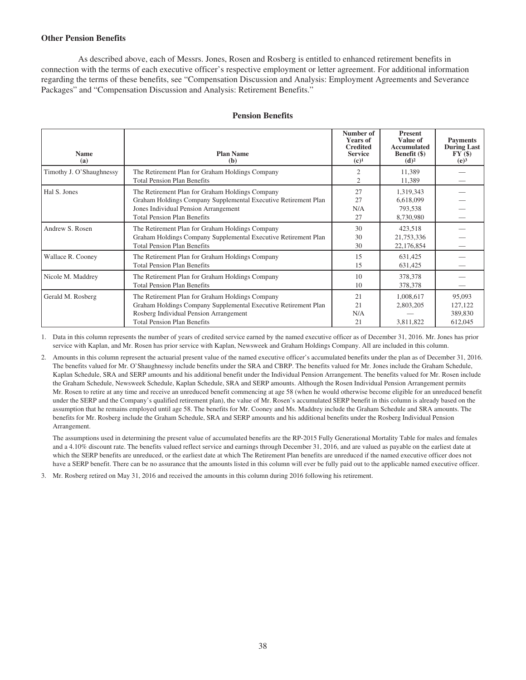# **Other Pension Benefits**

As described above, each of Messrs. Jones, Rosen and Rosberg is entitled to enhanced retirement benefits in connection with the terms of each executive officer's respective employment or letter agreement. For additional information regarding the terms of these benefits, see "Compensation Discussion and Analysis: Employment Agreements and Severance Packages" and "Compensation Discussion and Analysis: Retirement Benefits."

| <b>Name</b>              | <b>Plan Name</b>                                                                      | Number of<br><b>Years of</b><br><b>Credited</b><br><b>Service</b> | <b>Present</b><br>Value of<br><b>Accumulated</b><br><b>Benefit</b> (\$) | <b>Payments</b><br><b>During Last</b><br>FY(\$) |
|--------------------------|---------------------------------------------------------------------------------------|-------------------------------------------------------------------|-------------------------------------------------------------------------|-------------------------------------------------|
| (a)                      | (b)                                                                                   | $(c)^1$                                                           | $(d)^2$                                                                 | (e) <sup>3</sup>                                |
| Timothy J. O'Shaughnessy | The Retirement Plan for Graham Holdings Company<br><b>Total Pension Plan Benefits</b> |                                                                   | 11,389<br>11,389                                                        |                                                 |
| Hal S. Jones             | The Retirement Plan for Graham Holdings Company                                       | 27                                                                | 1,319,343                                                               |                                                 |
|                          | Graham Holdings Company Supplemental Executive Retirement Plan                        | 27                                                                | 6,618,099                                                               |                                                 |
|                          | Jones Individual Pension Arrangement                                                  | N/A                                                               | 793,538                                                                 |                                                 |
|                          | <b>Total Pension Plan Benefits</b>                                                    | 27                                                                | 8,730,980                                                               |                                                 |
| Andrew S. Rosen          | The Retirement Plan for Graham Holdings Company                                       | 30                                                                | 423,518                                                                 |                                                 |
|                          | Graham Holdings Company Supplemental Executive Retirement Plan                        | 30                                                                | 21,753,336                                                              |                                                 |
|                          | <b>Total Pension Plan Benefits</b>                                                    | 30                                                                | 22,176,854                                                              |                                                 |
| Wallace R. Cooney        | The Retirement Plan for Graham Holdings Company                                       | 15                                                                | 631,425                                                                 |                                                 |
|                          | <b>Total Pension Plan Benefits</b>                                                    | 15                                                                | 631,425                                                                 |                                                 |
| Nicole M. Maddrey        | The Retirement Plan for Graham Holdings Company                                       | 10                                                                | 378,378                                                                 |                                                 |
|                          | <b>Total Pension Plan Benefits</b>                                                    | 10                                                                | 378,378                                                                 |                                                 |
| Gerald M. Rosberg        | The Retirement Plan for Graham Holdings Company                                       | 21                                                                | 1,008,617                                                               | 95,093                                          |
|                          | Graham Holdings Company Supplemental Executive Retirement Plan                        | 21                                                                | 2,803,205                                                               | 127,122                                         |
|                          | Rosberg Individual Pension Arrangement                                                | N/A                                                               |                                                                         | 389,830                                         |
|                          | <b>Total Pension Plan Benefits</b>                                                    | 21                                                                | 3,811,822                                                               | 612,045                                         |

#### **Pension Benefits**

1. Data in this column represents the number of years of credited service earned by the named executive officer as of December 31, 2016. Mr. Jones has prior service with Kaplan, and Mr. Rosen has prior service with Kaplan, Newsweek and Graham Holdings Company. All are included in this column.

2. Amounts in this column represent the actuarial present value of the named executive officer's accumulated benefits under the plan as of December 31, 2016. The benefits valued for Mr. O'Shaughnessy include benefits under the SRA and CBRP. The benefits valued for Mr. Jones include the Graham Schedule, Kaplan Schedule, SRA and SERP amounts and his additional benefit under the Individual Pension Arrangement. The benefits valued for Mr. Rosen include the Graham Schedule, Newsweek Schedule, Kaplan Schedule, SRA and SERP amounts. Although the Rosen Individual Pension Arrangement permits Mr. Rosen to retire at any time and receive an unreduced benefit commencing at age 58 (when he would otherwise become eligible for an unreduced benefit under the SERP and the Company's qualified retirement plan), the value of Mr. Rosen's accumulated SERP benefit in this column is already based on the assumption that he remains employed until age 58. The benefits for Mr. Cooney and Ms. Maddrey include the Graham Schedule and SRA amounts. The benefits for Mr. Rosberg include the Graham Schedule, SRA and SERP amounts and his additional benefits under the Rosberg Individual Pension Arrangement.

The assumptions used in determining the present value of accumulated benefits are the RP-2015 Fully Generational Mortality Table for males and females and a 4.10% discount rate. The benefits valued reflect service and earnings through December 31, 2016, and are valued as payable on the earliest date at which the SERP benefits are unreduced, or the earliest date at which The Retirement Plan benefits are unreduced if the named executive officer does not have a SERP benefit. There can be no assurance that the amounts listed in this column will ever be fully paid out to the applicable named executive officer.

3. Mr. Rosberg retired on May 31, 2016 and received the amounts in this column during 2016 following his retirement.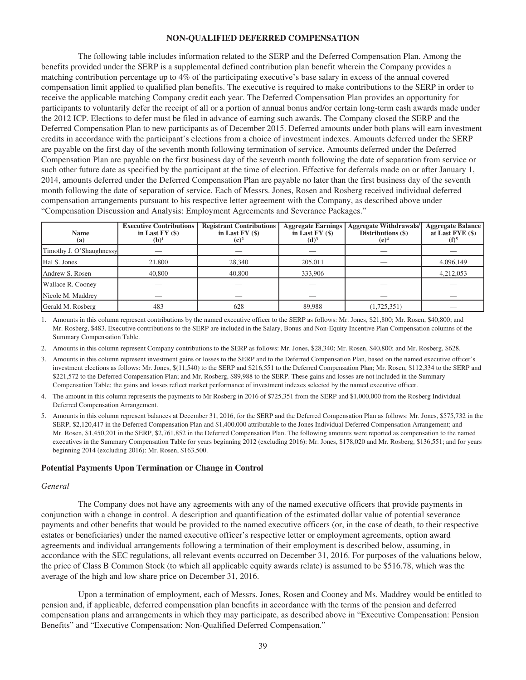#### **NON-QUALIFIED DEFERRED COMPENSATION**

The following table includes information related to the SERP and the Deferred Compensation Plan. Among the benefits provided under the SERP is a supplemental defined contribution plan benefit wherein the Company provides a matching contribution percentage up to 4% of the participating executive's base salary in excess of the annual covered compensation limit applied to qualified plan benefits. The executive is required to make contributions to the SERP in order to receive the applicable matching Company credit each year. The Deferred Compensation Plan provides an opportunity for participants to voluntarily defer the receipt of all or a portion of annual bonus and/or certain long-term cash awards made under the 2012 ICP. Elections to defer must be filed in advance of earning such awards. The Company closed the SERP and the Deferred Compensation Plan to new participants as of December 2015. Deferred amounts under both plans will earn investment credits in accordance with the participant's elections from a choice of investment indexes. Amounts deferred under the SERP are payable on the first day of the seventh month following termination of service. Amounts deferred under the Deferred Compensation Plan are payable on the first business day of the seventh month following the date of separation from service or such other future date as specified by the participant at the time of election. Effective for deferrals made on or after January 1, 2014, amounts deferred under the Deferred Compensation Plan are payable no later than the first business day of the seventh month following the date of separation of service. Each of Messrs. Jones, Rosen and Rosberg received individual deferred compensation arrangements pursuant to his respective letter agreement with the Company, as described above under "Compensation Discussion and Analysis: Employment Agreements and Severance Packages."

| <b>Name</b><br>(a)       | <b>Executive Contributions</b><br>in Last $FY($)$<br>$(b)^1$ | <b>Registrant Contributions</b><br>in Last $FY($ \$ $)$<br>$(c)^2$ | <b>Aggregate Earnings</b><br>in Last $FY($ \$)<br>(d) <sup>3</sup> | <b>Aggregate Withdrawals/</b><br>Distributions (\$)<br>$(e)^4$ | <b>Aggregate Balance</b><br>at Last $\text{FYE}$ (\$)<br>$(f)$ <sup>5</sup> |
|--------------------------|--------------------------------------------------------------|--------------------------------------------------------------------|--------------------------------------------------------------------|----------------------------------------------------------------|-----------------------------------------------------------------------------|
| Timothy J. O'Shaughnessy |                                                              |                                                                    |                                                                    |                                                                |                                                                             |
| Hal S. Jones             | 21,800                                                       | 28,340                                                             | 205,011                                                            |                                                                | 4,096,149                                                                   |
| Andrew S. Rosen          | 40,800                                                       | 40,800                                                             | 333,906                                                            |                                                                | 4,212,053                                                                   |
| Wallace R. Cooney        |                                                              |                                                                    |                                                                    |                                                                |                                                                             |
| Nicole M. Maddrey        |                                                              |                                                                    |                                                                    |                                                                |                                                                             |
| Gerald M. Rosberg        | 483                                                          | 628                                                                | 89.988                                                             | (1,725,351)                                                    |                                                                             |

- 1. Amounts in this column represent contributions by the named executive officer to the SERP as follows: Mr. Jones, \$21,800; Mr. Rosen, \$40,800; and Mr. Rosberg, \$483. Executive contributions to the SERP are included in the Salary, Bonus and Non-Equity Incentive Plan Compensation columns of the Summary Compensation Table.
- 2. Amounts in this column represent Company contributions to the SERP as follows: Mr. Jones, \$28,340; Mr. Rosen, \$40,800; and Mr. Rosberg, \$628.
- 3. Amounts in this column represent investment gains or losses to the SERP and to the Deferred Compensation Plan, based on the named executive officer's investment elections as follows: Mr. Jones, \$(11,540) to the SERP and \$216,551 to the Deferred Compensation Plan; Mr. Rosen, \$112,334 to the SERP and \$221,572 to the Deferred Compensation Plan; and Mr. Rosberg, \$89,988 to the SERP. These gains and losses are not included in the Summary Compensation Table; the gains and losses reflect market performance of investment indexes selected by the named executive officer.
- 4. The amount in this column represents the payments to Mr Rosberg in 2016 of \$725,351 from the SERP and \$1,000,000 from the Rosberg Individual Deferred Compensation Arrangement.
- 5. Amounts in this column represent balances at December 31, 2016, for the SERP and the Deferred Compensation Plan as follows: Mr. Jones, \$575,732 in the SERP, \$2,120,417 in the Deferred Compensation Plan and \$1,400,000 attributable to the Jones Individual Deferred Compensation Arrangement; and Mr. Rosen, \$1,450,201 in the SERP, \$2,761,852 in the Deferred Compensation Plan. The following amounts were reported as compensation to the named executives in the Summary Compensation Table for years beginning 2012 (excluding 2016): Mr. Jones, \$178,020 and Mr. Rosberg, \$136,551; and for years beginning 2014 (excluding 2016): Mr. Rosen, \$163,500.

#### **Potential Payments Upon Termination or Change in Control**

#### *General*

The Company does not have any agreements with any of the named executive officers that provide payments in conjunction with a change in control. A description and quantification of the estimated dollar value of potential severance payments and other benefits that would be provided to the named executive officers (or, in the case of death, to their respective estates or beneficiaries) under the named executive officer's respective letter or employment agreements, option award agreements and individual arrangements following a termination of their employment is described below, assuming, in accordance with the SEC regulations, all relevant events occurred on December 31, 2016. For purposes of the valuations below, the price of Class B Common Stock (to which all applicable equity awards relate) is assumed to be \$516.78, which was the average of the high and low share price on December 31, 2016.

Upon a termination of employment, each of Messrs. Jones, Rosen and Cooney and Ms. Maddrey would be entitled to pension and, if applicable, deferred compensation plan benefits in accordance with the terms of the pension and deferred compensation plans and arrangements in which they may participate, as described above in "Executive Compensation: Pension Benefits" and "Executive Compensation: Non-Qualified Deferred Compensation."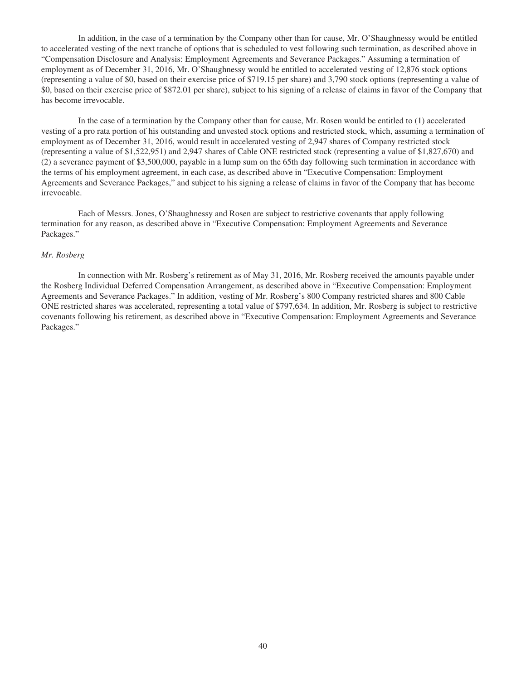In addition, in the case of a termination by the Company other than for cause, Mr. O'Shaughnessy would be entitled to accelerated vesting of the next tranche of options that is scheduled to vest following such termination, as described above in "Compensation Disclosure and Analysis: Employment Agreements and Severance Packages." Assuming a termination of employment as of December 31, 2016, Mr. O'Shaughnessy would be entitled to accelerated vesting of 12,876 stock options (representing a value of \$0, based on their exercise price of \$719.15 per share) and 3,790 stock options (representing a value of \$0, based on their exercise price of \$872.01 per share), subject to his signing of a release of claims in favor of the Company that has become irrevocable.

In the case of a termination by the Company other than for cause, Mr. Rosen would be entitled to (1) accelerated vesting of a pro rata portion of his outstanding and unvested stock options and restricted stock, which, assuming a termination of employment as of December 31, 2016, would result in accelerated vesting of 2,947 shares of Company restricted stock (representing a value of \$1,522,951) and 2,947 shares of Cable ONE restricted stock (representing a value of \$1,827,670) and (2) a severance payment of \$3,500,000, payable in a lump sum on the 65th day following such termination in accordance with the terms of his employment agreement, in each case, as described above in "Executive Compensation: Employment Agreements and Severance Packages," and subject to his signing a release of claims in favor of the Company that has become irrevocable.

Each of Messrs. Jones, O'Shaughnessy and Rosen are subject to restrictive covenants that apply following termination for any reason, as described above in "Executive Compensation: Employment Agreements and Severance Packages."

# *Mr. Rosberg*

In connection with Mr. Rosberg's retirement as of May 31, 2016, Mr. Rosberg received the amounts payable under the Rosberg Individual Deferred Compensation Arrangement, as described above in "Executive Compensation: Employment Agreements and Severance Packages." In addition, vesting of Mr. Rosberg's 800 Company restricted shares and 800 Cable ONE restricted shares was accelerated, representing a total value of \$797,634. In addition, Mr. Rosberg is subject to restrictive covenants following his retirement, as described above in "Executive Compensation: Employment Agreements and Severance Packages."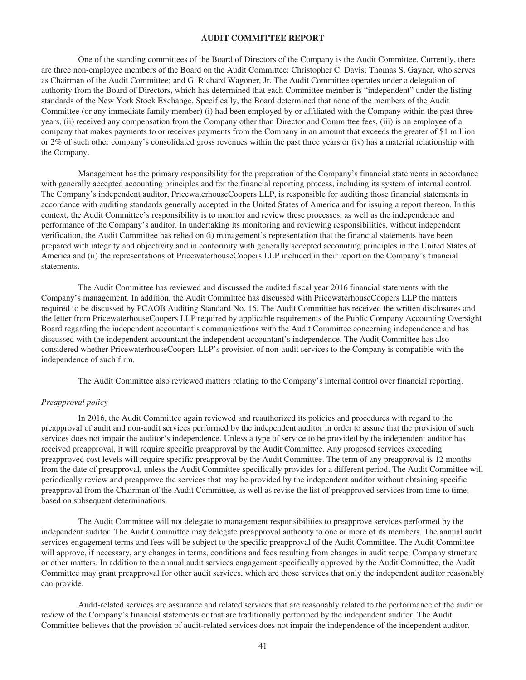# **AUDIT COMMITTEE REPORT**

One of the standing committees of the Board of Directors of the Company is the Audit Committee. Currently, there are three non-employee members of the Board on the Audit Committee: Christopher C. Davis; Thomas S. Gayner, who serves as Chairman of the Audit Committee; and G. Richard Wagoner, Jr. The Audit Committee operates under a delegation of authority from the Board of Directors, which has determined that each Committee member is "independent" under the listing standards of the New York Stock Exchange. Specifically, the Board determined that none of the members of the Audit Committee (or any immediate family member) (i) had been employed by or affiliated with the Company within the past three years, (ii) received any compensation from the Company other than Director and Committee fees, (iii) is an employee of a company that makes payments to or receives payments from the Company in an amount that exceeds the greater of \$1 million or 2% of such other company's consolidated gross revenues within the past three years or (iv) has a material relationship with the Company.

Management has the primary responsibility for the preparation of the Company's financial statements in accordance with generally accepted accounting principles and for the financial reporting process, including its system of internal control. The Company's independent auditor, PricewaterhouseCoopers LLP, is responsible for auditing those financial statements in accordance with auditing standards generally accepted in the United States of America and for issuing a report thereon. In this context, the Audit Committee's responsibility is to monitor and review these processes, as well as the independence and performance of the Company's auditor. In undertaking its monitoring and reviewing responsibilities, without independent verification, the Audit Committee has relied on (i) management's representation that the financial statements have been prepared with integrity and objectivity and in conformity with generally accepted accounting principles in the United States of America and (ii) the representations of PricewaterhouseCoopers LLP included in their report on the Company's financial statements.

The Audit Committee has reviewed and discussed the audited fiscal year 2016 financial statements with the Company's management. In addition, the Audit Committee has discussed with PricewaterhouseCoopers LLP the matters required to be discussed by PCAOB Auditing Standard No. 16. The Audit Committee has received the written disclosures and the letter from PricewaterhouseCoopers LLP required by applicable requirements of the Public Company Accounting Oversight Board regarding the independent accountant's communications with the Audit Committee concerning independence and has discussed with the independent accountant the independent accountant's independence. The Audit Committee has also considered whether PricewaterhouseCoopers LLP's provision of non-audit services to the Company is compatible with the independence of such firm.

The Audit Committee also reviewed matters relating to the Company's internal control over financial reporting.

# *Preapproval policy*

In 2016, the Audit Committee again reviewed and reauthorized its policies and procedures with regard to the preapproval of audit and non-audit services performed by the independent auditor in order to assure that the provision of such services does not impair the auditor's independence. Unless a type of service to be provided by the independent auditor has received preapproval, it will require specific preapproval by the Audit Committee. Any proposed services exceeding preapproved cost levels will require specific preapproval by the Audit Committee. The term of any preapproval is 12 months from the date of preapproval, unless the Audit Committee specifically provides for a different period. The Audit Committee will periodically review and preapprove the services that may be provided by the independent auditor without obtaining specific preapproval from the Chairman of the Audit Committee, as well as revise the list of preapproved services from time to time, based on subsequent determinations.

The Audit Committee will not delegate to management responsibilities to preapprove services performed by the independent auditor. The Audit Committee may delegate preapproval authority to one or more of its members. The annual audit services engagement terms and fees will be subject to the specific preapproval of the Audit Committee. The Audit Committee will approve, if necessary, any changes in terms, conditions and fees resulting from changes in audit scope, Company structure or other matters. In addition to the annual audit services engagement specifically approved by the Audit Committee, the Audit Committee may grant preapproval for other audit services, which are those services that only the independent auditor reasonably can provide.

Audit-related services are assurance and related services that are reasonably related to the performance of the audit or review of the Company's financial statements or that are traditionally performed by the independent auditor. The Audit Committee believes that the provision of audit-related services does not impair the independence of the independent auditor.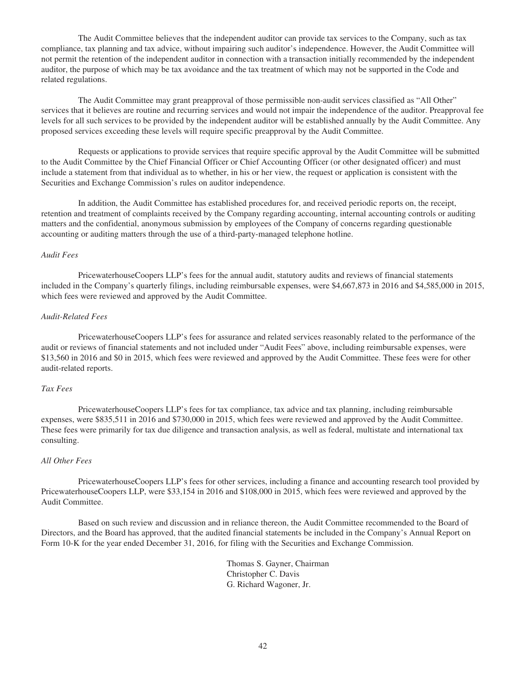The Audit Committee believes that the independent auditor can provide tax services to the Company, such as tax compliance, tax planning and tax advice, without impairing such auditor's independence. However, the Audit Committee will not permit the retention of the independent auditor in connection with a transaction initially recommended by the independent auditor, the purpose of which may be tax avoidance and the tax treatment of which may not be supported in the Code and related regulations.

The Audit Committee may grant preapproval of those permissible non-audit services classified as "All Other" services that it believes are routine and recurring services and would not impair the independence of the auditor. Preapproval fee levels for all such services to be provided by the independent auditor will be established annually by the Audit Committee. Any proposed services exceeding these levels will require specific preapproval by the Audit Committee.

Requests or applications to provide services that require specific approval by the Audit Committee will be submitted to the Audit Committee by the Chief Financial Officer or Chief Accounting Officer (or other designated officer) and must include a statement from that individual as to whether, in his or her view, the request or application is consistent with the Securities and Exchange Commission's rules on auditor independence.

In addition, the Audit Committee has established procedures for, and received periodic reports on, the receipt, retention and treatment of complaints received by the Company regarding accounting, internal accounting controls or auditing matters and the confidential, anonymous submission by employees of the Company of concerns regarding questionable accounting or auditing matters through the use of a third-party-managed telephone hotline.

#### *Audit Fees*

PricewaterhouseCoopers LLP's fees for the annual audit, statutory audits and reviews of financial statements included in the Company's quarterly filings, including reimbursable expenses, were \$4,667,873 in 2016 and \$4,585,000 in 2015, which fees were reviewed and approved by the Audit Committee.

# *Audit-Related Fees*

PricewaterhouseCoopers LLP's fees for assurance and related services reasonably related to the performance of the audit or reviews of financial statements and not included under "Audit Fees" above, including reimbursable expenses, were \$13,560 in 2016 and \$0 in 2015, which fees were reviewed and approved by the Audit Committee. These fees were for other audit-related reports.

#### *Tax Fees*

PricewaterhouseCoopers LLP's fees for tax compliance, tax advice and tax planning, including reimbursable expenses, were \$835,511 in 2016 and \$730,000 in 2015, which fees were reviewed and approved by the Audit Committee. These fees were primarily for tax due diligence and transaction analysis, as well as federal, multistate and international tax consulting.

#### *All Other Fees*

PricewaterhouseCoopers LLP's fees for other services, including a finance and accounting research tool provided by PricewaterhouseCoopers LLP, were \$33,154 in 2016 and \$108,000 in 2015, which fees were reviewed and approved by the Audit Committee.

Based on such review and discussion and in reliance thereon, the Audit Committee recommended to the Board of Directors, and the Board has approved, that the audited financial statements be included in the Company's Annual Report on Form 10-K for the year ended December 31, 2016, for filing with the Securities and Exchange Commission.

> Thomas S. Gayner, Chairman Christopher C. Davis G. Richard Wagoner, Jr.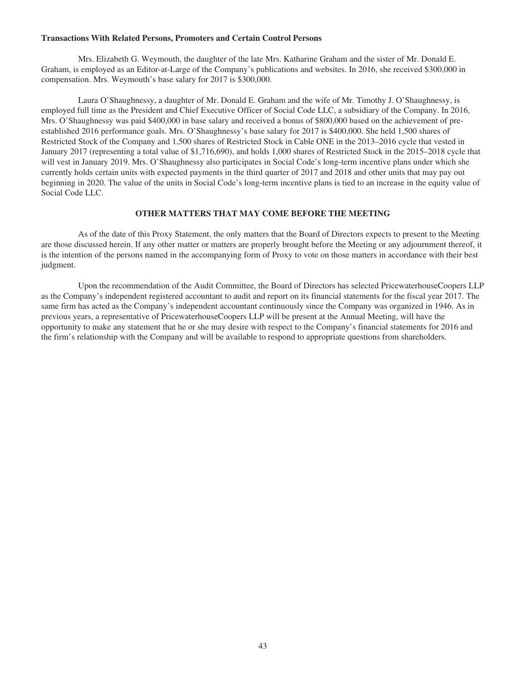# **Transactions With Related Persons, Promoters and Certain Control Persons**

Mrs. Elizabeth G. Weymouth, the daughter of the late Mrs. Katharine Graham and the sister of Mr. Donald E. Graham, is employed as an Editor-at-Large of the Company's publications and websites. In 2016, she received \$300,000 in compensation. Mrs. Weymouth's base salary for 2017 is \$300,000.

Laura O'Shaughnessy, a daughter of Mr. Donald E. Graham and the wife of Mr. Timothy J. O'Shaughnessy, is employed full time as the President and Chief Executive Officer of Social Code LLC, a subsidiary of the Company. In 2016, Mrs. O'Shaughnessy was paid \$400,000 in base salary and received a bonus of \$800,000 based on the achievement of preestablished 2016 performance goals. Mrs. O'Shaughnessy's base salary for 2017 is \$400,000. She held 1,500 shares of Restricted Stock of the Company and 1,500 shares of Restricted Stock in Cable ONE in the 2013–2016 cycle that vested in January 2017 (representing a total value of \$1,716,690), and holds 1,000 shares of Restricted Stock in the 2015–2018 cycle that will vest in January 2019. Mrs. O'Shaughnessy also participates in Social Code's long-term incentive plans under which she currently holds certain units with expected payments in the third quarter of 2017 and 2018 and other units that may pay out beginning in 2020. The value of the units in Social Code's long-term incentive plans is tied to an increase in the equity value of Social Code LLC.

# **OTHER MATTERS THAT MAY COME BEFORE THE MEETING**

As of the date of this Proxy Statement, the only matters that the Board of Directors expects to present to the Meeting are those discussed herein. If any other matter or matters are properly brought before the Meeting or any adjournment thereof, it is the intention of the persons named in the accompanying form of Proxy to vote on those matters in accordance with their best judgment.

Upon the recommendation of the Audit Committee, the Board of Directors has selected PricewaterhouseCoopers LLP as the Company's independent registered accountant to audit and report on its financial statements for the fiscal year 2017. The same firm has acted as the Company's independent accountant continuously since the Company was organized in 1946. As in previous years, a representative of PricewaterhouseCoopers LLP will be present at the Annual Meeting, will have the opportunity to make any statement that he or she may desire with respect to the Company's financial statements for 2016 and the firm's relationship with the Company and will be available to respond to appropriate questions from shareholders.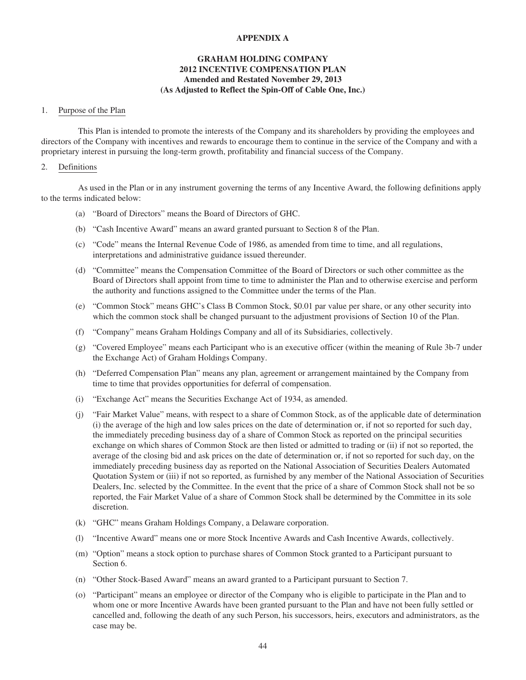#### **APPENDIX A**

# **GRAHAM HOLDING COMPANY 2012 INCENTIVE COMPENSATION PLAN Amended and Restated November 29, 2013 (As Adjusted to Reflect the Spin-Off of Cable One, Inc.)**

#### 1. Purpose of the Plan

This Plan is intended to promote the interests of the Company and its shareholders by providing the employees and directors of the Company with incentives and rewards to encourage them to continue in the service of the Company and with a proprietary interest in pursuing the long-term growth, profitability and financial success of the Company.

#### 2. Definitions

As used in the Plan or in any instrument governing the terms of any Incentive Award, the following definitions apply to the terms indicated below:

- (a) "Board of Directors" means the Board of Directors of GHC.
- (b) "Cash Incentive Award" means an award granted pursuant to Section 8 of the Plan.
- (c) "Code" means the Internal Revenue Code of 1986, as amended from time to time, and all regulations, interpretations and administrative guidance issued thereunder.
- (d) "Committee" means the Compensation Committee of the Board of Directors or such other committee as the Board of Directors shall appoint from time to time to administer the Plan and to otherwise exercise and perform the authority and functions assigned to the Committee under the terms of the Plan.
- (e) "Common Stock" means GHC's Class B Common Stock, \$0.01 par value per share, or any other security into which the common stock shall be changed pursuant to the adjustment provisions of Section 10 of the Plan.
- (f) "Company" means Graham Holdings Company and all of its Subsidiaries, collectively.
- (g) "Covered Employee" means each Participant who is an executive officer (within the meaning of Rule 3b-7 under the Exchange Act) of Graham Holdings Company.
- (h) "Deferred Compensation Plan" means any plan, agreement or arrangement maintained by the Company from time to time that provides opportunities for deferral of compensation.
- (i) "Exchange Act" means the Securities Exchange Act of 1934, as amended.
- (j) "Fair Market Value" means, with respect to a share of Common Stock, as of the applicable date of determination (i) the average of the high and low sales prices on the date of determination or, if not so reported for such day, the immediately preceding business day of a share of Common Stock as reported on the principal securities exchange on which shares of Common Stock are then listed or admitted to trading or (ii) if not so reported, the average of the closing bid and ask prices on the date of determination or, if not so reported for such day, on the immediately preceding business day as reported on the National Association of Securities Dealers Automated Quotation System or (iii) if not so reported, as furnished by any member of the National Association of Securities Dealers, Inc. selected by the Committee. In the event that the price of a share of Common Stock shall not be so reported, the Fair Market Value of a share of Common Stock shall be determined by the Committee in its sole discretion.
- (k) "GHC" means Graham Holdings Company, a Delaware corporation.
- (l) "Incentive Award" means one or more Stock Incentive Awards and Cash Incentive Awards, collectively.
- (m) "Option" means a stock option to purchase shares of Common Stock granted to a Participant pursuant to Section 6.
- (n) "Other Stock-Based Award" means an award granted to a Participant pursuant to Section 7.
- (o) "Participant" means an employee or director of the Company who is eligible to participate in the Plan and to whom one or more Incentive Awards have been granted pursuant to the Plan and have not been fully settled or cancelled and, following the death of any such Person, his successors, heirs, executors and administrators, as the case may be.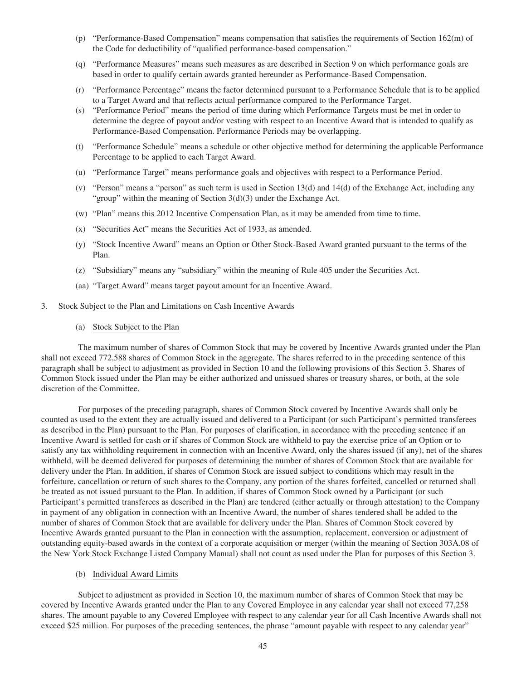- (p) "Performance-Based Compensation" means compensation that satisfies the requirements of Section 162(m) of the Code for deductibility of "qualified performance-based compensation."
- (q) "Performance Measures" means such measures as are described in Section 9 on which performance goals are based in order to qualify certain awards granted hereunder as Performance-Based Compensation.
- (r) "Performance Percentage" means the factor determined pursuant to a Performance Schedule that is to be applied to a Target Award and that reflects actual performance compared to the Performance Target.
- (s) "Performance Period" means the period of time during which Performance Targets must be met in order to determine the degree of payout and/or vesting with respect to an Incentive Award that is intended to qualify as Performance-Based Compensation. Performance Periods may be overlapping.
- (t) "Performance Schedule" means a schedule or other objective method for determining the applicable Performance Percentage to be applied to each Target Award.
- (u) "Performance Target" means performance goals and objectives with respect to a Performance Period.
- (v) "Person" means a "person" as such term is used in Section 13(d) and 14(d) of the Exchange Act, including any "group" within the meaning of Section  $3(d)(3)$  under the Exchange Act.
- (w) "Plan" means this 2012 Incentive Compensation Plan, as it may be amended from time to time.
- (x) "Securities Act" means the Securities Act of 1933, as amended.
- (y) "Stock Incentive Award" means an Option or Other Stock-Based Award granted pursuant to the terms of the Plan.
- (z) "Subsidiary" means any "subsidiary" within the meaning of Rule 405 under the Securities Act.
- (aa) "Target Award" means target payout amount for an Incentive Award.
- 3. Stock Subject to the Plan and Limitations on Cash Incentive Awards
	- (a) Stock Subject to the Plan

The maximum number of shares of Common Stock that may be covered by Incentive Awards granted under the Plan shall not exceed 772,588 shares of Common Stock in the aggregate. The shares referred to in the preceding sentence of this paragraph shall be subject to adjustment as provided in Section 10 and the following provisions of this Section 3. Shares of Common Stock issued under the Plan may be either authorized and unissued shares or treasury shares, or both, at the sole discretion of the Committee.

For purposes of the preceding paragraph, shares of Common Stock covered by Incentive Awards shall only be counted as used to the extent they are actually issued and delivered to a Participant (or such Participant's permitted transferees as described in the Plan) pursuant to the Plan. For purposes of clarification, in accordance with the preceding sentence if an Incentive Award is settled for cash or if shares of Common Stock are withheld to pay the exercise price of an Option or to satisfy any tax withholding requirement in connection with an Incentive Award, only the shares issued (if any), net of the shares withheld, will be deemed delivered for purposes of determining the number of shares of Common Stock that are available for delivery under the Plan. In addition, if shares of Common Stock are issued subject to conditions which may result in the forfeiture, cancellation or return of such shares to the Company, any portion of the shares forfeited, cancelled or returned shall be treated as not issued pursuant to the Plan. In addition, if shares of Common Stock owned by a Participant (or such Participant's permitted transferees as described in the Plan) are tendered (either actually or through attestation) to the Company in payment of any obligation in connection with an Incentive Award, the number of shares tendered shall be added to the number of shares of Common Stock that are available for delivery under the Plan. Shares of Common Stock covered by Incentive Awards granted pursuant to the Plan in connection with the assumption, replacement, conversion or adjustment of outstanding equity-based awards in the context of a corporate acquisition or merger (within the meaning of Section 303A.08 of the New York Stock Exchange Listed Company Manual) shall not count as used under the Plan for purposes of this Section 3.

#### (b) Individual Award Limits

Subject to adjustment as provided in Section 10, the maximum number of shares of Common Stock that may be covered by Incentive Awards granted under the Plan to any Covered Employee in any calendar year shall not exceed 77,258 shares. The amount payable to any Covered Employee with respect to any calendar year for all Cash Incentive Awards shall not exceed \$25 million. For purposes of the preceding sentences, the phrase "amount payable with respect to any calendar year"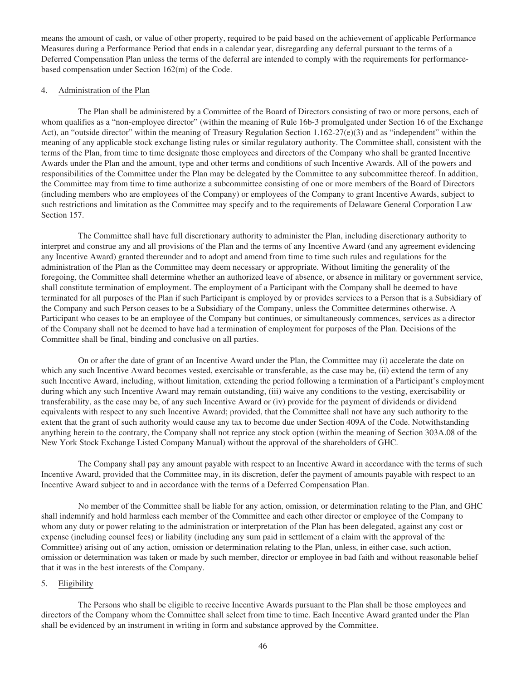means the amount of cash, or value of other property, required to be paid based on the achievement of applicable Performance Measures during a Performance Period that ends in a calendar year, disregarding any deferral pursuant to the terms of a Deferred Compensation Plan unless the terms of the deferral are intended to comply with the requirements for performancebased compensation under Section 162(m) of the Code.

#### 4. Administration of the Plan

The Plan shall be administered by a Committee of the Board of Directors consisting of two or more persons, each of whom qualifies as a "non-employee director" (within the meaning of Rule 16b-3 promulgated under Section 16 of the Exchange Act), an "outside director" within the meaning of Treasury Regulation Section  $1.162-27(e)(3)$  and as "independent" within the meaning of any applicable stock exchange listing rules or similar regulatory authority. The Committee shall, consistent with the terms of the Plan, from time to time designate those employees and directors of the Company who shall be granted Incentive Awards under the Plan and the amount, type and other terms and conditions of such Incentive Awards. All of the powers and responsibilities of the Committee under the Plan may be delegated by the Committee to any subcommittee thereof. In addition, the Committee may from time to time authorize a subcommittee consisting of one or more members of the Board of Directors (including members who are employees of the Company) or employees of the Company to grant Incentive Awards, subject to such restrictions and limitation as the Committee may specify and to the requirements of Delaware General Corporation Law Section 157.

The Committee shall have full discretionary authority to administer the Plan, including discretionary authority to interpret and construe any and all provisions of the Plan and the terms of any Incentive Award (and any agreement evidencing any Incentive Award) granted thereunder and to adopt and amend from time to time such rules and regulations for the administration of the Plan as the Committee may deem necessary or appropriate. Without limiting the generality of the foregoing, the Committee shall determine whether an authorized leave of absence, or absence in military or government service, shall constitute termination of employment. The employment of a Participant with the Company shall be deemed to have terminated for all purposes of the Plan if such Participant is employed by or provides services to a Person that is a Subsidiary of the Company and such Person ceases to be a Subsidiary of the Company, unless the Committee determines otherwise. A Participant who ceases to be an employee of the Company but continues, or simultaneously commences, services as a director of the Company shall not be deemed to have had a termination of employment for purposes of the Plan. Decisions of the Committee shall be final, binding and conclusive on all parties.

On or after the date of grant of an Incentive Award under the Plan, the Committee may (i) accelerate the date on which any such Incentive Award becomes vested, exercisable or transferable, as the case may be, (ii) extend the term of any such Incentive Award, including, without limitation, extending the period following a termination of a Participant's employment during which any such Incentive Award may remain outstanding, (iii) waive any conditions to the vesting, exercisability or transferability, as the case may be, of any such Incentive Award or (iv) provide for the payment of dividends or dividend equivalents with respect to any such Incentive Award; provided, that the Committee shall not have any such authority to the extent that the grant of such authority would cause any tax to become due under Section 409A of the Code. Notwithstanding anything herein to the contrary, the Company shall not reprice any stock option (within the meaning of Section 303A.08 of the New York Stock Exchange Listed Company Manual) without the approval of the shareholders of GHC.

The Company shall pay any amount payable with respect to an Incentive Award in accordance with the terms of such Incentive Award, provided that the Committee may, in its discretion, defer the payment of amounts payable with respect to an Incentive Award subject to and in accordance with the terms of a Deferred Compensation Plan.

No member of the Committee shall be liable for any action, omission, or determination relating to the Plan, and GHC shall indemnify and hold harmless each member of the Committee and each other director or employee of the Company to whom any duty or power relating to the administration or interpretation of the Plan has been delegated, against any cost or expense (including counsel fees) or liability (including any sum paid in settlement of a claim with the approval of the Committee) arising out of any action, omission or determination relating to the Plan, unless, in either case, such action, omission or determination was taken or made by such member, director or employee in bad faith and without reasonable belief that it was in the best interests of the Company.

#### 5. Eligibility

The Persons who shall be eligible to receive Incentive Awards pursuant to the Plan shall be those employees and directors of the Company whom the Committee shall select from time to time. Each Incentive Award granted under the Plan shall be evidenced by an instrument in writing in form and substance approved by the Committee.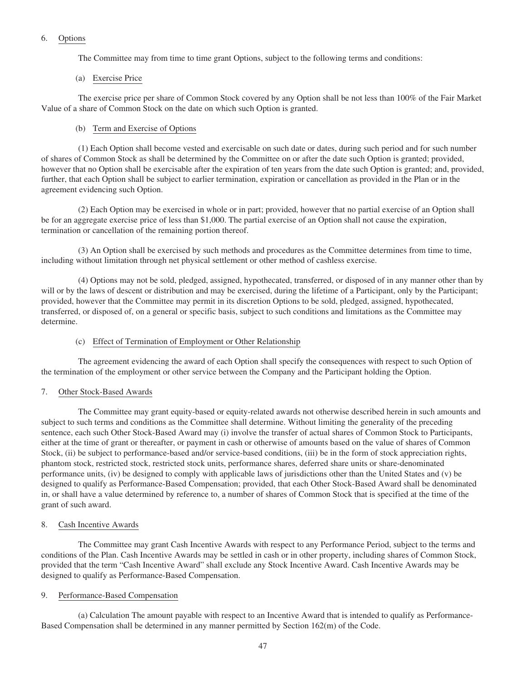# 6. Options

The Committee may from time to time grant Options, subject to the following terms and conditions:

(a) Exercise Price

The exercise price per share of Common Stock covered by any Option shall be not less than 100% of the Fair Market Value of a share of Common Stock on the date on which such Option is granted.

#### (b) Term and Exercise of Options

(1) Each Option shall become vested and exercisable on such date or dates, during such period and for such number of shares of Common Stock as shall be determined by the Committee on or after the date such Option is granted; provided, however that no Option shall be exercisable after the expiration of ten years from the date such Option is granted; and, provided, further, that each Option shall be subject to earlier termination, expiration or cancellation as provided in the Plan or in the agreement evidencing such Option.

(2) Each Option may be exercised in whole or in part; provided, however that no partial exercise of an Option shall be for an aggregate exercise price of less than \$1,000. The partial exercise of an Option shall not cause the expiration, termination or cancellation of the remaining portion thereof.

(3) An Option shall be exercised by such methods and procedures as the Committee determines from time to time, including without limitation through net physical settlement or other method of cashless exercise.

(4) Options may not be sold, pledged, assigned, hypothecated, transferred, or disposed of in any manner other than by will or by the laws of descent or distribution and may be exercised, during the lifetime of a Participant, only by the Participant; provided, however that the Committee may permit in its discretion Options to be sold, pledged, assigned, hypothecated, transferred, or disposed of, on a general or specific basis, subject to such conditions and limitations as the Committee may determine.

# (c) Effect of Termination of Employment or Other Relationship

The agreement evidencing the award of each Option shall specify the consequences with respect to such Option of the termination of the employment or other service between the Company and the Participant holding the Option.

7. Other Stock-Based Awards

The Committee may grant equity-based or equity-related awards not otherwise described herein in such amounts and subject to such terms and conditions as the Committee shall determine. Without limiting the generality of the preceding sentence, each such Other Stock-Based Award may (i) involve the transfer of actual shares of Common Stock to Participants, either at the time of grant or thereafter, or payment in cash or otherwise of amounts based on the value of shares of Common Stock, (ii) be subject to performance-based and/or service-based conditions, (iii) be in the form of stock appreciation rights, phantom stock, restricted stock, restricted stock units, performance shares, deferred share units or share-denominated performance units, (iv) be designed to comply with applicable laws of jurisdictions other than the United States and (v) be designed to qualify as Performance-Based Compensation; provided, that each Other Stock-Based Award shall be denominated in, or shall have a value determined by reference to, a number of shares of Common Stock that is specified at the time of the grant of such award.

# 8. Cash Incentive Awards

The Committee may grant Cash Incentive Awards with respect to any Performance Period, subject to the terms and conditions of the Plan. Cash Incentive Awards may be settled in cash or in other property, including shares of Common Stock, provided that the term "Cash Incentive Award" shall exclude any Stock Incentive Award. Cash Incentive Awards may be designed to qualify as Performance-Based Compensation.

#### 9. Performance-Based Compensation

(a) Calculation The amount payable with respect to an Incentive Award that is intended to qualify as Performance-Based Compensation shall be determined in any manner permitted by Section 162(m) of the Code.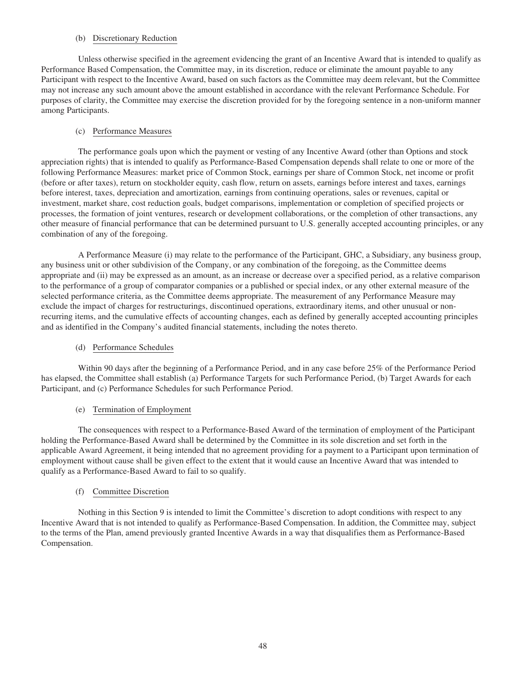# (b) Discretionary Reduction

Unless otherwise specified in the agreement evidencing the grant of an Incentive Award that is intended to qualify as Performance Based Compensation, the Committee may, in its discretion, reduce or eliminate the amount payable to any Participant with respect to the Incentive Award, based on such factors as the Committee may deem relevant, but the Committee may not increase any such amount above the amount established in accordance with the relevant Performance Schedule. For purposes of clarity, the Committee may exercise the discretion provided for by the foregoing sentence in a non-uniform manner among Participants.

# (c) Performance Measures

The performance goals upon which the payment or vesting of any Incentive Award (other than Options and stock appreciation rights) that is intended to qualify as Performance-Based Compensation depends shall relate to one or more of the following Performance Measures: market price of Common Stock, earnings per share of Common Stock, net income or profit (before or after taxes), return on stockholder equity, cash flow, return on assets, earnings before interest and taxes, earnings before interest, taxes, depreciation and amortization, earnings from continuing operations, sales or revenues, capital or investment, market share, cost reduction goals, budget comparisons, implementation or completion of specified projects or processes, the formation of joint ventures, research or development collaborations, or the completion of other transactions, any other measure of financial performance that can be determined pursuant to U.S. generally accepted accounting principles, or any combination of any of the foregoing.

A Performance Measure (i) may relate to the performance of the Participant, GHC, a Subsidiary, any business group, any business unit or other subdivision of the Company, or any combination of the foregoing, as the Committee deems appropriate and (ii) may be expressed as an amount, as an increase or decrease over a specified period, as a relative comparison to the performance of a group of comparator companies or a published or special index, or any other external measure of the selected performance criteria, as the Committee deems appropriate. The measurement of any Performance Measure may exclude the impact of charges for restructurings, discontinued operations, extraordinary items, and other unusual or nonrecurring items, and the cumulative effects of accounting changes, each as defined by generally accepted accounting principles and as identified in the Company's audited financial statements, including the notes thereto.

# (d) Performance Schedules

Within 90 days after the beginning of a Performance Period, and in any case before 25% of the Performance Period has elapsed, the Committee shall establish (a) Performance Targets for such Performance Period, (b) Target Awards for each Participant, and (c) Performance Schedules for such Performance Period.

# (e) Termination of Employment

The consequences with respect to a Performance-Based Award of the termination of employment of the Participant holding the Performance-Based Award shall be determined by the Committee in its sole discretion and set forth in the applicable Award Agreement, it being intended that no agreement providing for a payment to a Participant upon termination of employment without cause shall be given effect to the extent that it would cause an Incentive Award that was intended to qualify as a Performance-Based Award to fail to so qualify.

#### (f) Committee Discretion

Nothing in this Section 9 is intended to limit the Committee's discretion to adopt conditions with respect to any Incentive Award that is not intended to qualify as Performance-Based Compensation. In addition, the Committee may, subject to the terms of the Plan, amend previously granted Incentive Awards in a way that disqualifies them as Performance-Based Compensation.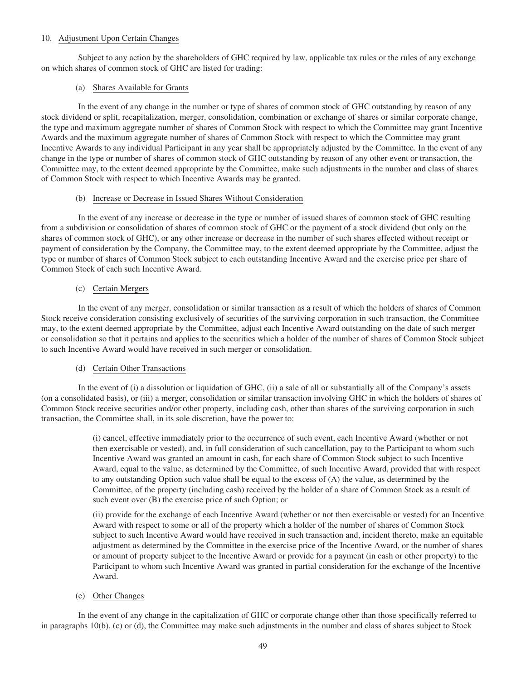# 10. Adjustment Upon Certain Changes

Subject to any action by the shareholders of GHC required by law, applicable tax rules or the rules of any exchange on which shares of common stock of GHC are listed for trading:

#### (a) Shares Available for Grants

In the event of any change in the number or type of shares of common stock of GHC outstanding by reason of any stock dividend or split, recapitalization, merger, consolidation, combination or exchange of shares or similar corporate change, the type and maximum aggregate number of shares of Common Stock with respect to which the Committee may grant Incentive Awards and the maximum aggregate number of shares of Common Stock with respect to which the Committee may grant Incentive Awards to any individual Participant in any year shall be appropriately adjusted by the Committee. In the event of any change in the type or number of shares of common stock of GHC outstanding by reason of any other event or transaction, the Committee may, to the extent deemed appropriate by the Committee, make such adjustments in the number and class of shares of Common Stock with respect to which Incentive Awards may be granted.

# (b) Increase or Decrease in Issued Shares Without Consideration

In the event of any increase or decrease in the type or number of issued shares of common stock of GHC resulting from a subdivision or consolidation of shares of common stock of GHC or the payment of a stock dividend (but only on the shares of common stock of GHC), or any other increase or decrease in the number of such shares effected without receipt or payment of consideration by the Company, the Committee may, to the extent deemed appropriate by the Committee, adjust the type or number of shares of Common Stock subject to each outstanding Incentive Award and the exercise price per share of Common Stock of each such Incentive Award.

# (c) Certain Mergers

In the event of any merger, consolidation or similar transaction as a result of which the holders of shares of Common Stock receive consideration consisting exclusively of securities of the surviving corporation in such transaction, the Committee may, to the extent deemed appropriate by the Committee, adjust each Incentive Award outstanding on the date of such merger or consolidation so that it pertains and applies to the securities which a holder of the number of shares of Common Stock subject to such Incentive Award would have received in such merger or consolidation.

# (d) Certain Other Transactions

In the event of (i) a dissolution or liquidation of GHC, (ii) a sale of all or substantially all of the Company's assets (on a consolidated basis), or (iii) a merger, consolidation or similar transaction involving GHC in which the holders of shares of Common Stock receive securities and/or other property, including cash, other than shares of the surviving corporation in such transaction, the Committee shall, in its sole discretion, have the power to:

> (i) cancel, effective immediately prior to the occurrence of such event, each Incentive Award (whether or not then exercisable or vested), and, in full consideration of such cancellation, pay to the Participant to whom such Incentive Award was granted an amount in cash, for each share of Common Stock subject to such Incentive Award, equal to the value, as determined by the Committee, of such Incentive Award, provided that with respect to any outstanding Option such value shall be equal to the excess of (A) the value, as determined by the Committee, of the property (including cash) received by the holder of a share of Common Stock as a result of such event over (B) the exercise price of such Option; or

> (ii) provide for the exchange of each Incentive Award (whether or not then exercisable or vested) for an Incentive Award with respect to some or all of the property which a holder of the number of shares of Common Stock subject to such Incentive Award would have received in such transaction and, incident thereto, make an equitable adjustment as determined by the Committee in the exercise price of the Incentive Award, or the number of shares or amount of property subject to the Incentive Award or provide for a payment (in cash or other property) to the Participant to whom such Incentive Award was granted in partial consideration for the exchange of the Incentive Award.

# (e) Other Changes

In the event of any change in the capitalization of GHC or corporate change other than those specifically referred to in paragraphs 10(b), (c) or (d), the Committee may make such adjustments in the number and class of shares subject to Stock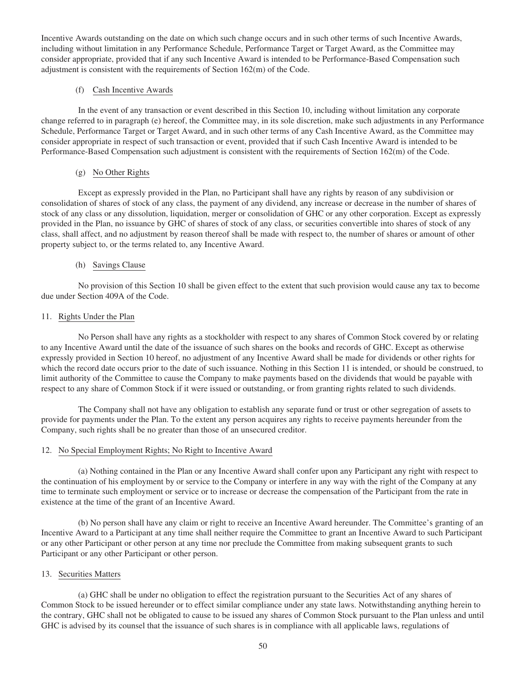Incentive Awards outstanding on the date on which such change occurs and in such other terms of such Incentive Awards, including without limitation in any Performance Schedule, Performance Target or Target Award, as the Committee may consider appropriate, provided that if any such Incentive Award is intended to be Performance-Based Compensation such adjustment is consistent with the requirements of Section 162(m) of the Code.

# (f) Cash Incentive Awards

In the event of any transaction or event described in this Section 10, including without limitation any corporate change referred to in paragraph (e) hereof, the Committee may, in its sole discretion, make such adjustments in any Performance Schedule, Performance Target or Target Award, and in such other terms of any Cash Incentive Award, as the Committee may consider appropriate in respect of such transaction or event, provided that if such Cash Incentive Award is intended to be Performance-Based Compensation such adjustment is consistent with the requirements of Section 162(m) of the Code.

# (g) No Other Rights

Except as expressly provided in the Plan, no Participant shall have any rights by reason of any subdivision or consolidation of shares of stock of any class, the payment of any dividend, any increase or decrease in the number of shares of stock of any class or any dissolution, liquidation, merger or consolidation of GHC or any other corporation. Except as expressly provided in the Plan, no issuance by GHC of shares of stock of any class, or securities convertible into shares of stock of any class, shall affect, and no adjustment by reason thereof shall be made with respect to, the number of shares or amount of other property subject to, or the terms related to, any Incentive Award.

# (h) Savings Clause

No provision of this Section 10 shall be given effect to the extent that such provision would cause any tax to become due under Section 409A of the Code.

# 11. Rights Under the Plan

No Person shall have any rights as a stockholder with respect to any shares of Common Stock covered by or relating to any Incentive Award until the date of the issuance of such shares on the books and records of GHC. Except as otherwise expressly provided in Section 10 hereof, no adjustment of any Incentive Award shall be made for dividends or other rights for which the record date occurs prior to the date of such issuance. Nothing in this Section 11 is intended, or should be construed, to limit authority of the Committee to cause the Company to make payments based on the dividends that would be payable with respect to any share of Common Stock if it were issued or outstanding, or from granting rights related to such dividends.

The Company shall not have any obligation to establish any separate fund or trust or other segregation of assets to provide for payments under the Plan. To the extent any person acquires any rights to receive payments hereunder from the Company, such rights shall be no greater than those of an unsecured creditor.

# 12. No Special Employment Rights; No Right to Incentive Award

(a) Nothing contained in the Plan or any Incentive Award shall confer upon any Participant any right with respect to the continuation of his employment by or service to the Company or interfere in any way with the right of the Company at any time to terminate such employment or service or to increase or decrease the compensation of the Participant from the rate in existence at the time of the grant of an Incentive Award.

(b) No person shall have any claim or right to receive an Incentive Award hereunder. The Committee's granting of an Incentive Award to a Participant at any time shall neither require the Committee to grant an Incentive Award to such Participant or any other Participant or other person at any time nor preclude the Committee from making subsequent grants to such Participant or any other Participant or other person.

# 13. Securities Matters

(a) GHC shall be under no obligation to effect the registration pursuant to the Securities Act of any shares of Common Stock to be issued hereunder or to effect similar compliance under any state laws. Notwithstanding anything herein to the contrary, GHC shall not be obligated to cause to be issued any shares of Common Stock pursuant to the Plan unless and until GHC is advised by its counsel that the issuance of such shares is in compliance with all applicable laws, regulations of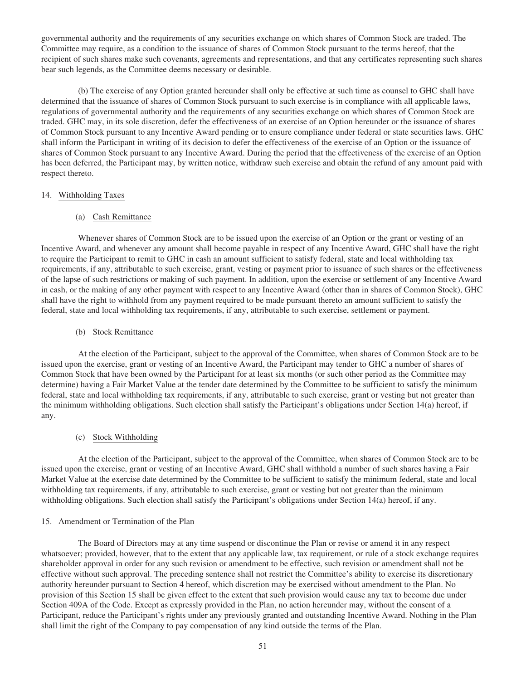governmental authority and the requirements of any securities exchange on which shares of Common Stock are traded. The Committee may require, as a condition to the issuance of shares of Common Stock pursuant to the terms hereof, that the recipient of such shares make such covenants, agreements and representations, and that any certificates representing such shares bear such legends, as the Committee deems necessary or desirable.

(b) The exercise of any Option granted hereunder shall only be effective at such time as counsel to GHC shall have determined that the issuance of shares of Common Stock pursuant to such exercise is in compliance with all applicable laws, regulations of governmental authority and the requirements of any securities exchange on which shares of Common Stock are traded. GHC may, in its sole discretion, defer the effectiveness of an exercise of an Option hereunder or the issuance of shares of Common Stock pursuant to any Incentive Award pending or to ensure compliance under federal or state securities laws. GHC shall inform the Participant in writing of its decision to defer the effectiveness of the exercise of an Option or the issuance of shares of Common Stock pursuant to any Incentive Award. During the period that the effectiveness of the exercise of an Option has been deferred, the Participant may, by written notice, withdraw such exercise and obtain the refund of any amount paid with respect thereto.

#### 14. Withholding Taxes

# (a) Cash Remittance

Whenever shares of Common Stock are to be issued upon the exercise of an Option or the grant or vesting of an Incentive Award, and whenever any amount shall become payable in respect of any Incentive Award, GHC shall have the right to require the Participant to remit to GHC in cash an amount sufficient to satisfy federal, state and local withholding tax requirements, if any, attributable to such exercise, grant, vesting or payment prior to issuance of such shares or the effectiveness of the lapse of such restrictions or making of such payment. In addition, upon the exercise or settlement of any Incentive Award in cash, or the making of any other payment with respect to any Incentive Award (other than in shares of Common Stock), GHC shall have the right to withhold from any payment required to be made pursuant thereto an amount sufficient to satisfy the federal, state and local withholding tax requirements, if any, attributable to such exercise, settlement or payment.

# (b) Stock Remittance

At the election of the Participant, subject to the approval of the Committee, when shares of Common Stock are to be issued upon the exercise, grant or vesting of an Incentive Award, the Participant may tender to GHC a number of shares of Common Stock that have been owned by the Participant for at least six months (or such other period as the Committee may determine) having a Fair Market Value at the tender date determined by the Committee to be sufficient to satisfy the minimum federal, state and local withholding tax requirements, if any, attributable to such exercise, grant or vesting but not greater than the minimum withholding obligations. Such election shall satisfy the Participant's obligations under Section 14(a) hereof, if any.

# (c) Stock Withholding

At the election of the Participant, subject to the approval of the Committee, when shares of Common Stock are to be issued upon the exercise, grant or vesting of an Incentive Award, GHC shall withhold a number of such shares having a Fair Market Value at the exercise date determined by the Committee to be sufficient to satisfy the minimum federal, state and local withholding tax requirements, if any, attributable to such exercise, grant or vesting but not greater than the minimum withholding obligations. Such election shall satisfy the Participant's obligations under Section 14(a) hereof, if any.

#### 15. Amendment or Termination of the Plan

The Board of Directors may at any time suspend or discontinue the Plan or revise or amend it in any respect whatsoever; provided, however, that to the extent that any applicable law, tax requirement, or rule of a stock exchange requires shareholder approval in order for any such revision or amendment to be effective, such revision or amendment shall not be effective without such approval. The preceding sentence shall not restrict the Committee's ability to exercise its discretionary authority hereunder pursuant to Section 4 hereof, which discretion may be exercised without amendment to the Plan. No provision of this Section 15 shall be given effect to the extent that such provision would cause any tax to become due under Section 409A of the Code. Except as expressly provided in the Plan, no action hereunder may, without the consent of a Participant, reduce the Participant's rights under any previously granted and outstanding Incentive Award. Nothing in the Plan shall limit the right of the Company to pay compensation of any kind outside the terms of the Plan.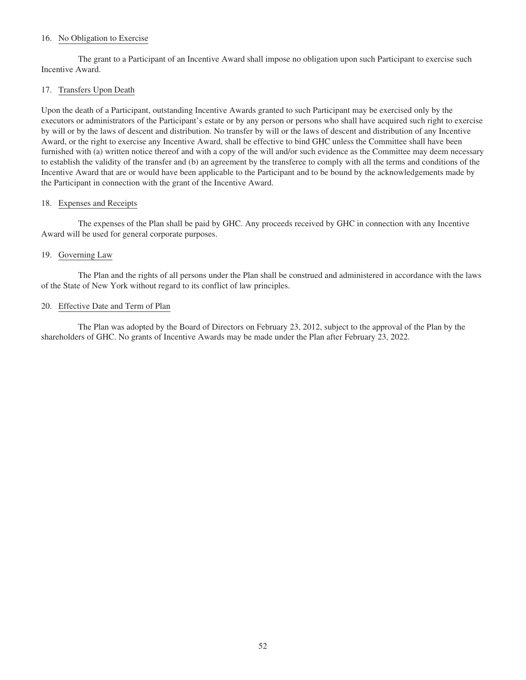# 16. No Obligation to Exercise

The grant to a Participant of an Incentive Award shall impose no obligation upon such Participant to exercise such Incentive Award.

# 17. Transfers Upon Death

Upon the death of a Participant, outstanding Incentive Awards granted to such Participant may be exercised only by the executors or administrators of the Participant's estate or by any person or persons who shall have acquired such right to exercise by will or by the laws of descent and distribution. No transfer by will or the laws of descent and distribution of any Incentive Award, or the right to exercise any Incentive Award, shall be effective to bind GHC unless the Committee shall have been furnished with (a) written notice thereof and with a copy of the will and/or such evidence as the Committee may deem necessary to establish the validity of the transfer and (b) an agreement by the transferee to comply with all the terms and conditions of the Incentive Award that are or would have been applicable to the Participant and to be bound by the acknowledgements made by the Participant in connection with the grant of the Incentive Award.

# 18. Expenses and Receipts

The expenses of the Plan shall be paid by GHC. Any proceeds received by GHC in connection with any Incentive Award will be used for general corporate purposes.

# 19. Governing Law

The Plan and the rights of all persons under the Plan shall be construed and administered in accordance with the laws of the State of New York without regard to its conflict of law principles.

# 20. Effective Date and Term of Plan

The Plan was adopted by the Board of Directors on February 23, 2012, subject to the approval of the Plan by the shareholders of GHC. No grants of Incentive Awards may be made under the Plan after February 23, 2022.